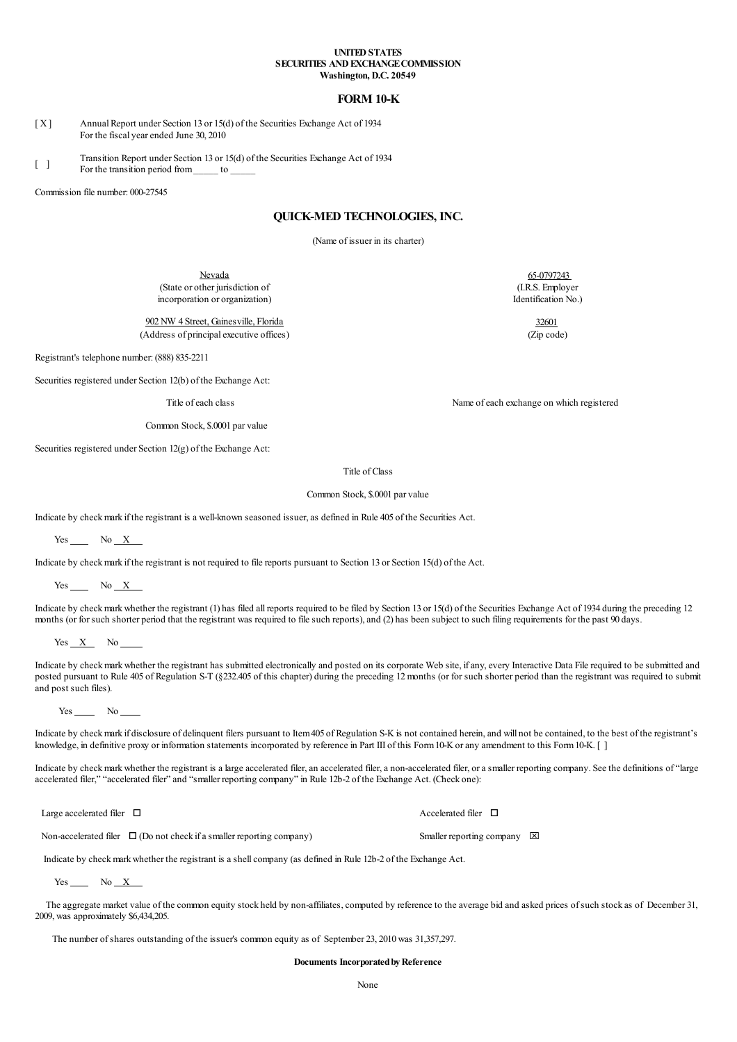## **UNITEDSTATES SECURITIES ANDEXCHANGECOMMISSION Washington, D.C. 20549**

# **FORM 10-K**

[X] Annual Report under Section 13 or 15(d) of the Securities Exchange Act of 1934 For the fiscal yearended June 30, 2010

 $\lceil$   $\rceil$ Transition Report under Section 13 or 15(d) of the Securities Exchange Act of 1934 For the transition period from to

Commission file number: 000-27545

# **QUICK-MED TECHNOLOGIES, INC.**

(Name of issuer in its charter)

Nevada 65-0797243 (State or other jurisdiction of incorporation or organization)

902NW 4 Street, Gainesville, Florida 32601 (Address of principalexecutive offices) (Zip code)

Registrant's telephone number: (888) 835-2211

Securities registered under Section 12(b) of the Exchange Act:

Common Stock, \$.0001 par value

Securities registered under Section 12(g) of the Exchange Act:

Title of Class

## Common Stock, \$.0001 par value

Indicate by check mark if the registrant is a well-known seasoned issuer, as defined in Rule 405 of the Securities Act.

 $Yes \_\_\_$  No  $X$ 

Indicate by checkmark if the registrant is not required to file reports pursuant to Section 13 or Section 15(d) of the Act.

 $Yes$  No  $X$ 

Indicate by check mark whether the registrant (1) has filed all reports required to be filed by Section 13 or 15(d) of the Securities Exchange Act of 1934 during the preceding 12 months (or for such shorter period that the registrant was required to file such reports), and (2) has been subject to such filing requirements for the past 90 days.

 $Yes \_ X \_ No \_$ 

Indicate by checkmarkwhether the registrant has submitted electronically and posted on its corporate Web site, ifany,every Interactive Data File required to be submitted and posted pursuant to Rule 405 of Regulation S-T (§232.405 of this chapter) during the preceding 12 months (or for such shorter period than the registrant was required to submit and post such files).

Yes No

Indicate by check mark if disclosure of delinquent filers pursuant to Item405 of Regulation S-K is not contained herein, and will not be contained, to the best of the registrant's knowledge, in definitive proxy or information statements incorporated by reference in Part III of this Form 10-K or any amendment to this Form 10-K. [ ]

Indicate by check mark whether the registrant is a large accelerated filer, an accelerated filer, a non-accelerated filer, or a smaller reporting company. See the definitions of "large accelerated filer," "accelerated filer" and "smaller reporting company" in Rule 12b-2 of the Exchange Act. (Check one):

Large accelerated filer  $\Box$ 

Non-accelerated filer  $\Box$  (Do not check if a smaller reporting company) Smaller reporting company  $\boxtimes$ 

Indicate by check mark whether the registrant is a shell company (as defined in Rule 12b-2 of the Exchange Act.

 $Yes \_\_$  No  $X$ 

The aggregate market value of the common equity stock held by non-affiliates,computed by reference to the average bid and asked prices ofsuch stock as of December 31, 2009, was approximately \$6,434,205.

The number ofshares outstanding of the issuer's common equity as of September 23, 2010was 31,357,297.

**Documents Incorporated** by Reference

(I.R.S. Employer Identification No.)

Title of each class Name of each exchange on which registered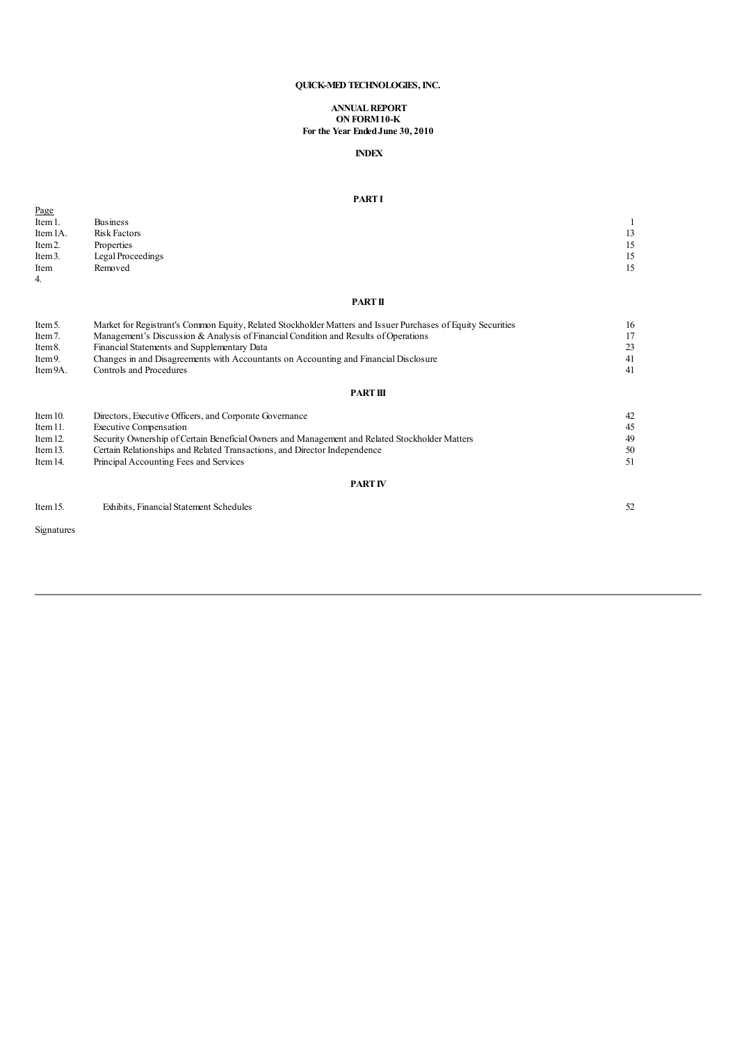# **QUICK-MEDTECHNOLOGIES, INC.**

### **ANNUALREPORT ONFORM10-K For the Year EndedJune 30, 2010**

# **INDEX**

# **PARTI**

| Page                |                                                                                                              |    |
|---------------------|--------------------------------------------------------------------------------------------------------------|----|
| Item 1.             | <b>Business</b>                                                                                              |    |
| Item 1A.            | <b>Risk Factors</b>                                                                                          | 13 |
| Item <sub>2</sub> . | Properties                                                                                                   | 15 |
| Item 3.             | <b>Legal Proceedings</b>                                                                                     | 15 |
| Item                | Removed                                                                                                      | 15 |
| $\overline{4}$ .    |                                                                                                              |    |
|                     | PART II                                                                                                      |    |
| Item 5.             | Market for Registrant's Common Equity, Related Stockholder Matters and Issuer Purchases of Equity Securities | 16 |
| Item 7.             | Management's Discussion & Analysis of Financial Condition and Results of Operations                          | 17 |
| Item 8.             | Financial Statements and Supplementary Data                                                                  | 23 |
| Item <sub>9</sub> . | Changes in and Disagreements with Accountants on Accounting and Financial Disclosure                         | 41 |
| Item 9A.            | Controls and Procedures                                                                                      | 41 |
|                     | <b>PART III</b>                                                                                              |    |
| Item $10$ .         | Directors, Executive Officers, and Corporate Governance                                                      | 42 |
| Item 11.            | <b>Executive Compensation</b>                                                                                | 45 |
| Item 12.            | Security Ownership of Certain Beneficial Owners and Management and Related Stockholder Matters               | 49 |
| Item $13$ .         | Certain Relationships and Related Transactions, and Director Independence                                    | 50 |
| Item 14.            | Principal Accounting Fees and Services                                                                       | 51 |
|                     | <b>PART IV</b>                                                                                               |    |
| Item $15$ .         | Exhibits, Financial Statement Schedules                                                                      | 52 |
| Signatures          |                                                                                                              |    |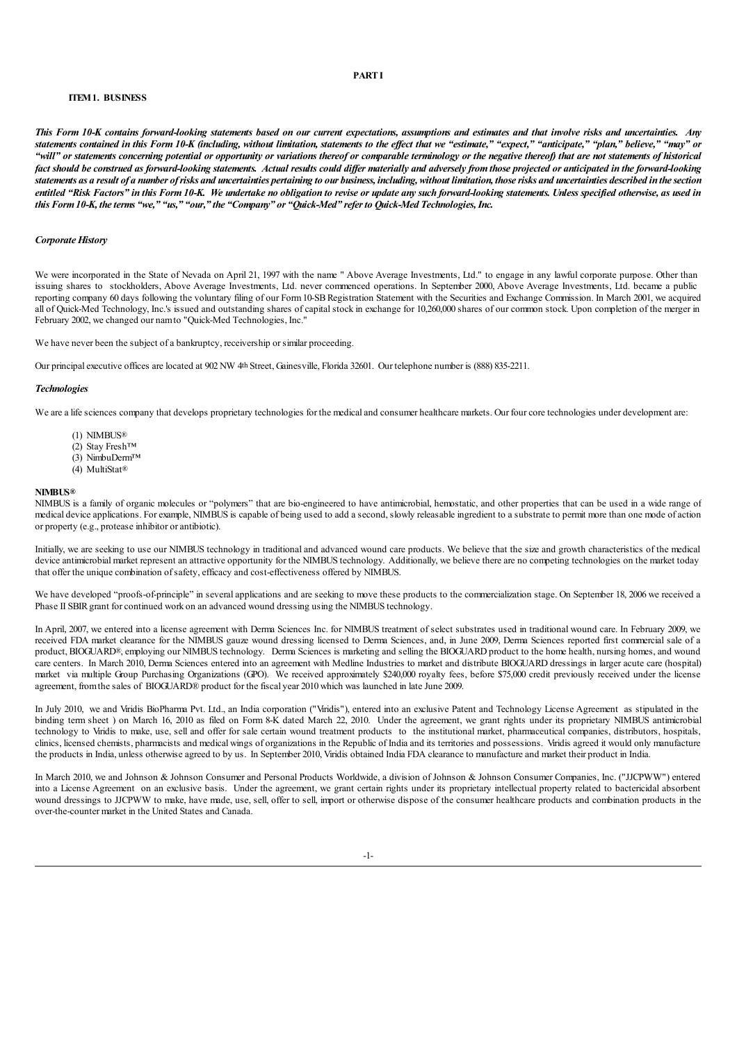## **PARTI**

### **ITEM1. BUSINESS**

This Form 10-K contains forward-looking statements based on our current expectations, assumptions and estimates and that involve risks and uncertainties. Any statements contained in this Form 10-K (including, without limitation, statements to the effect that we "estimate," "expect," "anticipate," "plan," believe," "may" or "will" or statements concerning potential or opportunity or variations thereof or comparable terminology or the negative thereof) that are not statements of historical fact should be construed as forward-looking statements. Actual results could differ materially and adversely from those projected or anticipated in the forward-looking statements as a result of a number of risks and uncertainties pertaining to our business, including, without limitation, those risks and uncertainties described in the section entitled "Risk Factors" in this Form 10-K. We undertake no obligation to revise or update any such forward-looking statements. Unless specified otherwise, as used in *this* Form 10-K, the terms "we," "us," "our," the "Company" or "Quick-Med" refer to Quick-Med Technologies, Inc.

## *Corporate History*

We were incorporated in the State of Nevada on April 21, 1997 with the name " Above Average Investments, Ltd." to engage in any lawful corporate purpose. Other than issuing shares to stockholders, Above Average Investments, Ltd. never commenced operations. In September 2000, Above Average Investments, Ltd. became a public reporting company 60 days following the voluntary filing of our Form 10-SB Registration Statement with the Securities and Exchange Commission. In March 2001, we acquired all of Quick-Med Technology, Inc.'s issued and outstanding shares of capital stock in exchange for 10,260,000 shares of our common stock. Upon completion of the merger in February 2002, we changed our namto "Quick-Med Technologies, Inc."

We have never been the subject of a bankruptcy, receivership or similar proceeding.

Our principalexecutive offices are located at 902NW 4th Street, Gainesville, Florida 32601. Our telephone number is (888) 835-2211.

#### *Technologies*

We are a life sciences company that develops proprietary technologies for the medical and consumer healthcare markets. Our four core technologies under development are:

- (1) NIMBUS®
- (2) Stay Fresh™
- (3) NimbuDerm™
- (4) MultiStat®

#### **NIMBUS®**

NIMBUS is a family of organic molecules or "polymers" that are bio-engineered to have antimicrobial, hemostatic, and other properties that can be used in a wide range of medical device applications. Forexample, NIMBUS is capable of being used to add a second, slowly releasable ingredient to a substrate to permit more than one mode ofaction or property (e.g., protease inhibitor orantibiotic).

Initially, we are seeking to use our NIMBUS technology in traditional and advanced wound care products. We believe that the size and growth characteristics of the medical device antimicrobial market represent an attractive opportunity for the NIMBUS technology. Additionally, we believe there are no competing technologies on the market today that offer the unique combination of safety, efficacy and cost-effectiveness offered by NIMBUS.

We have developed "proofs-of-principle" in several applications and are seeking to move these products to the commercialization stage. On September 18, 2006 we received a Phase II SBIR grant for continued work on an advanced wound dressing using the NIMBUS technology.

In April, 2007, we entered into a license agreement with Derma Sciences Inc. for NIMBUS treatment of select substrates used in traditional wound care. In February 2009, we received FDA market clearance for the NIMBUS gauze wound dressing licensed to Derma Sciences, and, in June 2009, Derma Sciences reported first commercial sale of a product, BIOGUARD®, employing our NIMBUS technology. Derma Sciences is marketing and selling the BIOGUARD product to the home health, nursing homes, and wound care centers. In March 2010, Derma Sciences entered into an agreement with Medline Industries to market and distribute BIOGUARD dressings in larger acute care (hospital) market via multiple Group Purchasing Organizations (GPO). We received approximately \$240,000 royalty fees, before \$75,000 credit previously received under the license agreement, fromthe sales of BIOGUARD® product for the fiscal year 2010which was launched in late June 2009.

In July 2010, we and Viridis BioPharma Pvt. Ltd., an India corporation ("Viridis"), entered into an exclusive Patent and Technology License Agreement as stipulated in the binding term sheet ) on March 16, 2010 as filed on Form 8-K dated March 22, 2010. Under the agreement, we grant rights under its proprietary NIMBUS antimicrobial technology to Viridis to make, use, sell and offer for sale certain wound treatment products to the institutional market, pharmaceutical companies, distributors, hospitals, clinics, licensed chemists, pharmacists and medicalwings of organizations in the Republic of India and its territories and possessions. Viridis agreed it would only manufacture the products in India, unless otherwise agreed to by us. In September 2010, Viridis obtained India FDA clearance to manufacture and market their product in India.

In March 2010, we and Johnson & Johnson Consumer and Personal Products Worldwide, a division of Johnson & Johnson Consumer Companies, Inc. ("JJCPWW") entered into a License Agreement on an exclusive basis. Under the agreement, we grant certain rights under its proprietary intellectual property related to bactericidal absorbent wound dressings to JJCPWW to make, have made, use, sell, offer to sell, import or otherwise dispose of the consumer healthcare products and combination products in the over-the-counter market in the United States and Canada.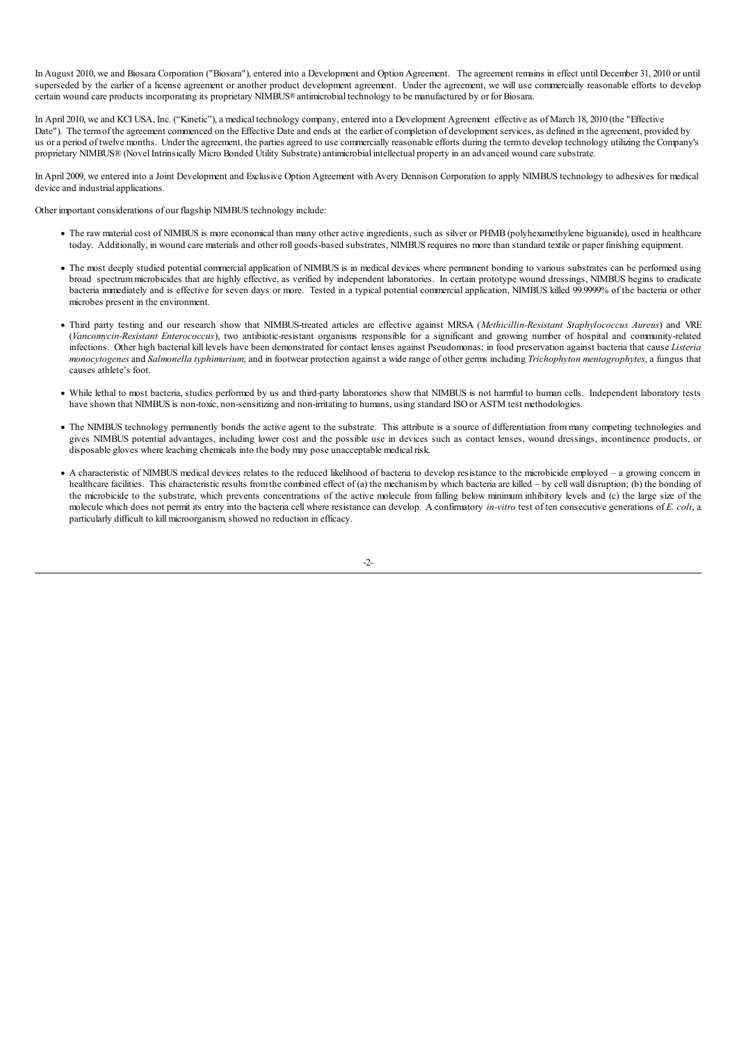In August 2010, we and Biosara Corporation ("Biosara"), entered into a Development and Option Agreement. The agreement remains in effect until December 31, 2010 or until superseded by the earlier of a license agreement or another product development agreement. Under the agreement, we will use commercially reasonable efforts to develop certain wound care products incorporating its proprietary NIMBUS®antimicrobial technology to be manufactured by or for Biosara.

In April 2010, we and KCI USA, Inc. ("Kinetic"), a medical technology company, entered into a Development Agreement effective as of March 18, 2010 (the "Effective Date"). The term of the agreement commenced on the Effective Date and ends at the earlier of completion of development services, as defined in the agreement, provided by us ora period of twelve months. Under the agreement, the parties agreed to use commercially reasonable efforts during the termto develop technology utilizing the Company's proprietary NIMBUS® (Novel Intrinsically Micro Bonded Utility Substrate) antimicrobial intellectual property in an advanced wound care substrate.

In April 2009, we entered into a Joint Development and Exclusive Option Agreement with Avery Dennison Corporation to apply NIMBUS technology to adhesives for medical device and industrialapplications.

Other important considerations of our flagship NIMBUS technology include:

- The raw material cost of NIMBUS is more economical than many other active ingredients, such as silver or PHMB (polyhexamethylene biguanide), used in healthcare today. Additionally, in wound care materials and other roll goods-based substrates, NIMBUS requires no more than standard textile or paper finishing equipment.
- The most deeply studied potential commercial application of NIMBUS is in medical devices where permanent bonding to various substrates can be performed using broad spectrummicrobicides that are highly effective, as verified by independent laboratories. In certain prototype wound dressings, NIMBUS begins to eradicate bacteria immediately and is effective for seven days or more. Tested in a typical potential commercial application, NIMBUS killed 99.9999% of the bacteria or other microbes present in the environment.
- · Third party testing and our research show that NIMBUS-treated articles are effective against MRSA (*Methicillin-Resistant Staphylococcus Aureus*) and VRE (*Vancomycin-Resistant Enterococcus*), two antibiotic-resistant organisms responsible for a significant and growing number of hospital and community-related infections. Other high bacterial kill levels have been demonstrated for contact lenses against Pseudomonas; in food preservation against bacteria that cause *Listeria monocytogenes*and *Salmonella typhimurium*; and in footwear protection against a wide range of other germs including *Trichophyton mentagrophytes*, a fungus that causes athlete's foot.
- · While lethal to most bacteria, studies performed by us and third-party laboratories show that NIMBUS is not harmful to human cells. Independent laboratory tests have shown that NIMBUS is non-toxic, non-sensitizing and non-irritating to humans, using standard ISOor ASTM test methodologies.
- · The NIMBUS technology permanently bonds the active agent to the substrate. This attribute is a source of differentiation frommany competing technologies and gives NIMBUS potential advantages, including lower cost and the possible use in devices such as contact lenses, wound dressings, incontinence products, or disposable gloves where leaching chemicals into the body may pose unacceptable medical risk.
- · A characteristic of NIMBUS medical devices relates to the reduced likelihood of bacteria to develop resistance to the microbicide employed a growing concern in healthcare facilities. This characteristic results from the combined effect of (a) the mechanism by which bacteria are killed – by cell wall disruption; (b) the bonding of the microbicide to the substrate, which prevents concentrations of the active molecule from falling below minimum inhibitory levels and (c) the large size of the molecule which does not permit its entry into the bacteria cell where resistance can develop. A confirmatory *in-vitro* test of ten consecutive generations of *E. coli*, a particularly difficult to kill microorganism, showed no reduction in efficacy.

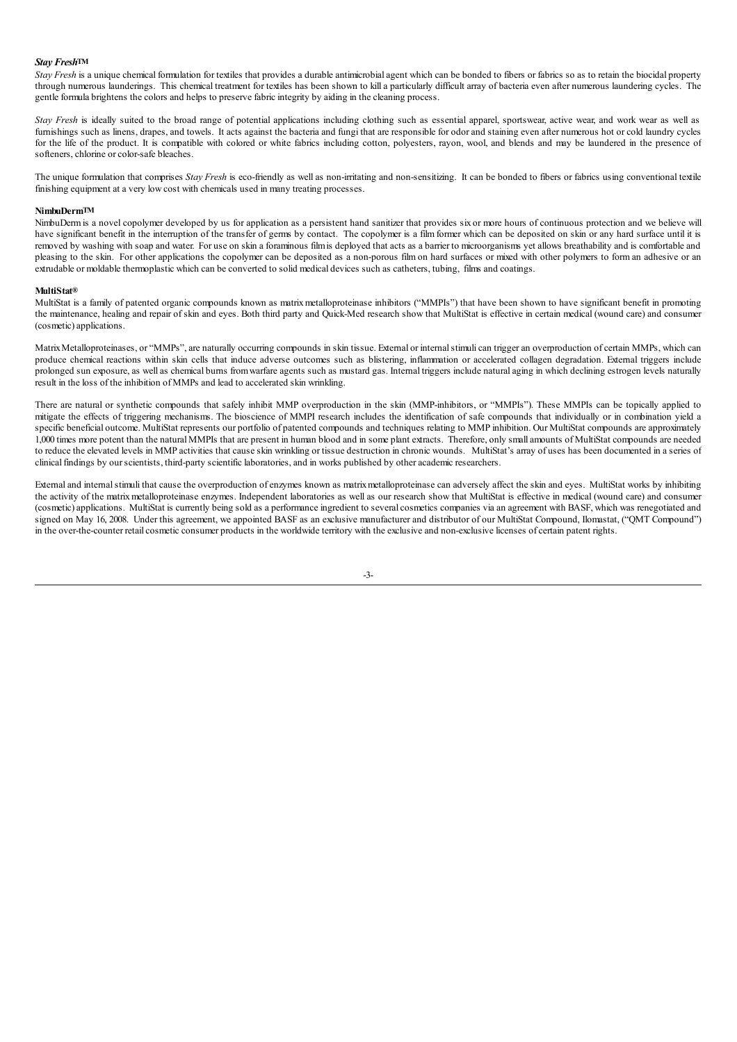### *Stay Fresh***TM**

*Stay Fresh* is a unique chemical formulation for textiles that provides a durable antimicrobialagent which can be bonded to fibers or fabrics so as to retain the biocidal property through numerous launderings. This chemical treatment for textiles has been shown to killa particularly difficult array of bacteria even after numerous laundering cycles. The gentle formula brightens the colors and helps to preserve fabric integrity by aiding in the cleaning process.

*Stay Fresh* is ideally suited to the broad range of potential applications including clothing such as essential apparel, sportswear, active wear, and work wear as well as furnishings such as linens, drapes, and towels. It acts against the bacteria and fungi that are responsible for odor and staining even after numerous hot or cold laundry cycles for the life of the product. It is compatible with colored or white fabrics including cotton, polyesters, rayon, wool, and blends and may be laundered in the presence of softeners, chlorine or color-safe bleaches.

The unique formulation that comprises *Stay Fresh* is eco-friendly as well as non-irritating and non-sensitizing. It can be bonded to fibers or fabrics using conventional textile finishing equipment at a very lowcost with chemicals used in many treating processes.

## **NimbuDermTM**

NimbuDermis a novel copolymer developed by us for application as a persistent hand sanitizer that provides six or more hours of continuous protection and we believe will have significant benefit in the interruption of the transfer of germs by contact. The copolymer is a film former which can be deposited on skin or any hard surface until it is removed by washing with soap and water. For use on skin a foraminous filmis deployed that acts as a barrier to microorganisms yet allows breathability and is comfortable and pleasing to the skin. For other applications the copolymer can be deposited as a non-porous film on hard surfaces or mixed with other polymers to form an adhesive or an extrudable ormoldable thermoplastic which can be converted to solid medical devices such as catheters, tubing, films and coatings.

#### **MultiStat®**

MultiStat is a family of patented organic compounds known as matrix metalloproteinase inhibitors ("MMPIs") that have been shown to have significant benefit in promoting the maintenance, healing and repair of skin and eyes. Both third party and Quick-Med research show that MultiStat is effective in certain medical (wound care) and consumer (cosmetic)applications.

Matrix Metalloproteinases, or "MMPs", are naturally occurring compounds in skin tissue. External or internal stimuli can trigger an overproduction of certain MMPs, which can produce chemical reactions within skin cells that induce adverse outcomes such as blistering, inflammation or accelerated collagen degradation. External triggers include prolonged sun exposure, as well as chemical burns from warfare agents such as mustard gas. Internal triggers include natural aging in which declining estrogen levels naturally result in the loss of the inhibition of MMPs and lead to accelerated skin wrinkling.

There are natural or synthetic compounds that safely inhibit MMP overproduction in the skin (MMP-inhibitors, or "MMPIs"). These MMPIs can be topically applied to mitigate the effects of triggering mechanisms. The bioscience of MMPI research includes the identification of safe compounds that individually or in combination yield a specific beneficial outcome. MultiStat represents our portfolio of patented compounds and techniques relating to MMP inhibition. Our MultiStat compounds are approximately 1,000 times more potent than the naturalMMPIs that are present in human blood and in some plant extracts. Therefore, only smallamounts of MultiStat compounds are needed to reduce the elevated levels in MMP activities that cause skin wrinkling or tissue destruction in chronic wounds. MultiStat's array of uses has been documented in a series of clinical findings by ourscientists, third-party scientific laboratories,and in works published by otheracademic researchers.

Externaland internalstimuli that cause the overproduction ofenzymes known as matrixmetalloproteinase can adversely affect the skin and eyes. MultiStat works by inhibiting the activity of the matrix metalloproteinase enzymes. Independent laboratories as well as our research show that MultiStat is effective in medical (wound care) and consumer (cosmetic)applications. MultiStat is currently being sold as a performance ingredient to severalcosmetics companies via an agreement with BASF, which was renegotiated and signed on May 16, 2008. Under this agreement, we appointed BASF as an exclusive manufacturer and distributor of our MultiStat Compound, Ilomastat, ("OMT Compound") in the over-the-counter retail cosmetic consumer products in the worldwide territory with the exclusive and non-exclusive licenses of certain patent rights.

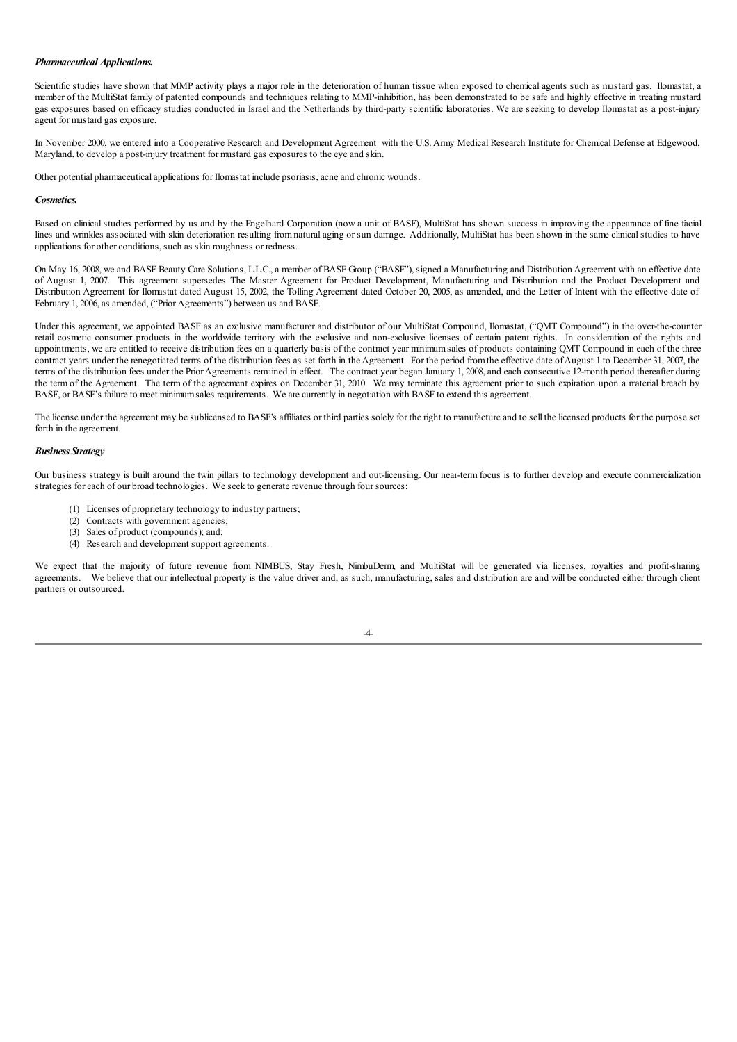## *Pharmaceutical Applications.*

Scientific studies have shown that MMP activity plays a major role in the deterioration of human tissue when exposed to chemical agents such as mustard gas. Ilomastat, a member of the MultiStat family of patented compounds and techniques relating to MMP-inhibition, has been demonstrated to be safe and highly effective in treating mustard gas exposures based on efficacy studies conducted in Israel and the Netherlands by third-party scientific laboratories. We are seeking to develop Ilomastat as a post-injury agent formustard gas exposure.

In November 2000, we entered into a Cooperative Research and Development Agreement with the U.S.Army Medical Research Institute for Chemical Defense at Edgewood, Maryland, to develop a post-injury treatment formustard gas exposures to the eye and skin.

Other potential pharmaceutical applications for Ilomastat include psoriasis, acne and chronic wounds.

### *Cosmetics.*

Based on clinical studies performed by us and by the Engelhard Corporation (now a unit of BASF). MultiStat has shown success in improving the appearance of fine facial lines and wrinkles associated with skin deterioration resulting fromnaturalaging or sun damage. Additionally, MultiStat has been shown in the same clinical studies to have applications for other conditions, such as skin roughness or redness.

On May 16, 2008, we and BASF Beauty Care Solutions, L.L.C.,a member of BASF Group ("BASF"), signed a Manufacturing and Distribution Agreement with an effective date of August 1, 2007. This agreement supersedes The Master Agreement for Product Development, Manufacturing and Distribution and the Product Development and Distribution Agreement for Ilomastat dated August 15, 2002, the Tolling Agreement dated October 20, 2005, as amended, and the Letter of Intent with the effective date of February 1, 2006, as amended, ("Prior Agreements") between us and BASF.

Under this agreement, we appointed BASF as an exclusive manufacturer and distributor of our MultiStat Compound, Ilomastat, ("QMT Compound") in the over-the-counter retail cosmetic consumer products in the worldwide territory with the exclusive and non-exclusive licenses of certain patent rights. In consideration of the rights and appointments, we are entitled to receive distribution fees on a quarterly basis of the contract year minimum sales of products containing QMT Compound in each of the three contract years under the renegotiated terms of the distribution fees as set forth in the Agreement. For the period from the effective date of August 1 to December 31, 2007, the terms of the distribution fees under the Prior Agreements remained in effect. The contract year began January 1, 2008, and each consecutive 12-month period thereafter during the term of the Agreement. The term of the agreement expires on December 31, 2010. We may terminate this agreement prior to such expiration upon a material breach by BASF, or BASF's failure to meet minimumsales requirements. We are currently in negotiation with BASF to extend this agreement.

The license under the agreement may be sublicensed to BASF's affiliates or third parties solely for the right to manufacture and to sell the licensed products for the purpose set forth in the agreement.

## *Business Strategy*

Our business strategy is built around the twin pillars to technology development and out-licensing. Our near-termfocus is to further develop and execute commercialization strategies foreach of our broad technologies. We seek to generate revenue through foursources:

- (1) Licenses of proprietary technology to industry partners;
- (2) Contracts with government agencies;
- (3) Sales of product (compounds); and;
- (4) Research and development support agreements.

We expect that the majority of future revenue from NIMBUS, Stay Fresh, NimbuDerm, and MultiStat will be generated via licenses, royalties and profit-sharing agreements. We believe that our intellectual property is the value driver and, as such, manufacturing, sales and distribution are and will be conducted either through client partners or outsourced.

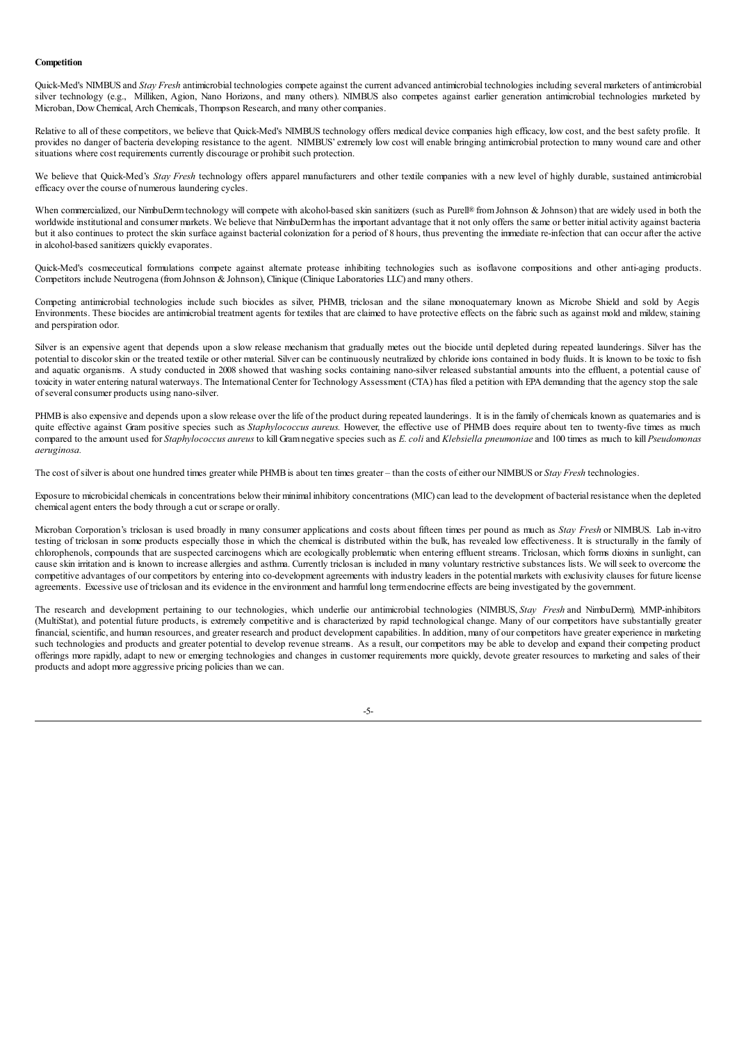## **Competition**

Quick-Med's NIMBUS and *Stay Fresh* antimicrobial technologies compete against the current advanced antimicrobial technologies including several marketers ofantimicrobial silver technology (e.g., Milliken, Agion, Nano Horizons, and many others). NIMBUS also competes against earlier generation antimicrobial technologies marketed by Microban, Dow Chemical, Arch Chemicals, Thompson Research, and many other companies.

Relative to all of these competitors, we believe that Quick-Med's NIMBUS technology offers medical device companies high efficacy, low cost, and the best safety profile. It provides no danger of bacteria developing resistance to the agent. NIMBUS'extremely low cost will enable bringing antimicrobial protection to many wound care and other situations where cost requirements currently discourage or prohibit such protection.

We believe that Quick-Med's *Stay Fresh* technology offers apparel manufacturers and other textile companies with a new level of highly durable, sustained antimicrobial efficacy over the course of numerous laundering cycles.

When commercialized, our NimbuDermtechnology will compete with alcohol-based skin sanitizers (such as Purell® from Johnson & Johnson) that are widely used in both the worldwide institutional and consumer markets. We believe that NimbuDerm has the important advantage that it not only offers the same or better initial activity against bacteria but it also continues to protect the skin surface against bacterial colonization for a period of 8 hours, thus preventing the immediate re-infection that can occur after the active in alcohol-based sanitizers quickly evaporates.

Quick-Med's cosmeceutical formulations compete against alternate protease inhibiting technologies such as isoflavone compositions and other anti-aging products. Competitors include Neutrogena (from Johnson & Johnson), Clinique (Clinique Laboratories LLC) and many others.

Competing antimicrobial technologies include such biocides as silver, PHMB, triclosan and the silane monoquaternary known as Microbe Shield and sold by Aegis Environments. These biocides are antimicrobial treatment agents for textiles that are claimed to have protective effects on the fabric such as against mold and mildew, staining and perspiration odor.

Silver is an expensive agent that depends upon a slow release mechanism that gradually metes out the biocide until depleted during repeated launderings. Silver has the potential to discolor skin or the treated textile or other material. Silver can be continuously neutralized by chloride ions contained in body fluids. It is known to be toxic to fish and aquatic organisms. A study conducted in 2008 showed that washing socks containing nano-silver released substantial amounts into the effluent, a potential cause of toxicity in water entering natural waterways. The International Center for Technology Assessment (CTA) has filed a petition with EPA demanding that the agency stop the sale of several consumer products using nano-silver.

PHMB is also expensive and depends upon a slow release over the life of the product during repeated launderings. It is in the family of chemicals known as quaternaries and is quite effective against Gram positive species such as *Staphylococcus aureus*. However, the effective use of PHMB does require about ten to twenty-five times as much compared to the amount used for *Staphylococcus aureus* to kill Gramnegative species such as *E.coli* and *Klebsiella pneumoniae* and 100 times as much to kill *Pseudomonas aeruginosa.*

The cost ofsilver is about one hundred times greater while PHMBis about ten times greater – than the costs ofeither our NIMBUS or *Stay Fresh* technologies.

Exposure to microbicidal chemicals in concentrations below their minimal inhibitory concentrations (MIC) can lead to the development of bacterial resistance when the depleted chemicalagent enters the body through a cut orscrape or orally.

Microban Corporation's triclosan is used broadly in many consumer applications and costs about fifteen times per pound as much as *Stay Fresh* or NIMBUS. Lab in-vitro testing of triclosan in some products especially those in which the chemical is distributed within the bulk, has revealed low effectiveness. It is structurally in the family of chlorophenols, compounds that are suspected carcinogens which are ecologically problematic when entering effluent streams. Triclosan, which forms dioxins in sunlight, can cause skin irritation and is known to increase allergies and asthma. Currently triclosan is included in many voluntary restrictive substances lists. We will seek to overcome the competitive advantages of ourcompetitors by entering into co-development agreements with industry leaders in the potentialmarkets with exclusivity clauses for future license agreements. Excessive use of triclosan and its evidence in the environment and harmful long termendocrine effects are being investigated by the government.

The research and development pertaining to our technologies, which underlie our antimicrobial technologies (NIMBUS, *Stay Fresh* and NimbuDerm)*,* MMP-inhibitors (MultiStat), and potential future products, is extremely competitive and is characterized by rapid technological change. Many of our competitors have substantially greater financial, scientific, and human resources, and greater research and product development capabilities. In addition, many of our competitors have greater experience in marketing such technologies and products and greater potential to develop revenue streams. As a result, our competitors may be able to develop and expand their competing product offerings more rapidly, adapt to new or emerging technologies and changes in customer requirements more quickly, devote greater resources to marketing and sales of their products and adopt more aggressive pricing policies than we can.

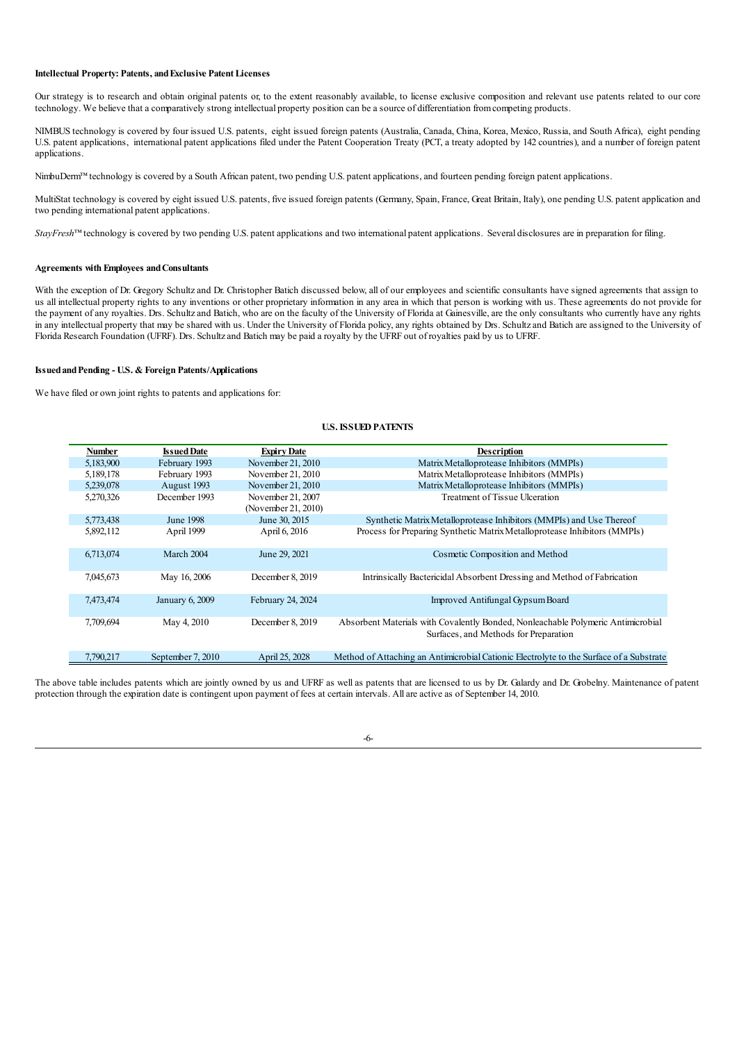### **Intellectual Property: Patents, andExclusive Patent Licenses**

Our strategy is to research and obtain original patents or, to the extent reasonably available, to license exclusive composition and relevant use patents related to our core technology. We believe that a comparatively strong intellectual property position can be a source of differentiation fromcompeting products.

NIMBUS technology is covered by four issued U.S. patents, eight issued foreign patents (Australia, Canada, China, Korea, Mexico, Russia, and South Africa), eight pending U.S. patent applications, international patent applications filed under the Patent Cooperation Treaty (PCT, a treaty adopted by 142 countries), and a number of foreign patent applications.

NimbuDerm™ technology is covered by a South African patent, two pending U.S. patent applications, and fourteen pending foreign patent applications.

MultiStat technology is covered by eight issued U.S. patents, five issued foreign patents (Germany, Spain, France, Great Britain, Italy), one pending U.S. patent application and two pending international patent applications.

*StayFresh*™ technology is covered by two pending U.S. patent applications and two international patent applications. Several disclosures are in preparation for filing.

## **Agreements with Employees andConsultants**

With the exception of Dr. Gregory Schultz and Dr. Christopher Batich discussed below, all of our employees and scientific consultants have signed agreements that assign to us all intellectual property rights to any inventions or other proprietary information in any area in which that person is working with us. These agreements do not provide for the payment of any royalties. Drs. Schultz and Batich, who are on the faculty of the University of Florida at Gainesville, are the only consultants who currently have any rights in any intellectual property that may be shared with us. Under the University of Florida policy, any rights obtained by Drs. Schultz and Batich are assigned to the University of Florida Research Foundation (UFRF). Drs. Schultzand Batich may be paid a royalty by the UFRF out of royalties paid by us to UFRF.

### **IssuedandPending - U.S. & Foreign Patents/Applications**

We have filed or own joint rights to patents and applications for:

# **U.S. ISSUED PATENTS**

| <b>Number</b> | <b>Issued Date</b> | <b>Expiry Date</b>                       | <b>Description</b>                                                                                                        |
|---------------|--------------------|------------------------------------------|---------------------------------------------------------------------------------------------------------------------------|
| 5,183,900     | February 1993      | November 21, 2010                        | Matrix Metalloprotease Inhibitors (MMPIs)                                                                                 |
| 5,189,178     | February 1993      | November 21, 2010                        | Matrix Metalloprotease Inhibitors (MMPIs)                                                                                 |
| 5,239,078     | August 1993        | November 21, 2010                        | Matrix Metalloprotease Inhibitors (MMPIs)                                                                                 |
| 5,270,326     | December 1993      | November 21, 2007<br>(November 21, 2010) | Treatment of Tissue Ulceration                                                                                            |
| 5,773,438     | June 1998          | June 30, 2015                            | Synthetic Matrix Metalloprotease Inhibitors (MMPIs) and Use Thereof                                                       |
| 5,892,112     | April 1999         | April 6, 2016                            | Process for Preparing Synthetic Matrix Metalloprotease Inhibitors (MMPIs)                                                 |
| 6,713,074     | March 2004         | June 29, 2021                            | Cosmetic Composition and Method                                                                                           |
| 7,045,673     | May 16, 2006       | December 8, 2019                         | Intrinsically Bactericidal Absorbent Dressing and Method of Fabrication                                                   |
| 7,473,474     | January 6, 2009    | February 24, 2024                        | Improved Antifungal Gypsum Board                                                                                          |
| 7,709,694     | May 4, 2010        | December 8, 2019                         | Absorbent Materials with Covalently Bonded, Nonleachable Polymeric Antimicrobial<br>Surfaces, and Methods for Preparation |
| 7,790,217     | September 7, 2010  | April 25, 2028                           | Method of Attaching an Antimicrobial Cationic Electrolyte to the Surface of a Substrate                                   |

The above table includes patents which are jointly owned by us and UFRF as well as patents that are licensed to us by Dr. Galardy and Dr. Grobelny. Maintenance of patent protection through the expiration date is contingent upon payment of fees at certain intervals. Allare active as of September 14, 2010.

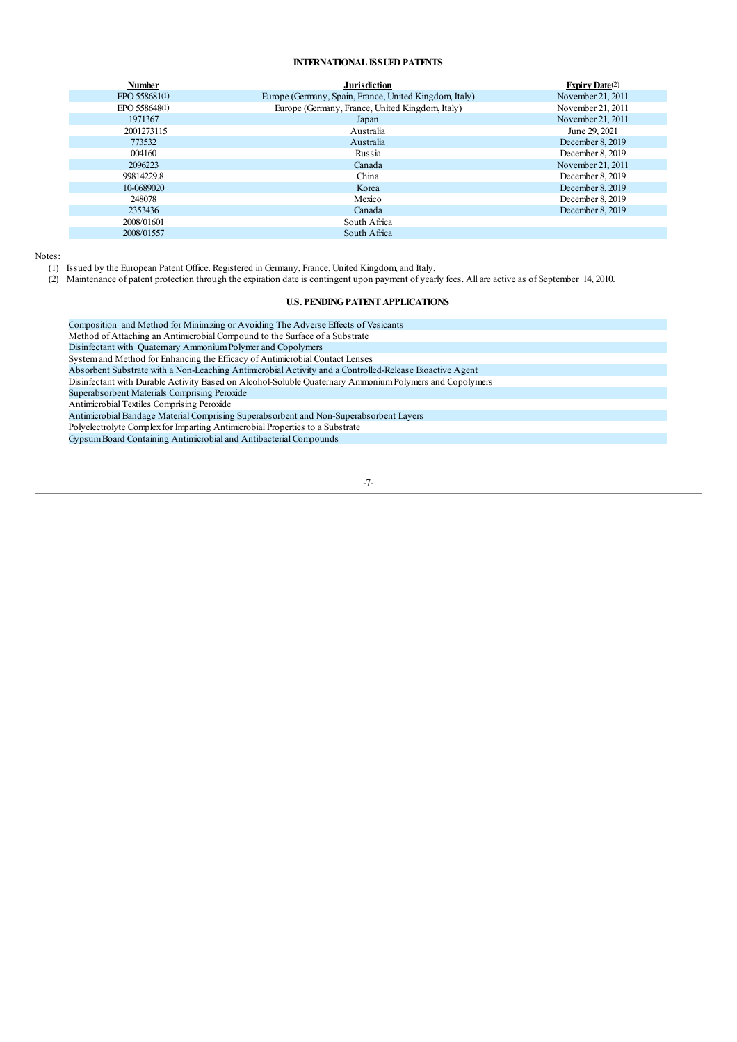# **INTERNATIONAL ISSUED PATENTS**

| <b>Number</b> | <b>Jurisdiction</b>                                    | <b>Expiry Date</b> (2) |
|---------------|--------------------------------------------------------|------------------------|
| EPO 558681(1) | Europe (Germany, Spain, France, United Kingdom, Italy) | November 21, 2011      |
| EPO 558648(1) | Europe (Germany, France, United Kingdom, Italy)        | November 21, 2011      |
| 1971367       | Japan                                                  | November 21, 2011      |
| 2001273115    | Australia                                              | June 29, 2021          |
| 773532        | Australia                                              | December 8, 2019       |
| 004160        | Russia                                                 | December 8, 2019       |
| 2096223       | Canada                                                 | November 21, 2011      |
| 99814229.8    | China                                                  | December 8, 2019       |
| 10-0689020    | Korea                                                  | December 8, 2019       |
| 248078        | Mexico                                                 | December 8, 2019       |
| 2353436       | Canada                                                 | December 8, 2019       |
| 2008/01601    | South Africa                                           |                        |
| 2008/01557    | South Africa                                           |                        |

Notes:

(1) Issued by the European Patent Office. Registered in Germany, France, United Kingdom,and Italy.

(2) Maintenance of patent protection through the expiration date is contingent upon payment of yearly fees. Allare active as of September 14, 2010.

# **U.S. PENDINGPATENTAPPLICATIONS**

| Composition and Method for Minimizing or Avoiding The Adverse Effects of Vesicants                      |  |  |  |  |
|---------------------------------------------------------------------------------------------------------|--|--|--|--|
| Method of Attaching an Antimicrobial Compound to the Surface of a Substrate                             |  |  |  |  |
| Disinfectant with Quaternary Ammonium Polymer and Copolymers                                            |  |  |  |  |
| System and Method for Enhancing the Efficacy of Antimicrobial Contact Lenses                            |  |  |  |  |
| Absorbent Substrate with a Non-Leaching Antimicrobial Activity and a Controlled-Release Bioactive Agent |  |  |  |  |
| Disinfectant with Durable Activity Based on Alcohol-Soluble Quaternary Ammonium Polymers and Copolymers |  |  |  |  |
| Superabsorbent Materials Comprising Peroxide                                                            |  |  |  |  |
| Antimicrobial Textiles Comprising Peroxide                                                              |  |  |  |  |
| Antimicrobial Bandage Material Comprising Superabsorbent and Non-Superabsorbent Layers                  |  |  |  |  |
| Polyelectrolyte Complex for Imparting Antimicrobial Properties to a Substrate                           |  |  |  |  |
| Gypsum Board Containing Antimicrobial and Antibacterial Compounds                                       |  |  |  |  |

-7-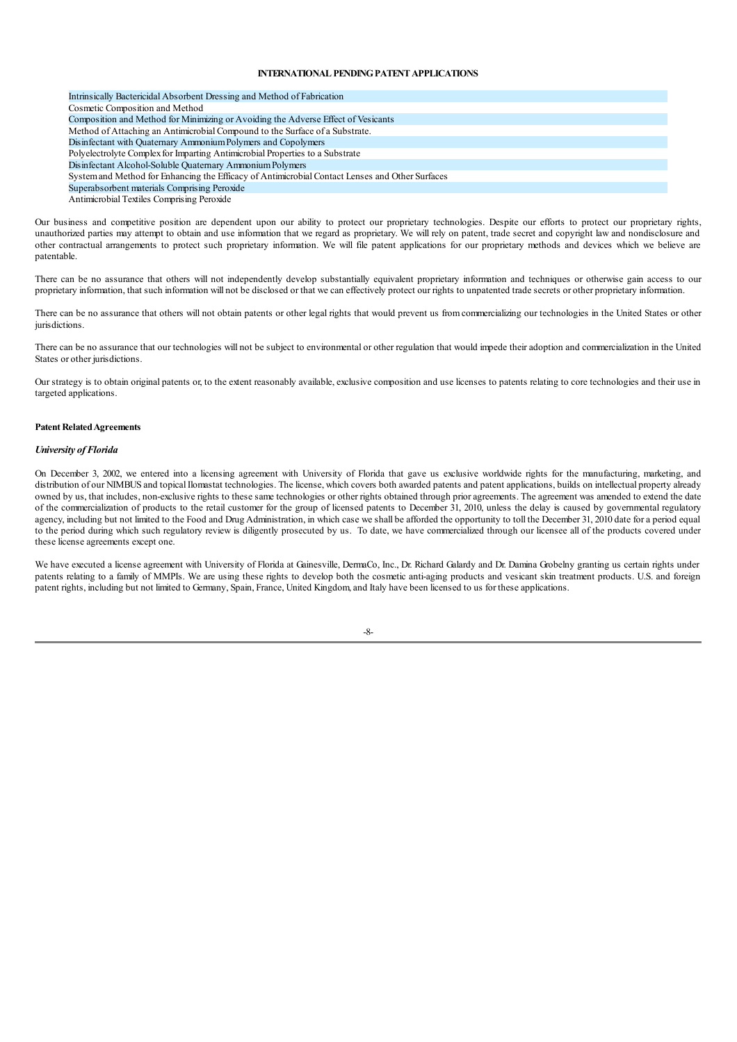# **INTERNATIONALPENDINGPATENTAPPLICATIONS**

| Intrinsically Bactericidal Absorbent Dressing and Method of Fabrication                         |
|-------------------------------------------------------------------------------------------------|
| Cosmetic Composition and Method                                                                 |
| Composition and Method for Minimizing or Avoiding the Adverse Effect of Vesicants               |
| Method of Attaching an Antimicrobial Compound to the Surface of a Substrate.                    |
| Disinfectant with Quaternary Ammonium Polymers and Copolymers                                   |
| Polyelectrolyte Complex for Imparting Antimicrobial Properties to a Substrate                   |
| Disinfectant Alcohol-Soluble Quaternary Ammonium Polymers                                       |
| System and Method for Enhancing the Efficacy of Antimicrobial Contact Lenses and Other Surfaces |
| Superabsorbent materials Comprising Peroxide                                                    |
| Antimicrobial Textiles Comprising Peroxide                                                      |

Our business and competitive position are dependent upon our ability to protect our proprietary technologies. Despite our efforts to protect our proprietary rights, unauthorized parties may attempt to obtain and use information that we regard as proprietary. We will rely on patent, trade secret and copyright law and nondisclosure and other contractual arrangements to protect such proprietary information. We will file patent applications for our proprietary methods and devices which we believe are patentable.

There can be no assurance that others will not independently develop substantially equivalent proprietary information and techniques or otherwise gain access to our proprietary information, that such information will not be disclosed or that we can effectively protect our rights to unpatented trade secrets or other proprietary information.

There can be no assurance that others will not obtain patents or other legal rights that would prevent us from commercializing our technologies in the United States or other jurisdictions.

There can be no assurance that our technologies will not be subject to environmental or other regulation that would impede their adoption and commercialization in the United States or other jurisdictions.

Our strategy is to obtain original patents or, to the extent reasonably available, exclusive composition and use licenses to patents relating to core technologies and their use in targeted applications.

### **Patent Related Agreements**

#### *University* of **Florida**

On December 3, 2002, we entered into a licensing agreement with University of Florida that gave us exclusive worldwide rights for the manufacturing, marketing, and distribution of our NIMBUS and topical Ilomastat technologies. The license, which covers both awarded patents and patent applications, builds on intellectual property already owned by us, that includes, non-exclusive rights to these same technologies or other rights obtained through prioragreements. The agreement was amended to extend the date of the commercialization of products to the retail customer for the group of licensed patents to December 31, 2010, unless the delay is caused by governmental regulatory agency, including but not limited to the Food and Drug Administration, in which case we shall be afforded the opportunity to toll the December 31, 2010 date for a period equal to the period during which such regulatory review is diligently prosecuted by us. To date, we have commercialized through our licensee all of the products covered under these license agreements except one.

We have executed a license agreement with University of Florida at Gainesville, DermaCo, Inc., Dr. Richard Galardy and Dr. Damina Grobelny granting us certain rights under patents relating to a family of MMPIs. We are using these rights to develop both the cosmetic anti-aging products and vesicant skin treatment products. U.S. and foreign patent rights, including but not limited to Germany, Spain, France, United Kingdom,and Italy have been licensed to us for these applications.

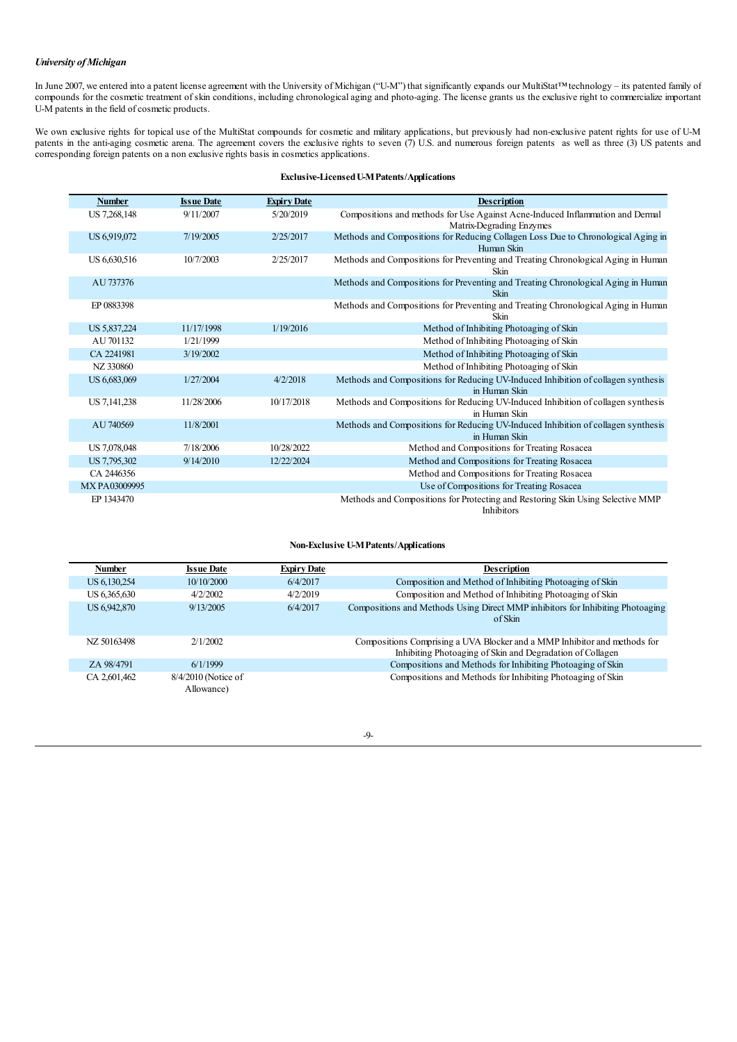# *University ofMichigan*

In June 2007, we entered into a patent license agreement with the University of Michigan ("U-M") that significantly expands our MultiStat™technology – its patented family of compounds for the cosmetic treatment of skin conditions, including chronologicalaging and photo-aging. The license grants us the exclusive right to commercialize important U-M patents in the field of cosmetic products.

We own exclusive rights for topical use of the MultiStat compounds for cosmetic and military applications, but previously had non-exclusive patent rights for use of U-M patents in the anti-aging cosmetic arena. The agreement covers the exclusive rights to seven (7) U.S. and numerous foreign patents as well as three (3) US patents and corresponding foreign patents on a non exclusive rights basis in cosmetics applications.

## **Exclusive-LicensedU-MPatents/Applications**

| <b>Number</b>        | <b>Issue Date</b> | <b>Expiry Date</b> | <b>Description</b>                                                                                        |
|----------------------|-------------------|--------------------|-----------------------------------------------------------------------------------------------------------|
| US 7,268,148         | 9/11/2007         | 5/20/2019          | Compositions and methods for Use Against Acne-Induced Inflammation and Dermal<br>Matrix-Degrading Enzymes |
| US 6,919,072         | 7/19/2005         | 2/25/2017          | Methods and Compositions for Reducing Collagen Loss Due to Chronological Aging in<br>Human Skin           |
| US 6,630,516         | 10/7/2003         | 2/25/2017          | Methods and Compositions for Preventing and Treating Chronological Aging in Human<br>Skin                 |
| AU 737376            |                   |                    | Methods and Compositions for Preventing and Treating Chronological Aging in Human<br>Skin                 |
| EP 0883398           |                   |                    | Methods and Compositions for Preventing and Treating Chronological Aging in Human<br>Skin                 |
| US 5,837,224         | 11/17/1998        | 1/19/2016          | Method of Inhibiting Photoaging of Skin                                                                   |
| AU 701132            | 1/21/1999         |                    | Method of Inhibiting Photoaging of Skin                                                                   |
| CA 2241981           | 3/19/2002         |                    | Method of Inhibiting Photoaging of Skin                                                                   |
| NZ 330860            |                   |                    | Method of Inhibiting Photoaging of Skin                                                                   |
| US 6,683,069         | 1/27/2004         | 4/2/2018           | Methods and Compositions for Reducing UV-Induced Inhibition of collagen synthesis<br>in Human Skin        |
| US 7,141,238         | 11/28/2006        | 10/17/2018         | Methods and Compositions for Reducing UV-Induced Inhibition of collagen synthesis<br>in Human Skin        |
| AU 740569            | 11/8/2001         |                    | Methods and Compositions for Reducing UV-Induced Inhibition of collagen synthesis<br>in Human Skin        |
| US 7,078,048         | 7/18/2006         | 10/28/2022         | Method and Compositions for Treating Rosacea                                                              |
| US 7,795,302         | 9/14/2010         | 12/22/2024         | Method and Compositions for Treating Rosacea                                                              |
| CA 2446356           |                   |                    | Method and Compositions for Treating Rosacea                                                              |
| <b>MX PA03009995</b> |                   |                    | Use of Compositions for Treating Rosacea                                                                  |
| EP 1343470           |                   |                    | Methods and Compositions for Protecting and Restoring Skin Using Selective MMP<br><b>Inhibitors</b>       |

### **Non-Exclusive U-MPatents/Applications**

| <b>Number</b> | <b>Issue Date</b>                 | <b>Expiry Date</b> | <b>Description</b>                                                                                                                     |
|---------------|-----------------------------------|--------------------|----------------------------------------------------------------------------------------------------------------------------------------|
| US 6,130,254  | 10/10/2000                        | 6/4/2017           | Composition and Method of Inhibiting Photoaging of Skin                                                                                |
| US 6,365,630  | 4/2/2002                          | 4/2/2019           | Composition and Method of Inhibiting Photoaging of Skin                                                                                |
| US 6,942,870  | 9/13/2005                         | 6/4/2017           | Compositions and Methods Using Direct MMP inhibitors for Inhibiting Photoaging<br>of Skin                                              |
| NZ 50163498   | 2/1/2002                          |                    | Compositions Comprising a UVA Blocker and a MMP Inhibitor and methods for<br>Inhibiting Photoaging of Skin and Degradation of Collagen |
| ZA 98/4791    | 6/1/1999                          |                    | Compositions and Methods for Inhibiting Photoaging of Skin                                                                             |
| CA 2,601,462  | 8/4/2010 (Notice of<br>Allowance) |                    | Compositions and Methods for Inhibiting Photoaging of Skin                                                                             |

## -9-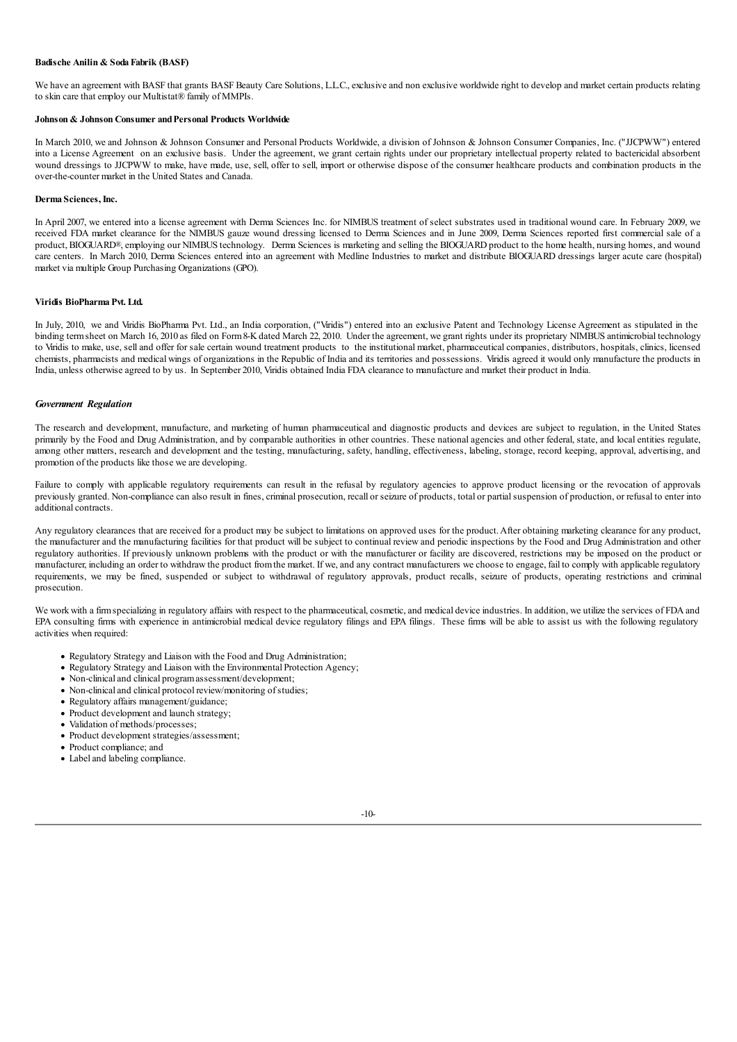## **Badische Anilin & Soda Fabrik (BASF)**

We have an agreement with BASF that grants BASF Beauty Care Solutions, L.L.C., exclusive and non exclusive worldwide right to develop and market certain products relating to skin care that employ our Multistat® family of MMPIs.

### **Johnson & Johnson Consumer andPersonal Products Worldwide**

In March 2010, we and Johnson & Johnson Consumer and Personal Products Worldwide, a division of Johnson & Johnson Consumer Companies, Inc. ("JJCPWW") entered into a License Agreement on an exclusive basis. Under the agreement, we grant certain rights under our proprietary intellectual property related to bactericidal absorbent wound dressings to JJCPWW to make, have made, use, sell, offer to sell, import or otherwise dispose of the consumer healthcare products and combination products in the over-the-counter market in the United States and Canada.

## **Derma Sciences, Inc.**

In April 2007, we entered into a license agreement with Derma Sciences Inc. for NIMBUS treatment of select substrates used in traditional wound care. In February 2009, we received FDA market clearance for the NIMBUS gauze wound dressing licensed to Derma Sciences and in June 2009, Derma Sciences reported first commercial sale of a product, BIOGUARD®, employing our NIMBUS technology. Derma Sciences is marketing and selling the BIOGUARD product to the home health, nursing homes, and wound care centers. In March 2010, Derma Sciences entered into an agreement with Medline Industries to market and distribute BIOGUARD dressings larger acute care (hospital) market via multiple Group Purchasing Organizations (GPO).

### **Viridis BioPharma Pvt. Ltd.**

In July, 2010, we and Viridis BioPharma Pvt. Ltd., an India corporation, ("Viridis") entered into an exclusive Patent and Technology License Agreement as stipulated in the binding termsheet on March 16, 2010 as filed on Form8-K dated March 22, 2010. Under the agreement, we grant rights under its proprietary NIMBUS antimicrobial technology to Viridis to make, use, sell and offer for sale certain wound treatment products to the institutional market, pharmaceutical companies, distributors, hospitals, clinics, licensed chemists, pharmacists and medical wings of organizations in the Republic of India and its territories and possessions. Viridis agreed it would only manufacture the products in India, unless otherwise agreed to by us. In September 2010, Viridis obtained India FDA clearance to manufacture and market their product in India.

# *Government Regulation*

The research and development, manufacture, and marketing of human pharmaceutical and diagnostic products and devices are subject to regulation, in the United States primarily by the Food and Drug Administration, and by comparable authorities in other countries. These national agencies and other federal, state, and local entities regulate, among other matters, research and development and the testing, manufacturing, safety, handling, effectiveness, labeling, storage, record keeping, approval, advertising, and promotion of the products like those we are developing.

Failure to comply with applicable regulatory requirements can result in the refusal by regulatory agencies to approve product licensing or the revocation of approvals previously granted. Non-compliance can also result in fines,criminal prosecution, recall or seizure of products, total or partialsuspension of production, or refusal to enter into additional contracts.

Any regulatory clearances that are received fora product may be subject to limitations on approved uses for the product.After obtaining marketing clearance forany product, the manufacturer and the manufacturing facilities for that product will be subject to continual review and periodic inspections by the Food and Drug Administration and other regulatory authorities. If previously unknown problems with the product or with the manufacturer or facility are discovered, restrictions may be imposed on the product or manufacturer, including an order to withdrawthe product fromthe market. If we,and any contract manufacturers we choose to engage, fail to comply with applicable regulatory requirements, we may be fined, suspended or subject to withdrawal of regulatory approvals, product recalls, seizure of products, operating restrictions and criminal prosecution.

We work with a firm specializing in regulatory affairs with respect to the pharmaceutical, cosmetic, and medical device industries. In addition, we utilize the services of FDA and EPA consulting firms with experience in antimicrobial medical device regulatory filings and EPA filings. These firms will be able to assist us with the following regulatory activities when required:

- · Regulatory Strategy and Liaison with the Food and Drug Administration;
- · Regulatory Strategy and Liaison with the Environmental Protection Agency;
- · Non-clinicaland clinical programassessment/development;
- Non-clinical and clinical protocol review/monitoring of studies;
- · Regulatory affairs management/guidance;
- · Product development and launch strategy;
- Validation of methods/processes;
- · Product development strategies/assessment;
- · Product compliance; and
- · Labeland labeling compliance.

-10-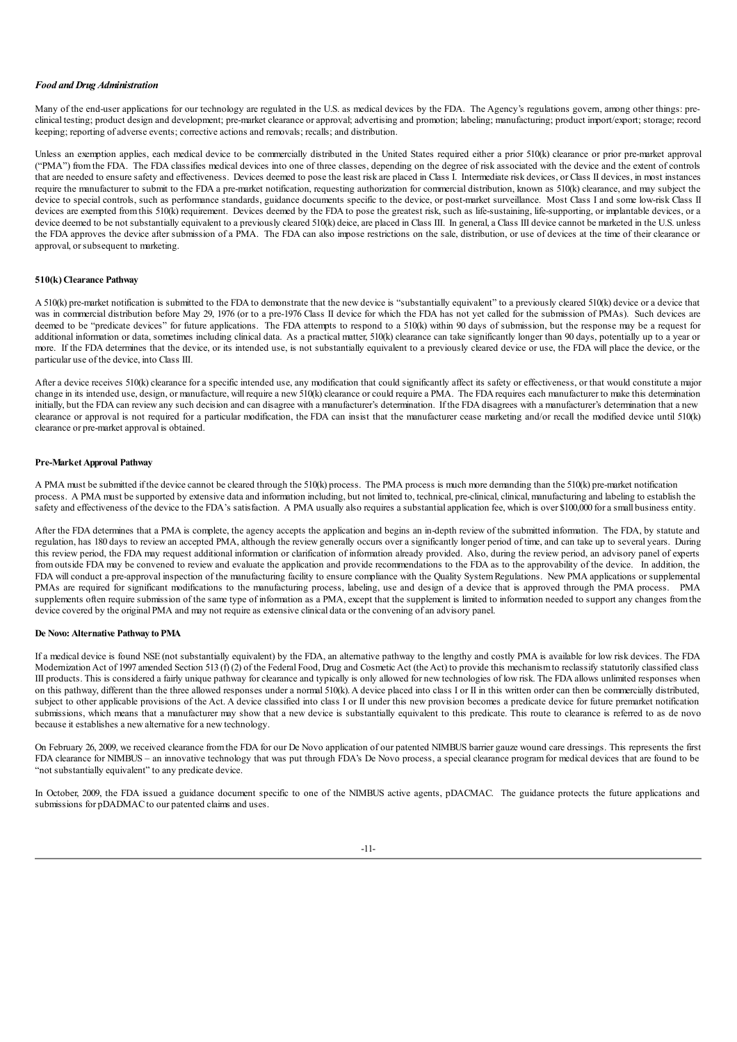### *Food and Drug Administration*

Many of the end-user applications for our technology are regulated in the U.S. as medical devices by the FDA. The Agency's regulations govern, among other things: preclinical testing; product design and development; pre-market clearance orapproval; advertising and promotion; labeling; manufacturing; product import/export; storage; record keeping; reporting of adverse events; corrective actions and removals; recalls; and distribution.

Unless an exemption applies, each medical device to be commercially distributed in the United States required either a prior 510(k) clearance or prior pre-market approval ("PMA") fromthe FDA. The FDA classifies medical devices into one of three classes, depending on the degree of risk associated with the device and the extent of controls that are needed to ensure safety and effectiveness. Devices deemed to pose the least risk are placed in Class I. Intermediate risk devices, or Class II devices, in most instances require the manufacturer to submit to the FDA a pre-market notification, requesting authorization for commercial distribution, known as 510(k) clearance, and may subject the device to special controls, such as performance standards, guidance documents specific to the device, or post-market surveillance. Most Class I and some low-risk Class II devices are exempted from this 510(k) requirement. Devices deemed by the FDA to pose the greatest risk, such as life-sustaining, life-supporting, or implantable devices, or a device deemed to be not substantially equivalent to a previously cleared 510(k) deice, are placed in Class III. In general, a Class III device cannot be marketed in the U.S. unless the FDA approves the device after submission of a PMA. The FDA can also impose restrictions on the sale, distribution, or use of devices at the time of their clearance or approval, or subsequent to marketing.

### **510(k) Clearance Pathway**

A 510(k) pre-market notification is submitted to the FDA to demonstrate that the new device is "substantially equivalent" to a previously cleared 510(k) device ora device that was in commercial distribution before May 29, 1976 (or to a pre-1976 Class II device for which the FDA has not yet called for the submission of PMAs). Such devices are deemed to be "predicate devices" for future applications. The FDA attempts to respond to a 510(k) within 90 days of submission, but the response may be a request for additional information or data, sometimes including clinical data. As a practical matter, 510(k) clearance can take significantly longer than 90 days, potentially up to a year or more. If the FDA determines that the device, or its intended use, is not substantially equivalent to a previously cleared device or use, the FDA will place the device, or the particular use of the device, into Class III.

After a device receives 510(k) clearance for a specific intended use, any modification that could significantly affect its safety or effectiveness, or that would constitute a major change in its intended use, design, or manufacture, will require a new 510(k) clearance or could require a PMA. The FDA requires each manufacturer to make this determination initially, but the FDA can review any such decision and can disagree with a manufacturer's determination. If the FDA disagrees with a manufacturer's determination that a new clearance or approval is not required for a particular modification, the FDA can insist that the manufacturer cease marketing and/or recall the modified device until 510(k) clearance or pre-market approval is obtained.

### **Pre-Market Approval Pathway**

A PMA must be submitted if the device cannot be cleared through the 510(k) process. The PMA process is much more demanding than the 510(k) pre-market notification process. A PMA must be supported by extensive data and information including, but not limited to, technical, pre-clinical, clinical, manufacturing and labeling to establish the safety and effectiveness of the device to the FDA's satisfaction. A PMA usually also requires a substantialapplication fee, which is over \$100,000 fora small business entity.

After the FDA determines that a PMA is complete, the agency accepts the application and begins an in-depth review of the submitted information. The FDA, by statute and regulation, has 180 days to review an accepted PMA, although the review generally occurs over a significantly longer period of time, and can take up to several years. During this review period, the FDA may request additional information or clarification of information already provided. Also, during the review period, an advisory panel of experts from outside FDA may be convened to review and evaluate the application and provide recommendations to the FDA as to the approvability of the device. In addition, the FDA will conduct a pre-approval inspection of the manufacturing facility to ensure compliance with the Quality System Regulations. New PMA applications or supplemental PMAs are required for significant modifications to the manufacturing process, labeling, use and design of a device that is approved through the PMA process. PMA supplements often require submission of the same type of information as a PMA, except that the supplement is limited to information needed to support any changes from the device covered by the original PMA and may not require as extensive clinical data or the convening of an advisory panel.

### **De Novo: Alternative Pathway to PMA**

If a medical device is found NSE (not substantially equivalent) by the FDA, an alternative pathway to the lengthy and costly PMA is available for low risk devices. The FDA Modernization Act of 1997 amended Section 513 (f) (2) of the Federal Food, Drug and Cosmetic Act (the Act) to provide this mechanism to reclassify statutorily classified class III products. This is considered a fairly unique pathway forclearance and typically is only allowed for new technologies of low risk. The FDA allows unlimited responses when on this pathway, different than the three allowed responses under a normal 510(k).A device placed into class I or II in this written order can then be commercially distributed, subject to other applicable provisions of the Act. A device classified into class I or II under this new provision becomes a predicate device for future premarket notification submissions, which means that a manufacturer may show that a new device is substantially equivalent to this predicate. This route to clearance is referred to as de novo because it establishes a new alternative for a new technology.

On February 26, 2009, we received clearance fromthe FDA for our De Novo application of our patented NIMBUS barrier gauze wound care dressings. This represents the first FDA clearance for NIMBUS – an innovative technology that was put through FDA's De Novo process, a special clearance program for medical devices that are found to be "not substantially equivalent" to any predicate device.

In October, 2009, the FDA issued a guidance document specific to one of the NIMBUS active agents, pDACMAC. The guidance protects the future applications and submissions for pDADMAC to our patented claims and uses.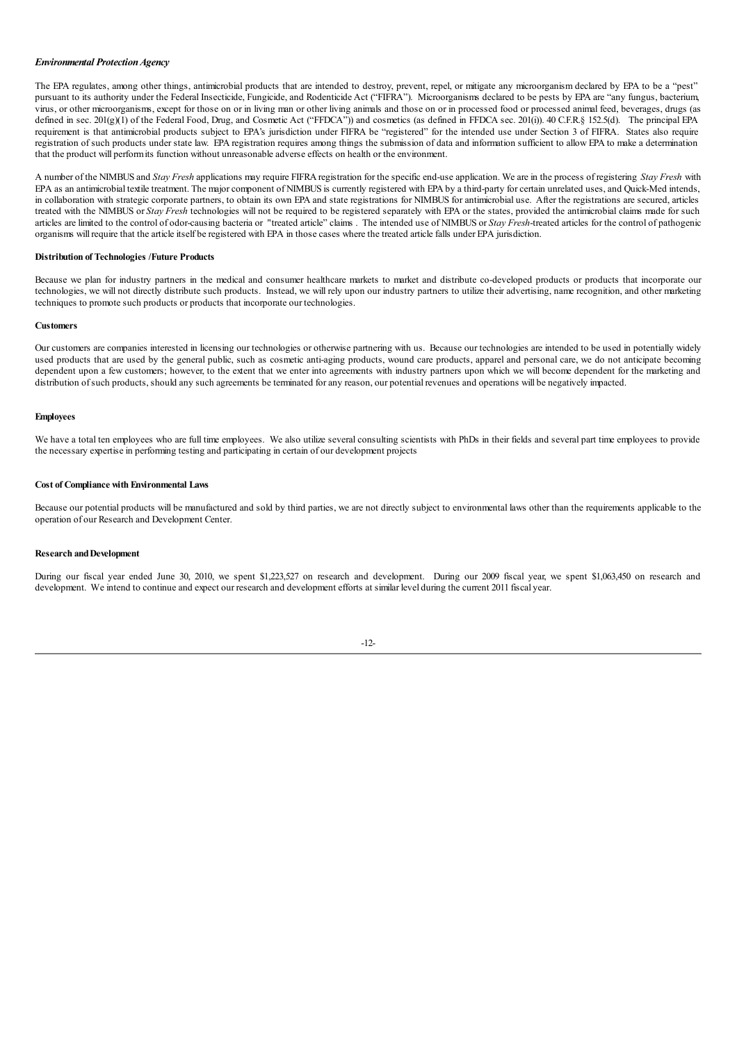### *Environmental ProtectionAgency*

The EPA regulates, among other things, antimicrobial products that are intended to destroy, prevent, repel, or mitigate any microorganism declared by EPA to be a "pest" pursuant to its authority under the Federal Insecticide, Fungicide, and Rodenticide Act ("FIFRA"). Microorganisms declared to be pests by EPA are "any fungus, bacterium, virus, or other microorganisms, except for those on or in living man or other living animals and those on or in processed food or processed animal feed, beverages, drugs (as defined in sec. 201(g)(1) of the Federal Food, Drug, and Cosmetic Act ("FFDCA")) and cosmetics (as defined in FFDCA sec. 201(i)). 40 C.F.R.§ 152.5(d). The principal EPA requirement is that antimicrobial products subject to EPA's jurisdiction under FIFRA be "registered" for the intended use under Section 3 of FIFRA. States also require registration of such products under state law. EPA registration requires among things the submission of data and information sufficient to allow EPA to make a determination that the product will performits function without unreasonable adverse effects on health or the environment.

A number of the NIMBUS and *Stay Fresh* applications may require FIFRAregistration for the specific end-use application. We are in the process of registering *Stay Fresh* with EPA as an antimicrobial textile treatment. The major component of NIMBUS is currently registered with EPA by a third-party for certain unrelated uses, and Quick-Med intends, in collaboration with strategic corporate partners, to obtain its own EPA and state registrations for NIMBUS for antimicrobial use. After the registrations are secured, articles treated with the NIMBUS or *Stay Fresh* technologies will not be required to be registered separately with EPA or the states, provided the antimicrobial claims made for such articles are limited to the control of odor-causing bacteria or "treated article" claims . The intended use of NIMBUS or *Stay Fresh*-treated articles for the control of pathogenic organisms will require that the article itself be registered with EPA in those cases where the treated article falls under EPA jurisdiction.

### **Distribution of Technologies /Future Products**

Because we plan for industry partners in the medical and consumer healthcare markets to market and distribute co-developed products or products that incorporate our technologies, we will not directly distribute such products. Instead, we will rely upon our industry partners to utilize their advertising, name recognition, and other marketing techniques to promote such products or products that incorporate our technologies.

#### **Customers**

Ourcustomers are companies interested in licensing our technologies or otherwise partnering with us. Because our technologies are intended to be used in potentially widely used products that are used by the general public, such as cosmetic anti-aging products, wound care products, apparel and personal care, we do not anticipate becoming dependent upon a few customers; however, to the extent that we enter into agreements with industry partners upon which we will become dependent for the marketing and distribution ofsuch products, should any such agreements be terminated forany reason, our potential revenues and operations will be negatively impacted.

### **Employees**

We have a total ten employees who are full time employees. We also utilize several consulting scientists with PhDs in their fields and several part time employees to provide the necessary expertise in performing testing and participating in certain of our development projects

#### **Cost of Compliance with Environmental Laws**

Because our potential products will be manufactured and sold by third parties, we are not directly subject to environmental laws other than the requirements applicable to the operation of our Research and Development Center.

#### **Research andDevelopment**

During our fiscal year ended June 30, 2010, we spent \$1,223,527 on research and development. During our 2009 fiscal year, we spent \$1,063,450 on research and development. We intend to continue and expect our research and development efforts at similar level during the current 2011 fiscal year.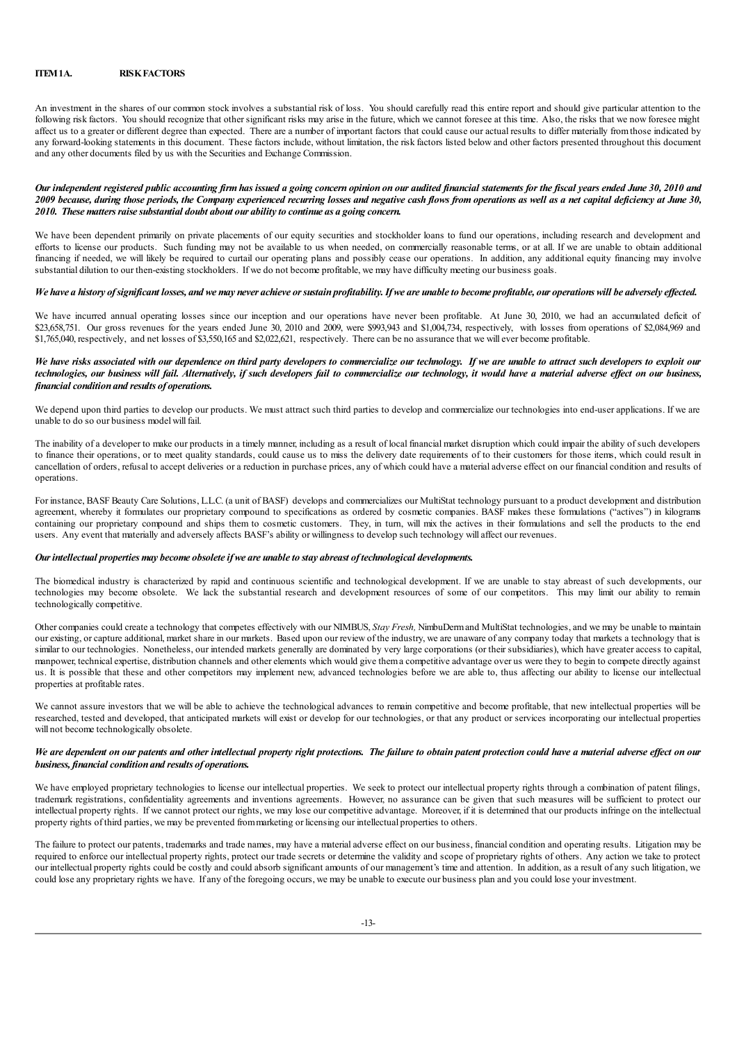# **ITEM1A. RISKFACTORS**

An investment in the shares of our common stock involves a substantial risk of loss. You should carefully read this entire report and should give particular attention to the following risk factors. You should recognize that other significant risks may arise in the future, which we cannot foresee at this time. Also, the risks that we now foresee might affect us to a greater or different degree than expected. There are a number of important factors that could cause our actual results to differ materially fromthose indicated by any forward-looking statements in this document. These factors include, without limitation, the risk factors listed below and other factors presented throughout this document and any other documents filed by us with the Securities and Exchange Commission.

## Our independent registered public accounting firm has issued a going concern opinion on our audited financial statements for the fiscal years ended June 30, 2010 and 2009 because, during those periods, the Company experienced recurring losses and negative cash flows from operations as well as a net capital deficiency at June 30, *2010. Thesemattersraisesubstantial doubt about our abilityto continue as a going concern.*

We have been dependent primarily on private placements of our equity securities and stockholder loans to fund our operations, including research and development and efforts to license our products. Such funding may not be available to us when needed, on commercially reasonable terms, or at all. If we are unable to obtain additional financing if needed, we will likely be required to curtail our operating plans and possibly cease our operations. In addition, any additional equity financing may involve substantial dilution to our then-existing stockholders. If we do not become profitable, we may have difficulty meeting our business goals.

# We have a history of significant losses, and we may never achieve or sustain profitability. If we are unable to become profitable, our operations will be adversely effected.

We have incurred annual operating losses since our inception and our operations have never been profitable. At June 30, 2010, we had an accumulated deficit of \$23,658,751. Our gross revenues for the years ended June 30, 2010 and 2009, were \$993,943 and \$1,004,734, respectively, with losses from operations of \$2,084,969 and \$1,765,040, respectively, and net losses of \$3,550,165 and \$2,022,621, respectively. There can be no assurance that we willever become profitable.

## We have risks associated with our dependence on third party developers to commercialize our technology. If we are unable to attract such developers to exploit our technologies, our business will fail. Alternatively, if such developers fail to commercialize our technology, it would have a material adverse effect on our business, *financialcondition and results of operations.*

We depend upon third parties to develop our products. We must attract such third parties to develop and commercialize our technologies into end-user applications. If we are unable to do so our business modelwill fail.

The inability of a developer to make our products in a timely manner, including as a result of local financial market disruption which could impair the ability of such developers to finance their operations, or to meet quality standards, could cause us to miss the delivery date requirements of to their customers for those items, which could result in cancellation of orders, refusal to accept deliveries or a reduction in purchase prices, any of which could have a material adverse effect on our financial condition and results of operations.

For instance, BASF Beauty Care Solutions, L.L.C. (a unit of BASF) develops and commercializes our MultiStat technology pursuant to a product development and distribution agreement, whereby it formulates our proprietary compound to specifications as ordered by cosmetic companies. BASF makes these formulations ("actives") in kilograms containing our proprietary compound and ships them to cosmetic customers. They, in turn, will mix the actives in their formulations and sell the products to the end users. Any event that materially and adversely affects BASF's ability or willingness to develop such technology willaffect our revenues.

#### *Ourintellectual propertiesmay become obsoleteifwe are unableto stay abreast oftechnological developments.*

The biomedical industry is characterized by rapid and continuous scientific and technological development. If we are unable to stay abreast of such developments, our technologies may become obsolete. We lack the substantial research and development resources of some of our competitors. This may limit our ability to remain technologically competitive.

Other companies could create a technology that competes effectively with our NIMBUS, *Stay Fresh*, NimbuDerm and MultiStat technologies, and we may be unable to maintain our existing, or capture additional, market share in our markets. Based upon our review of the industry, we are unaware of any company today that markets a technology that is similar to our technologies. Nonetheless, our intended markets generally are dominated by very large corporations (or their subsidiaries), which have greater access to capital, manpower, technicalexpertise, distribution channels and otherelements which would give thema competitive advantage over us were they to begin to compete directly against us. It is possible that these and other competitors may implement new, advanced technologies before we are able to, thus affecting our ability to license our intellectual properties at profitable rates.

We cannot assure investors that we will be able to achieve the technological advances to remain competitive and become profitable, that new intellectual properties will be researched, tested and developed, that anticipated markets will exist or develop for our technologies, or that any product or services incorporating our intellectual properties will not become technologically obsolete.

## We are dependent on our patents and other intellectual property right protections. The failure to obtain patent protection could have a material adverse effect on our *business, financialcondition and results of operations.*

We have employed proprietary technologies to license our intellectual properties. We seek to protect our intellectual property rights through a combination of patent filings, trademark registrations, confidentiality agreements and inventions agreements. However, no assurance can be given that such measures will be sufficient to protect our intellectual property rights. If we cannot protect our rights, we may lose ourcompetitive advantage. Moreover, if it is determined that our products infringe on the intellectual property rights of third parties, we may be prevented frommarketing or licensing our intellectual properties to others.

The failure to protect our patents, trademarks and trade names, may have a material adverse effect on our business, financial condition and operating results. Litigation may be required to enforce our intellectual property rights, protect our trade secrets or determine the validity and scope of proprietary rights of others. Any action we take to protect our intellectual property rights could be costly and could absorb significant amounts of our management's time and attention. In addition,as a result ofany such litigation, we could lose any proprietary rights we have. Ifany of the foregoing occurs, we may be unable to execute our business plan and you could lose your investment.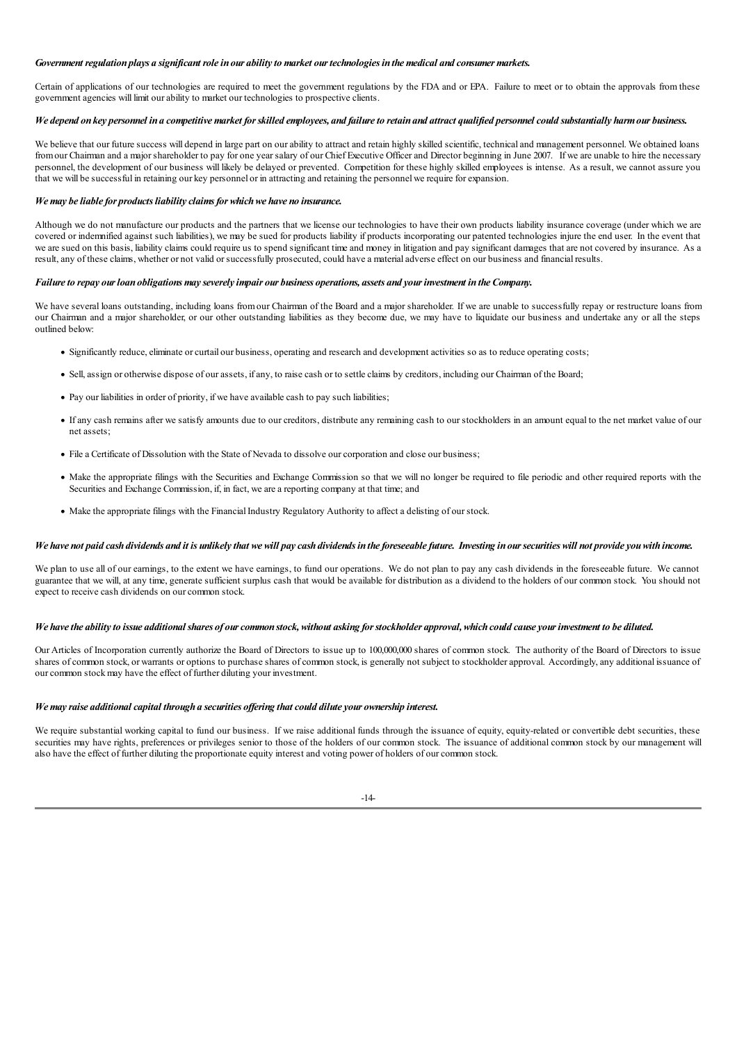## *Government regulation plays a significant rolein our abilityto market ourtechnologiesin themedical and consumermarkets.*

Certain of applications of our technologies are required to meet the government regulations by the FDA and or EPA. Failure to meet or to obtain the approvals from these government agencies will limit ourability to market our technologies to prospective clients.

## We depend on key personnel in a competitive market for skilled employees, and failure to retain and attract qualified personnel could substantially harm our business.

We believe that our future success will depend in large part on our ability to attract and retain highly skilled scientific, technical and management personnel. We obtained loans from our Chairman and a major shareholder to pay for one year salary of our Chief Executive Officer and Director beginning in June 2007. If we are unable to hire the necessary personnel, the development of our business will likely be delayed or prevented. Competition for these highly skilled employees is intense. As a result, we cannot assure you that we will be successful in retaining our key personnel or in attracting and retaining the personnelwe require forexpansion.

### *Wemay beliablefor productsliabilityclaimsfor whichwe have no insurance.*

Although we do not manufacture our products and the partners that we license our technologies to have their own products liability insurance coverage (under which we are covered or indemnified against such liabilities), we may be sued for products liability if products incorporating our patented technologies injure the end user. In the event that we are sued on this basis, liability claims could require us to spend significant time and money in litigation and pay significant damages that are not covered by insurance. As a result, any of these claims, whether or not valid or successfully prosecuted, could have a material adverse effect on our business and financial results.

### *Failureto repay ourloan obligationsmayseverelyimpair our business operations, assets and yourinvestment in the Company.*

We have several loans outstanding, including loans from our Chairman of the Board and a major shareholder. If we are unable to successfully repay or restructure loans from our Chairman and a major shareholder, or our other outstanding liabilities as they become due, we may have to liquidate our business and undertake any or all the steps outlined below:

- · Significantly reduce,eliminate orcurtail our business, operating and research and development activities so as to reduce operating costs;
- · Sell,assign or otherwise dispose of ourassets, ifany, to raise cash or to settle claims by creditors, including our Chairman of the Board;
- · Pay our liabilities in order of priority, if we have available cash to pay such liabilities;
- · Ifany cash remains after we satisfy amounts due to ourcreditors, distribute any remaining cash to our stockholders in an amount equal to the net market value of our net assets;
- · File a Certificate of Dissolution with the State of Nevada to dissolve ourcorporation and close our business;
- · Make the appropriate filings with the Securities and Exchange Commission so that we will no longer be required to file periodic and other required reports with the Securities and Exchange Commission, if, in fact, we are a reporting company at that time; and
- · Make the appropriate filings with the Financial Industry Regulatory Authority to affect a delisting of ourstock.

### We have not paid cash dividends and it is unlikely that we will pay cash dividends in the foreseeable future. Investing in our securities will not provide you with income.

We plan to use all of our earnings, to the extent we have earnings, to fund our operations. We do not plan to pay any cash dividends in the foreseeable future. We cannot guarantee that we will, at any time, generate sufficient surplus cash that would be available for distribution as a dividend to the holders of ourcommon stock. You should not expect to receive cash dividends on our common stock.

### We have the ability to issue additional shares of our common stock, without asking for stockholder approval, which could cause your investment to be diluted.

OurArticles of Incorporation currently authorize the Board of Directors to issue up to 100,000,000 shares of common stock. The authority of the Board of Directors to issue shares of common stock, or warrants or options to purchase shares of common stock, is generally not subject to stockholder approval. Accordingly, any additional issuance of our common stock may have the effect of further diluting your investment.

#### *Wemayraise additionalcapital through a securities of ering thatcould diluteyour ownership interest.*

We require substantial working capital to fund our business. If we raise additional funds through the issuance of equity, equity-related or convertible debt securities, these securities may have rights, preferences or privileges senior to those of the holders of our common stock. The issuance of additional common stock by our management will also have the effect of further diluting the proportionate equity interest and voting power of holders of ourcommon stock.

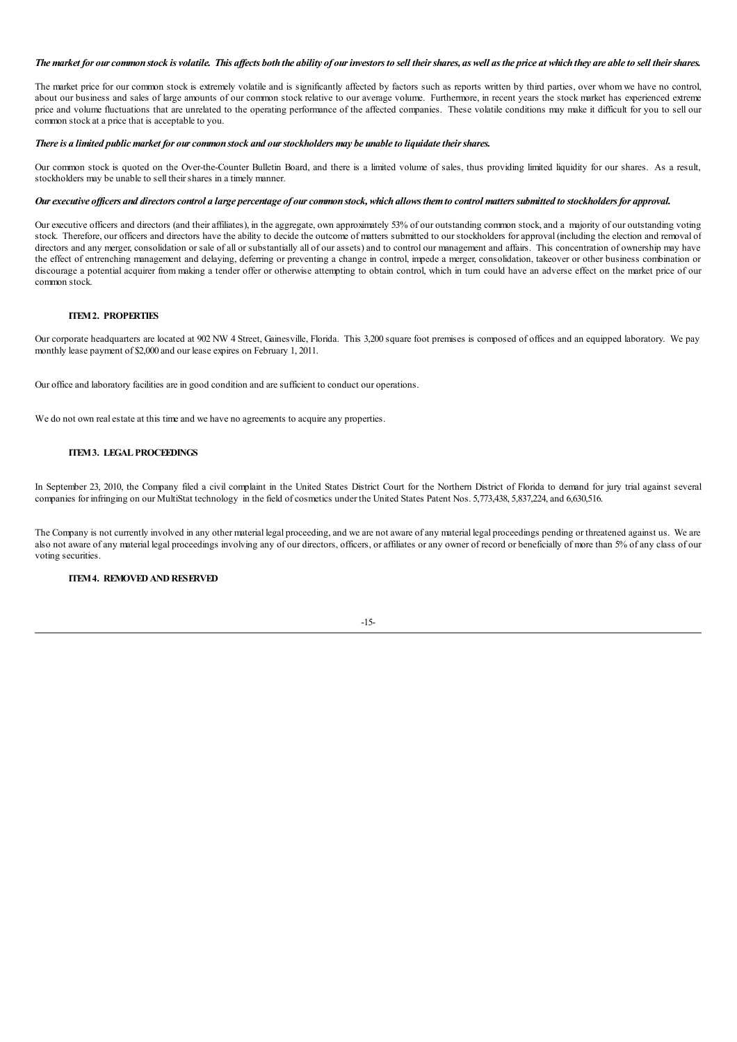## The market for our common stock is volatile. This affects both the ability of our investors to sell their shares, as well as the price at which they are able to sell their shares.

The market price for our common stock is extremely volatile and is significantly affected by factors such as reports written by third parties, over whom we have no control, about our business and sales of large amounts of our common stock relative to our average volume. Furthermore, in recent years the stock market has experienced extreme price and volume fluctuations that are unrelated to the operating performance of the affected companies. These volatile conditions may make it difficult for you to sell our common stock at a price that is acceptable to you.

## *Thereis a limited publicmarket for ourcommon stock and ourstockholdersmay be unableto liquidatetheirshares.*

Our common stock is quoted on the Over-the-Counter Bulletin Board, and there is a limited volume of sales, thus providing limited liquidity for our shares. As a result, stockholders may be unable to sell their shares in a timely manner.

#### Our executive officers and directors control a large percentage of our common stock, which allows them to control matters submitted to stockholders for approval.

Our executive officers and directors (and their affiliates), in the aggregate, own approximately 53% of our outstanding common stock, and a majority of our outstanding voting stock. Therefore, our officers and directors have the ability to decide the outcome of matters submitted to our stockholders for approval (including the election and removal of directors and any merger, consolidation or sale of all or substantially all of our assets) and to control our management and affairs. This concentration of ownership may have the effect of entrenching management and delaying, deferring or preventing a change in control, impede a merger, consolidation, takeover or other business combination or discourage a potential acquirer from making a tender offer or otherwise attempting to obtain control, which in turn could have an adverse effect on the market price of our common stock.

### **ITEM2. PROPERTIES**

Our corporate headquarters are located at 902 NW 4 Street, Gainesville, Florida. This 3,200 square foot premises is composed of offices and an equipped laboratory. We pay monthly lease payment of \$2,000 and our lease expires on February 1, 2011.

Our office and laboratory facilities are in good condition and are sufficient to conduct our operations.

We do not own real estate at this time and we have no agreements to acquire any properties.

# **ITEM3. LEGALPROCEEDINGS**

In September 23, 2010, the Company filed a civil complaint in the United States District Court for the Northern District of Florida to demand for jury trial against several companies for infringing on our MultiStat technology in the field ofcosmetics under the United States Patent Nos. 5,773,438, 5,837,224,and 6,630,516.

The Company is not currently involved in any other material legal proceeding, and we are not aware of any material legal proceedings pending or threatened against us. We are also not aware of any material legal proceedings involving any of our directors, officers, or affiliates or any owner of record or beneficially of more than 5% of any class of our voting securities.

# **ITEM4. REMOVEDANDRESERVED**

-15-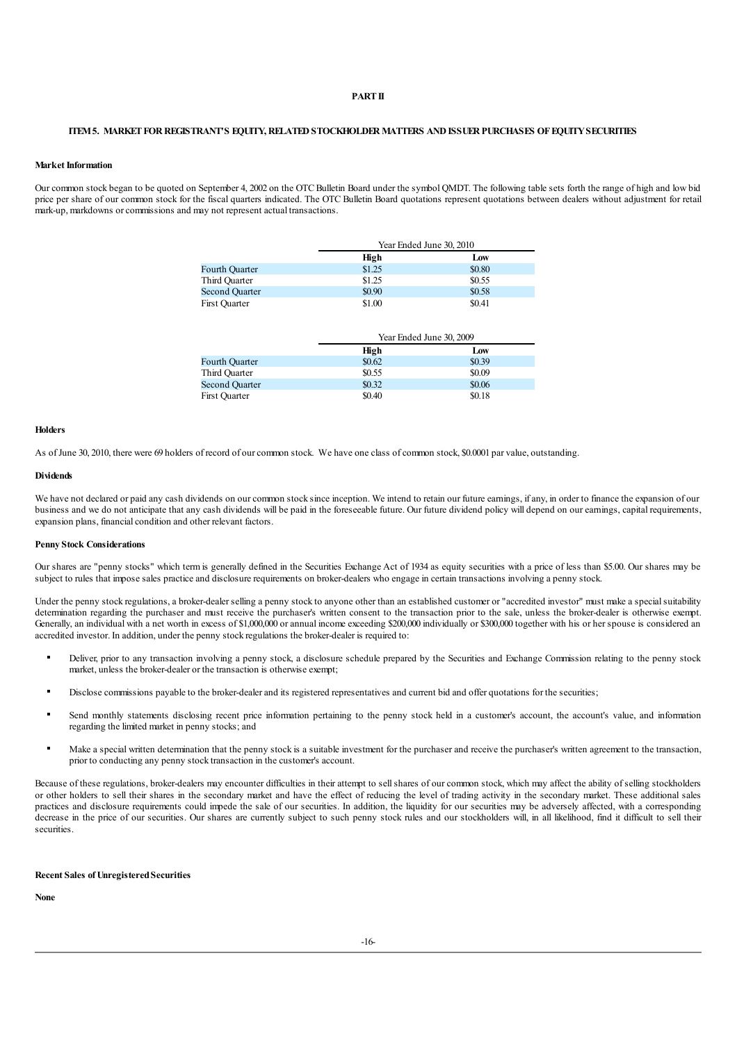### **PARTII**

## **ITEM5. MARKETFORREGISTRANT'S EQUITY, RELATEDSTOCKHOLDER MATTERS ANDISSUERPURCHASES OFEQUITYSECURITIES**

#### **MarketInformation**

Ourcommon stock began to be quoted on September 4, 2002 on the OTC Bulletin Board under the symbol QMDT. The following table sets forth the range of high and low bid price per share of our common stock for the fiscal quarters indicated. The OTC Bulletin Board quotations represent quotations between dealers without adjustment for retail mark-up, markdowns orcommissions and may not represent actual transactions.

|                       | Year Ended June 30, 2010 |        |  |
|-----------------------|--------------------------|--------|--|
|                       | High                     | Low    |  |
| <b>Fourth Quarter</b> | \$1.25                   | \$0.80 |  |
| Third Quarter         | \$1.25                   | \$0.55 |  |
| <b>Second Quarter</b> | \$0.90                   | \$0.58 |  |
| First Ouarter         | \$1.00                   | \$0.41 |  |

|                       | Year Ended June 30, 2009 |        |  |
|-----------------------|--------------------------|--------|--|
|                       | High                     | Low    |  |
| <b>Fourth Quarter</b> | \$0.62                   | \$0.39 |  |
| Third Quarter         | \$0.55                   | \$0.09 |  |
| <b>Second Quarter</b> | \$0.32                   | \$0.06 |  |
| First Quarter         | \$0.40                   | \$0.18 |  |

#### **Holders**

As of June 30, 2010, there were 69 holders of record of our common stock. We have one class of common stock, \$0.0001 par value, outstanding.

#### **Dividends**

We have not declared or paid any cash dividends on our common stock since inception. We intend to retain our future earnings, if any, in order to finance the expansion of our business and we do not anticipate that any cash dividends will be paid in the foreseeable future. Our future dividend policy will depend on ourearnings, capital requirements, expansion plans, financial condition and other relevant factors.

#### **Penny Stock Considerations**

Our shares are "penny stocks" which termis generally defined in the Securities Exchange Act of 1934 as equity securities with a price of less than \$5.00. Our shares may be subject to rules that impose sales practice and disclosure requirements on broker-dealers who engage in certain transactions involving a penny stock.

Under the penny stock regulations, a broker-dealer selling a penny stock to anyone other than an established customer or "accredited investor" must make a special suitability determination regarding the purchaser and must receive the purchaser's written consent to the transaction prior to the sale, unless the broker-dealer is otherwise exempt. Generally, an individual with a net worth in excess of \$1,000,000 or annual income exceeding \$200,000 individually or \$300,000 together with his or her spouse is considered an accredited investor. In addition, under the penny stock regulations the broker-dealer is required to:

- Deliver, prior to any transaction involving a penny stock, a disclosure schedule prepared by the Securities and Exchange Commission relating to the penny stock market, unless the broker-dealer or the transaction is otherwise exempt;
- § Disclose commissions payable to the broker-dealerand its registered representatives and current bid and offer quotations for the securities;
- Send monthly statements disclosing recent price information pertaining to the penny stock held in a customer's account, the account's value, and information regarding the limited market in penny stocks; and
- Make a special written determination that the penny stock is a suitable investment for the purchaser and receive the purchaser's written agreement to the transaction, prior to conducting any penny stock transaction in the customer's account.

Because of these regulations, broker-dealers may encounter difficulties in theirattempt to sell shares of ourcommon stock, which may affect the ability of selling stockholders or other holders to sell their shares in the secondary market and have the effect of reducing the level of trading activity in the secondary market. These additional sales practices and disclosure requirements could impede the sale of our securities. In addition, the liquidity for our securities may be adversely affected, with a corresponding decrease in the price of our securities. Our shares are currently subject to such penny stock rules and our stockholders will, in all likelihood, find it difficult to sell their securities.

### **Recent Sales of Unregistered Securities**

**None**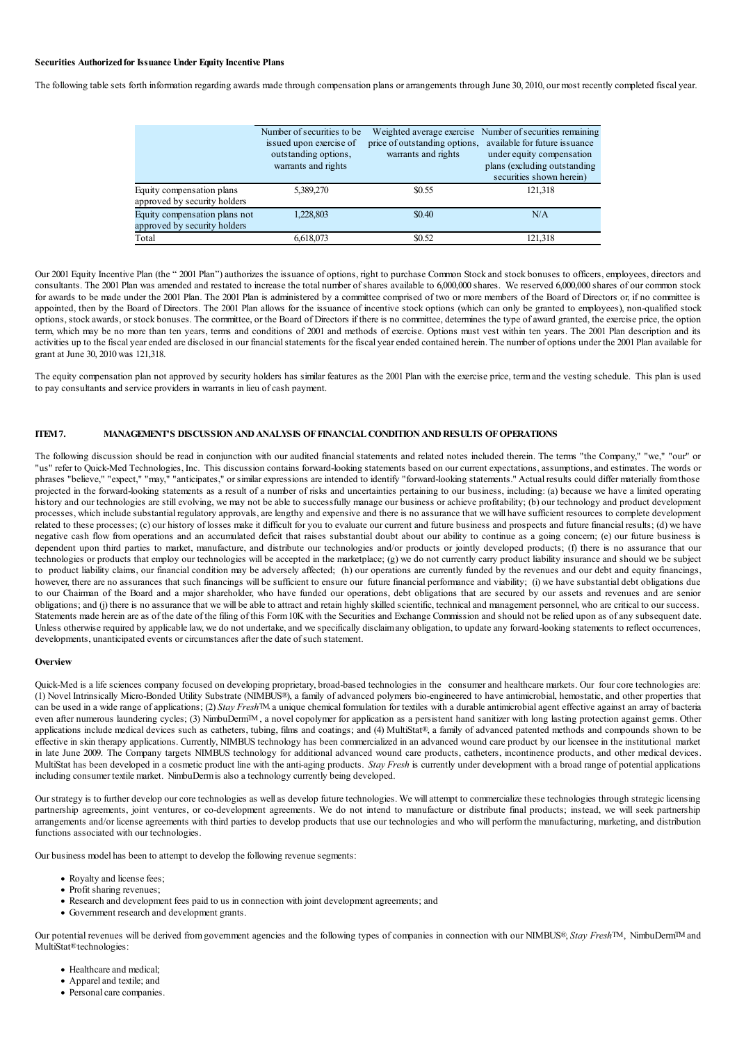## **Securities Authorizedfor Issuance Under Equity Incentive Plans**

The following table sets forth information regarding awards made through compensation plans or arrangements through June 30, 2010, our most recently completed fiscal year.

|                                                               | Number of securities to be.<br>issued upon exercise of<br>outstanding options,<br>warrants and rights | Weighted average exercise<br>price of outstanding options,<br>warrants and rights | Number of securities remaining<br>available for future issuance<br>under equity compensation<br>plans (excluding outstanding<br>securities shown herein) |
|---------------------------------------------------------------|-------------------------------------------------------------------------------------------------------|-----------------------------------------------------------------------------------|----------------------------------------------------------------------------------------------------------------------------------------------------------|
| Equity compensation plans<br>approved by security holders     | 5,389,270                                                                                             | \$0.55                                                                            | 121.318                                                                                                                                                  |
| Equity compensation plans not<br>approved by security holders | 1,228,803                                                                                             | \$0.40                                                                            | N/A                                                                                                                                                      |
| Total                                                         | 6.618.073                                                                                             | \$0.52                                                                            | 121.318                                                                                                                                                  |

Our 2001 Equity Incentive Plan (the "2001 Plan") authorizes the issuance of options, right to purchase Common Stock and stock bonuses to officers, employees, directors and consultants. The 2001 Plan was amended and restated to increase the total number of shares available to 6,000,000 shares. We reserved 6,000,000 shares of ourcommon stock for awards to be made under the 2001 Plan. The 2001 Plan is administered by a committee comprised of two or more members of the Board of Directors or, if no committee is appointed, then by the Board of Directors. The 2001 Plan allows for the issuance of incentive stock options (which can only be granted to employees), non-qualified stock options, stock awards, or stock bonuses. The committee, or the Board of Directors if there is no committee, determines the type ofaward granted, the exercise price, the option term, which may be no more than ten years, terms and conditions of 2001 and methods of exercise. Options must vest within ten years. The 2001 Plan description and its activities up to the fiscal year ended are disclosed in our financial statements for the fiscal year ended contained herein. The number of options under the 2001 Plan available for grant at June 30, 2010was 121,318.

The equity compensation plan not approved by security holders has similar features as the 2001 Plan with the exercise price, term and the vesting schedule. This plan is used to pay consultants and service providers in warrants in lieu of cash payment.

### **ITEM7. MANAGEMENT'S DISCUSSIONANDANALYSIS OFFINANCIALCONDITIONANDRESULTS OFOPERATIONS**

The following discussion should be read in conjunction with our audited financial statements and related notes included therein. The terms "the Company," "we," "our" or "us" refer to Quick-Med Technologies, Inc. This discussion contains forward-looking statements based on our current expectations, assumptions, and estimates. The words or phrases "believe," "expect," "may," "anticipates," or similar expressions are intended to identify "forward-looking statements." Actual results could differ materially from those projected in the forward-looking statements as a result of a number of risks and uncertainties pertaining to our business, including: (a) because we have a limited operating history and our technologies are stillevolving, we may not be able to successfully manage our business orachieve profitability; (b) our technology and product development processes, which include substantial regulatory approvals,are lengthy and expensive and there is no assurance that we will have sufficient resources to complete development related to these processes; (c) our history of losses make it difficult for you to evaluate ourcurrent and future business and prospects and future financial results; (d) we have negative cash flow from operations and an accumulated deficit that raises substantial doubt about our ability to continue as a going concern; (e) our future business is dependent upon third parties to market, manufacture, and distribute our technologies and/or products or jointly developed products; (f) there is no assurance that our technologies or products that employ our technologies will be accepted in the marketplace; (g) we do not currently carry product liability insurance and should we be subject to product liability claims, our financial condition may be adversely affected; (h) our operations are currently funded by the revenues and our debt and equity financings, however, there are no assurances that such financings will be sufficient to ensure our future financial performance and viability; (i) we have substantial debt obligations due to our Chairman of the Board and a major shareholder, who have funded our operations, debt obligations that are secured by our assets and revenues and are senior obligations; and (j) there is no assurance that we will be able to attract and retain highly skilled scientific, technicaland management personnel, who are critical to our success. Statements made herein are as of the date of the filing of this Form10Kwith the Securities and Exchange Commission and should not be relied upon as ofany subsequent date. Unless otherwise required by applicable law, we do not undertake, and we specifically disclaimany obligation, to update any forward-looking statements to reflect occurrences, developments, unanticipated events or circumstances after the date of such statement.

#### **Overview**

Quick-Med is a life sciences company focused on developing proprietary, broad-based technologies in the consumer and healthcare markets. Our four core technologies are: (1) Novel Intrinsically Micro-Bonded Utility Substrate (NIMBUS®), a family of advanced polymers bio-engineered to have antimicrobial, hemostatic, and other properties that can be used in a wide range of applications; (2) *Stay Fresh*TM, a unique chemical formulation for textiles with a durable antimicrobial agent effective against an array of bacteria even after numerous laundering cycles; (3) NimbuDerm<sup>TM</sup>, a novel copolymer for application as a persistent hand sanitizer with long lasting protection against germs. Other applications include medical devices such as catheters, tubing, films and coatings; and (4) MultiStat®, a family of advanced patented methods and compounds shown to be effective in skin therapy applications. Currently, NIMBUS technology has been commercialized in an advanced wound care product by our licensee in the institutional market in late June 2009. The Company targets NIMBUS technology for additional advanced wound care products, catheters, incontinence products, and other medical devices. MultiStat has been developed in a cosmetic product line with the anti-aging products. *Stay Fresh* is currently under development with a broad range of potentialapplications including consumer textile market. NimbuDermis also a technology currently being developed.

Our strategy is to further develop our core technologies as well as develop future technologies. We will attempt to commercialize these technologies through strategic licensing partnership agreements, joint ventures, or co-development agreements. We do not intend to manufacture or distribute final products; instead, we will seek partnership arrangements and/or license agreements with third parties to develop products that use our technologies and who will performthe manufacturing, marketing, and distribution functions associated with our technologies.

Our business model has been to attempt to develop the following revenue segments:

- · Royalty and license fees;
- · Profit sharing revenues;
- · Research and development fees paid to us in connection with joint development agreements; and
- · Government research and development grants.

Our potential revenues will be derived fromgovernment agencies and the following types of companies in connection with our NIMBUS®, *Stay Fresh*TM, NimbuDermTM and MultiStat®technologies:

- · Healthcare and medical;
- · Appareland textile; and
- Personal care companies.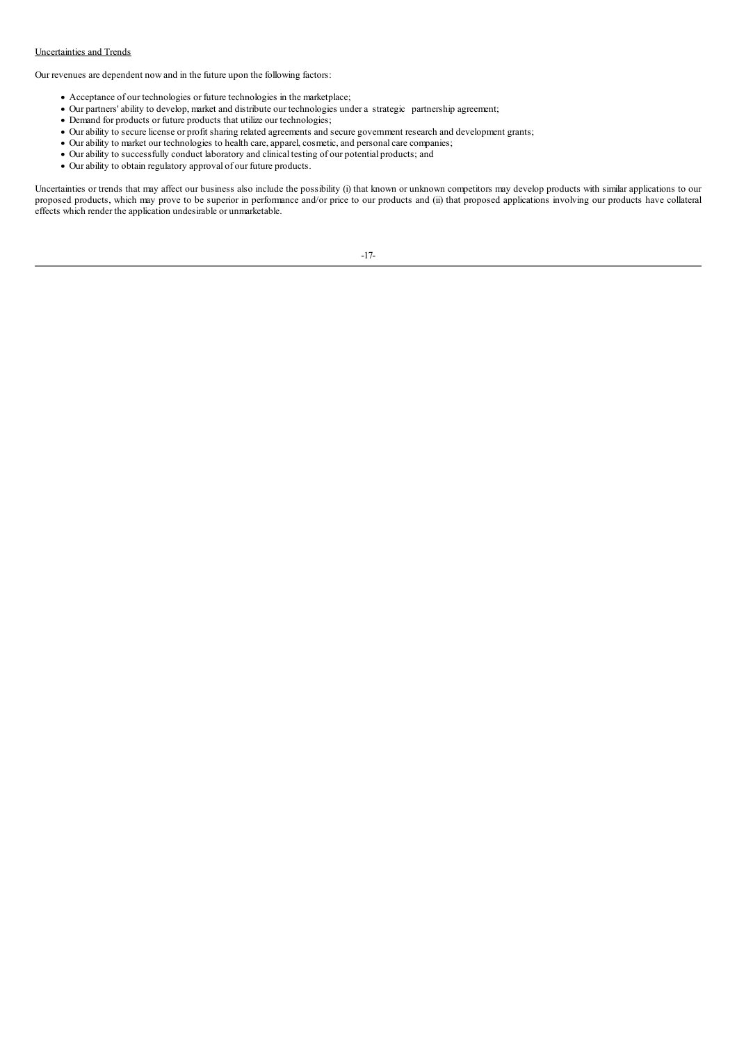### Uncertainties and Trends

Our revenues are dependent nowand in the future upon the following factors:

- · Acceptance of our technologies or future technologies in the marketplace;
- · Our partners'ability to develop, market and distribute our technologies undera strategic partnership agreement;
- · Demand for products or future products that utilize our technologies;
- · Ourability to secure license or profit sharing related agreements and secure government research and development grants;
- Our ability to market our technologies to health care, apparel, cosmetic, and personal care companies;
- · Ourability to successfully conduct laboratory and clinical testing of our potential products; and
- · Ourability to obtain regulatory approval of our future products.

Uncertainties or trends that may affect our business also include the possibility (i) that known or unknown competitors may develop products with similar applications to our proposed products, which may prove to be superior in performance and/or price to our products and (ii) that proposed applications involving our products have collateral effects which render the application undesirable or unmarketable.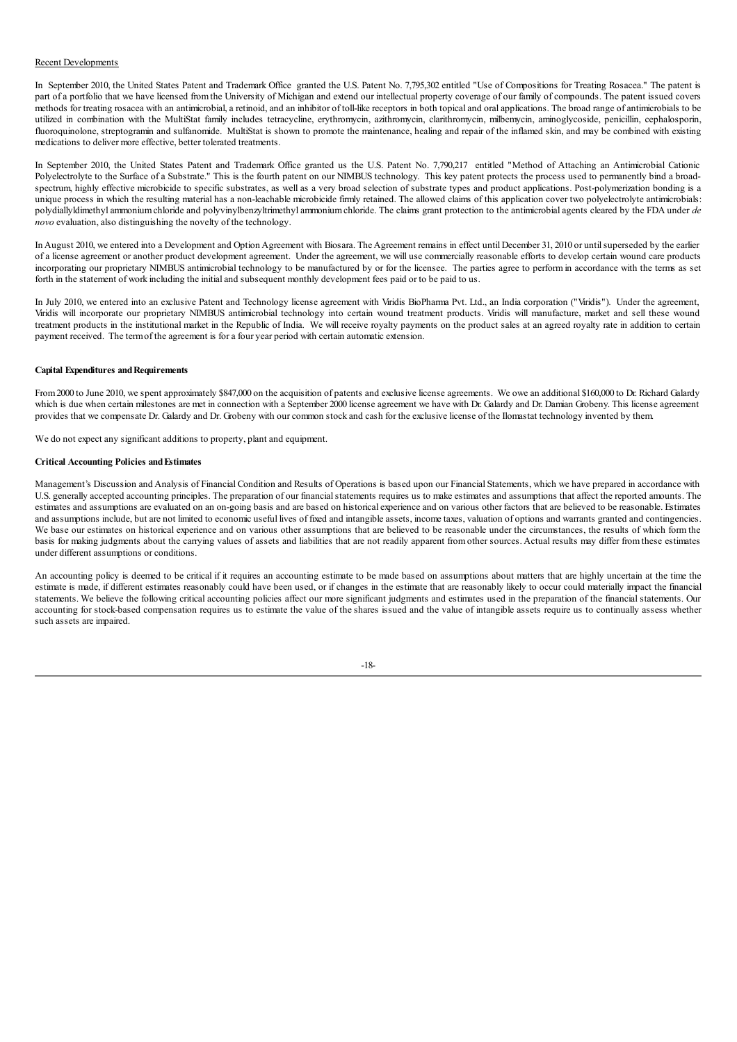## Recent Developments

In September 2010, the United States Patent and Trademark Office granted the U.S. Patent No. 7,795,302 entitled "Use of Compositions for Treating Rosacea." The patent is part of a portfolio that we have licensed fromthe University of Michigan and extend our intellectual property coverage of our family of compounds. The patent issued covers methods for treating rosacea with an antimicrobial, a retinoid, and an inhibitor of toll-like receptors in both topical and oral applications. The broad range of antimicrobials to be utilized in combination with the MultiStat family includes tetracycline, erythromycin, azithromycin, clarithromycin, milbemycin, aminoglycoside, penicillin, cephalosporin, fluoroquinolone, streptogramin and sulfanomide. MultiStat is shown to promote the maintenance, healing and repair of the inflamed skin, and may be combined with existing medications to deliver more effective, better tolerated treatments.

In September 2010, the United States Patent and Trademark Office granted us the U.S. Patent No. 7,790,217 entitled "Method of Attaching an Antimicrobial Cationic Polyelectrolyte to the Surface of a Substrate." This is the fourth patent on our NIMBUS technology. This key patent protects the process used to permanently bind a broadspectrum, highly effective microbicide to specific substrates, as well as a very broad selection of substrate types and product applications. Post-polymerization bonding is a unique process in which the resulting material has a non-leachable microbicide firmly retained. The allowed claims of this application cover two polyelectrolyte antimicrobials: polydiallyldimethylammoniumchloride and polyvinylbenzyltrimethylammoniumchloride. The claims grant protection to the antimicrobialagents cleared by the FDA under *de novo* evaluation, also distinguishing the novelty of the technology.

In August 2010, we entered into a Development and Option Agreement with Biosara. The Agreement remains in effect until December 31, 2010 or until superseded by the earlier of a license agreement or another product development agreement. Under the agreement, we will use commercially reasonable efforts to develop certain wound care products incorporating our proprietary NIMBUS antimicrobial technology to be manufactured by or for the licensee. The parties agree to performin accordance with the terms as set forth in the statement of work including the initialand subsequent monthly development fees paid or to be paid to us.

In July 2010, we entered into an exclusive Patent and Technology license agreement with Viridis BioPharma Pvt. Ltd., an India corporation ("Viridis"). Under the agreement, Viridis will incorporate our proprietary NIMBUS antimicrobial technology into certain wound treatment products. Viridis will manufacture, market and sell these wound treatment products in the institutional market in the Republic of India. We will receive royalty payments on the product sales at an agreed royalty rate in addition to certain payment received. The termof the agreement is fora four year period with certain automatic extension.

### **Capital Expenditures andRequirements**

From 2000 to June 2010, we spent approximately \$847,000 on the acquisition of patents and exclusive license agreements. We owe an additional \$160,000 to Dr. Richard Galardy which is due when certain milestones are met in connection with a September 2000 license agreement we have with Dr. Galardy and Dr. Damian Grobeny. This license agreement provides that we compensate Dr. Galardy and Dr. Grobeny with ourcommon stock and cash for the exclusive license of the Ilomastat technology invented by them.

We do not expect any significant additions to property, plant and equipment.

#### **Critical Accounting Policies andEstimates**

Management's Discussion and Analysis of Financial Condition and Results of Operations is based upon our Financial Statements, which we have prepared in accordance with U.S. generally accepted accounting principles. The preparation of our financialstatements requires us to make estimates and assumptions that affect the reported amounts. The estimates and assumptions are evaluated on an on-going basis and are based on historicalexperience and on various other factors that are believed to be reasonable. Estimates and assumptions include, but are not limited to economic useful lives of fixed and intangible assets, income taxes, valuation of options and warrants granted and contingencies. We base our estimates on historical experience and on various other assumptions that are believed to be reasonable under the circumstances, the results of which form the basis for making judgments about the carrying values of assets and liabilities that are not readily apparent fromother sources.Actual results may differ fromthese estimates under different assumptions orconditions.

An accounting policy is deemed to be critical if it requires an accounting estimate to be made based on assumptions about matters that are highly uncertain at the time the estimate is made, if different estimates reasonably could have been used, or if changes in the estimate that are reasonably likely to occur could materially impact the financial statements. We believe the following critical accounting policies affect our more significant judgments and estimates used in the preparation of the financial statements. Our accounting for stock-based compensation requires us to estimate the value of the shares issued and the value of intangible assets require us to continually assess whether such assets are impaired.

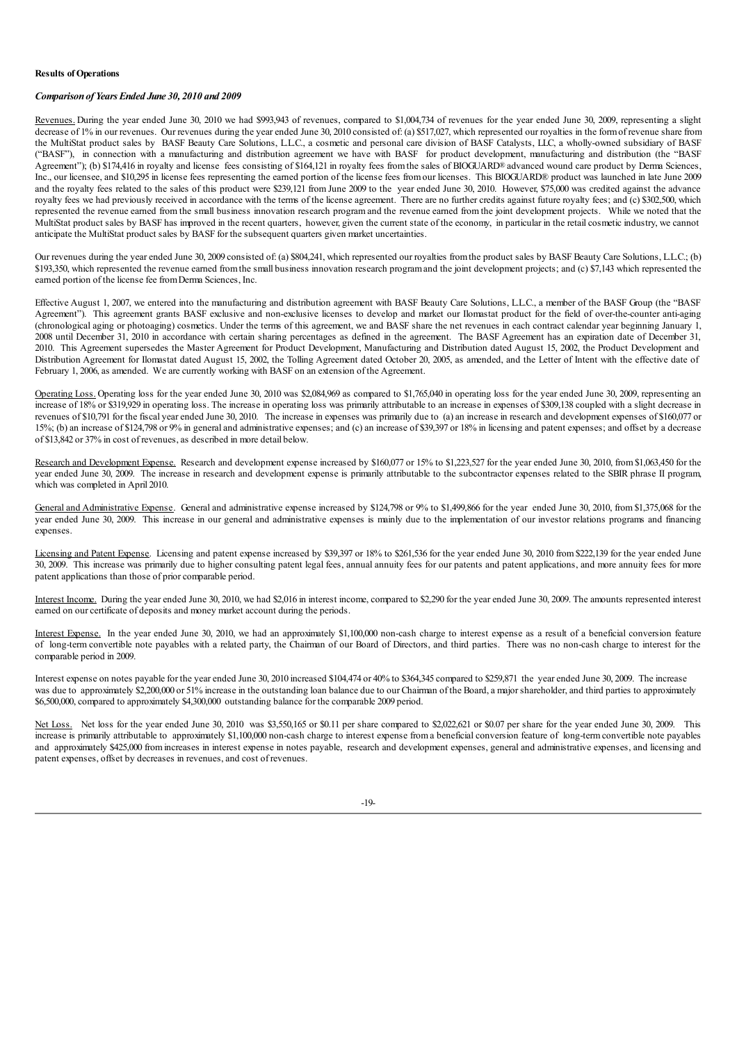## **Results** of Operations

### *Comparison of Years Ended June 30, 2010 and 2009*

Revenues. During the year ended June 30, 2010 we had \$993,943 of revenues, compared to \$1,004,734 of revenues for the year ended June 30, 2009, representing a slight decrease of 1% in our revenues. Our revenues during the year ended June 30, 2010 consisted of: (a) \$517,027, which represented our royalties in the form of revenue share from the MultiStat product sales by BASF Beauty Care Solutions, L.L.C., a cosmetic and personal care division of BASF Catalysts, LLC, a wholly-owned subsidiary of BASF ("BASF"), in connection with a manufacturing and distribution agreement we have with BASF for product development, manufacturing and distribution (the "BASF Agreement"); (b) \$174,416 in royalty and license fees consisting of \$164,121 in royalty fees from the sales of BIOGUARD® advanced wound care product by Derma Sciences, Inc., our licensee, and \$10,295 in license fees representing the earned portion of the license fees fromour licenses. This BIOGUARD® product was launched in late June 2009 and the royalty fees related to the sales of this product were \$239,121 fromJune 2009 to the year ended June 30, 2010. However, \$75,000 was credited against the advance royalty fees we had previously received in accordance with the terms of the license agreement. There are no further credits against future royalty fees; and (c) \$302,500, which represented the revenue earned from the small business innovation research program and the revenue earned fromthe joint development projects. While we noted that the MultiStat product sales by BASF has improved in the recent quarters, however, given the current state of the economy, in particular in the retail cosmetic industry, we cannot anticipate the MultiStat product sales by BASF for the subsequent quarters given market uncertainties.

Our revenues during the yearended June 30, 2009 consisted of: (a) \$804,241, which represented our royalties fromthe product sales by BASF Beauty Care Solutions, L.L.C.; (b) \$193,350, which represented the revenue earned from the small business innovation research program and the joint development projects; and (c) \$7,143 which represented the earned portion of the license fee fromDerma Sciences, Inc.

Effective August 1, 2007, we entered into the manufacturing and distribution agreement with BASF Beauty Care Solutions, L.L.C., a member of the BASF Group (the "BASF Agreement"). This agreement grants BASF exclusive and non-exclusive licenses to develop and market our Ilomastat product for the field of over-the-counter anti-aging (chronological aging or photoaging) cosmetics. Under the terms of this agreement, we and BASF share the net revenues in each contract calendar year beginning January 1, 2008 until December 31, 2010 in accordance with certain sharing percentages as defined in the agreement. The BASF Agreement has an expiration date of December 31, 2010. This Agreement supersedes the Master Agreement for Product Development, Manufacturing and Distribution dated August 15, 2002, the Product Development and Distribution Agreement for Ilomastat dated August 15, 2002, the Tolling Agreement dated October 20, 2005, as amended, and the Letter of Intent with the effective date of February 1, 2006, as amended. We are currently working with BASF on an extension of the Agreement.

Operating Loss. Operating loss for the year ended June 30, 2010 was \$2,084,969 as compared to \$1,765,040 in operating loss for the year ended June 30, 2009, representing an increase of 18% or \$319,929 in operating loss. The increase in operating loss was primarily attributable to an increase in expenses of \$309,138 coupled with a slight decrease in revenues of \$10,791 for the fiscal yearended June 30, 2010. The increase in expenses was primarily due to (a)an increase in research and development expenses of \$160,077 or 15%; (b)an increase of \$124,798 or 9% in generaland administrative expenses; and (c)an increase of \$39,397 or 18% in licensing and patent expenses; and offset by a decrease of \$13,842 or 37% in cost of revenues,as described in more detail below.

Research and Development Expense. Research and development expense increased by \$160,077 or 15% to \$1,223,527 for the year ended June 30, 2010, from \$1,063,450 for the year ended June 30, 2009. The increase in research and development expense is primarily attributable to the subcontractor expenses related to the SBIR phrase II program, which was completed in April 2010.

General and Administrative Expense. General and administrative expense increased by \$124,798 or 9% to \$1,499,866 for the year ended June 30, 2010, from \$1,375,068 for the year ended June 30, 2009. This increase in our general and administrative expenses is mainly due to the implementation of our investor relations programs and financing expenses.

Licensing and Patent Expense. Licensing and patent expense increased by \$39,397 or 18% to \$261,536 for the year ended June 30, 2010 from\$222,139 for the year ended June 30, 2009. This increase was primarily due to higher consulting patent legal fees, annual annuity fees for our patents and patent applications, and more annuity fees for more patent applications than those of prior comparable period.

Interest Income. During the year ended June 30, 2010, we had \$2,016 in interest income, compared to \$2,290 for the year ended June 30, 2009. The amounts represented interest earned on our certificate of deposits and money market account during the periods.

Interest Expense. In the year ended June 30, 2010, we had an approximately \$1,100,000 non-cash charge to interest expense as a result of a beneficial conversion feature of long-term convertible note payables with a related party, the Chairman of our Board of Directors, and third parties. There was no non-cash charge to interest for the comparable period in 2009.

Interest expense on notes payable for the yearended June 30, 2010 increased \$104,474 or 40% to \$364,345 compared to \$259,871 the yearended June 30, 2009. The increase was due to approximately \$2,200,000 or 51% increase in the outstanding loan balance due to our Chairman of the Board, a major shareholder, and third parties to approximately \$6,500,000,compared to approximately \$4,300,000 outstanding balance for the comparable 2009 period.

Net Loss. Net loss for the year ended June 30, 2010 was \$3,550,165 or \$0.11 per share compared to \$2,022,621 or \$0.07 per share for the year ended June 30, 2009. This increase is primarily attributable to approximately \$1,100,000 non-cash charge to interest expense froma beneficialconversion feature of long-termconvertible note payables and approximately \$425,000 from increases in interest expense in notes payable, research and development expenses, general and administrative expenses, and licensing and patent expenses, offset by decreases in revenues, and cost of revenues.

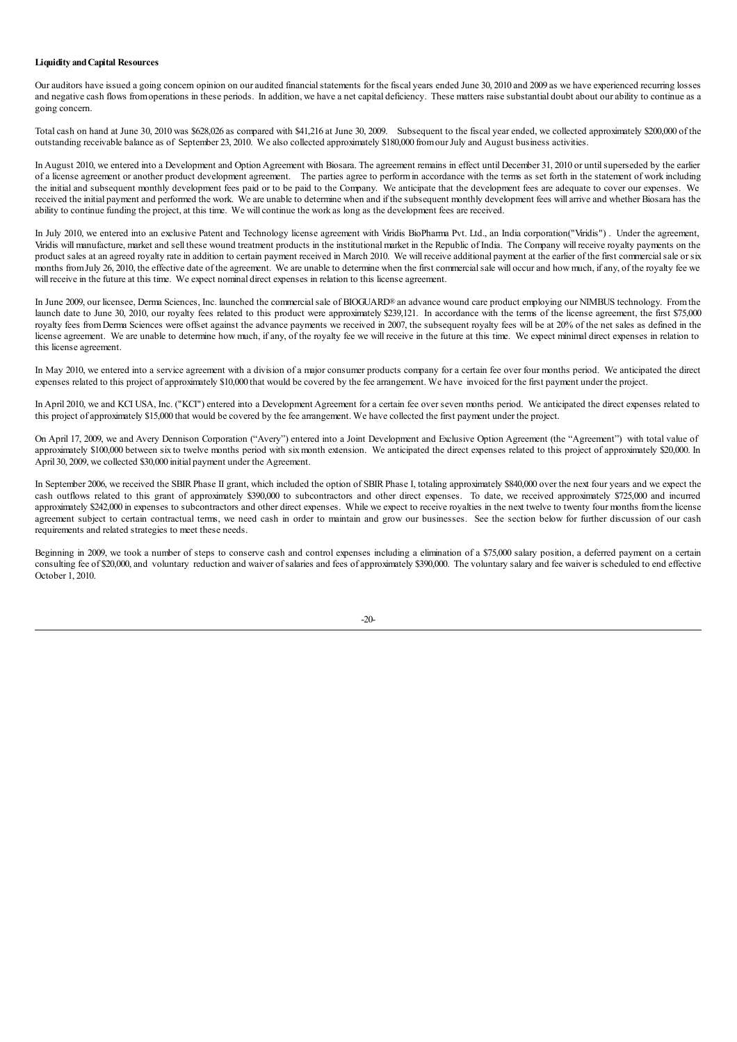### **Liquidity andCapital Resources**

Ourauditors have issued a going concern opinion on ouraudited financialstatements for the fiscal years ended June 30, 2010 and 2009 as we have experienced recurring losses and negative cash flows fromoperations in these periods. In addition, we have a net capital deficiency. These matters raise substantial doubt about ourability to continue as a going concern.

Totalcash on hand at June 30, 2010 was \$628,026 as compared with \$41,216 at June 30, 2009. Subsequent to the fiscal yearended, we collected approximately \$200,000 of the outstanding receivable balance as of September 23, 2010. We also collected approximately \$180,000 fromourJuly and August business activities.

In August 2010, we entered into a Development and Option Agreement with Biosara. The agreement remains in effect until December 31, 2010 or untilsuperseded by the earlier of a license agreement or another product development agreement. The parties agree to performin accordance with the terms as set forth in the statement of work including the initial and subsequent monthly development fees paid or to be paid to the Company. We anticipate that the development fees are adequate to cover our expenses. We received the initial payment and performed the work. We are unable to determine when and if the subsequent monthly development fees willarrive and whether Biosara has the ability to continue funding the project, at this time. We will continue the work as long as the development fees are received.

In July 2010, we entered into an exclusive Patent and Technology license agreement with Viridis BioPharma Pvt. Ltd., an India corporation("Viridis") . Under the agreement, Viridis will manufacture, market and sell these wound treatment products in the institutional market in the Republic of India. The Company will receive royalty payments on the product sales at an agreed royalty rate in addition to certain payment received in March 2010. We will receive additional payment at the earlier of the first commercialsale or six months from July 26, 2010, the effective date of the agreement. We are unable to determine when the first commercial sale will occur and how much, if any, of the royalty fee we will receive in the future at this time. We expect nominal direct expenses in relation to this license agreement.

In June 2009, our licensee, Derma Sciences, Inc. launched the commercial sale of BIOGUARD® an advance wound care product employing our NIMBUS technology. Fromthe launch date to June 30, 2010, our royalty fees related to this product were approximately \$239,121. In accordance with the terms of the license agreement, the first \$75,000 royalty fees from Derma Sciences were offset against the advance payments we received in 2007, the subsequent royalty fees will be at 20% of the net sales as defined in the license agreement. We are unable to determine how much, if any, of the royalty fee we will receive in the future at this time. We expect minimal direct expenses in relation to this license agreement.

In May 2010, we entered into a service agreement with a division of a major consumer products company for a certain fee over four months period. We anticipated the direct expenses related to this project ofapproximately \$10,000 that would be covered by the fee arrangement. We have invoiced for the first payment under the project.

In April 2010, we and KCI USA, Inc. ("KCI") entered into a Development Agreement for a certain fee over seven months period. We anticipated the direct expenses related to this project ofapproximately \$15,000 that would be covered by the fee arrangement. We have collected the first payment under the project.

On April 17, 2009, we and Avery Dennison Corporation ("Avery") entered into a Joint Development and Exclusive Option Agreement (the "Agreement") with total value of approximately \$100,000 between six to twelve months period with sixmonth extension. We anticipated the direct expenses related to this project of approximately \$20,000. In April 30, 2009, we collected \$30,000 initial payment under the Agreement.

In September 2006, we received the SBIR Phase II grant, which included the option of SBIR Phase I, totaling approximately \$840,000 over the next four years and we expect the cash outflows related to this grant of approximately \$390,000 to subcontractors and other direct expenses. To date, we received approximately \$725,000 and incurred approximately \$242,000 in expenses to subcontractors and other direct expenses. While we expect to receive royalties in the next twelve to twenty four months from the license agreement subject to certain contractual terms, we need cash in order to maintain and grow our businesses. See the section below for further discussion of our cash requirements and related strategies to meet these needs.

Beginning in 2009, we took a number of steps to conserve cash and control expenses including a elimination of a \$75,000 salary position, a deferred payment on a certain consulting fee of \$20,000,and voluntary reduction and waiver ofsalaries and fees ofapproximately \$390,000. The voluntary salary and fee waiver is scheduled to end effective October 1, 2010.

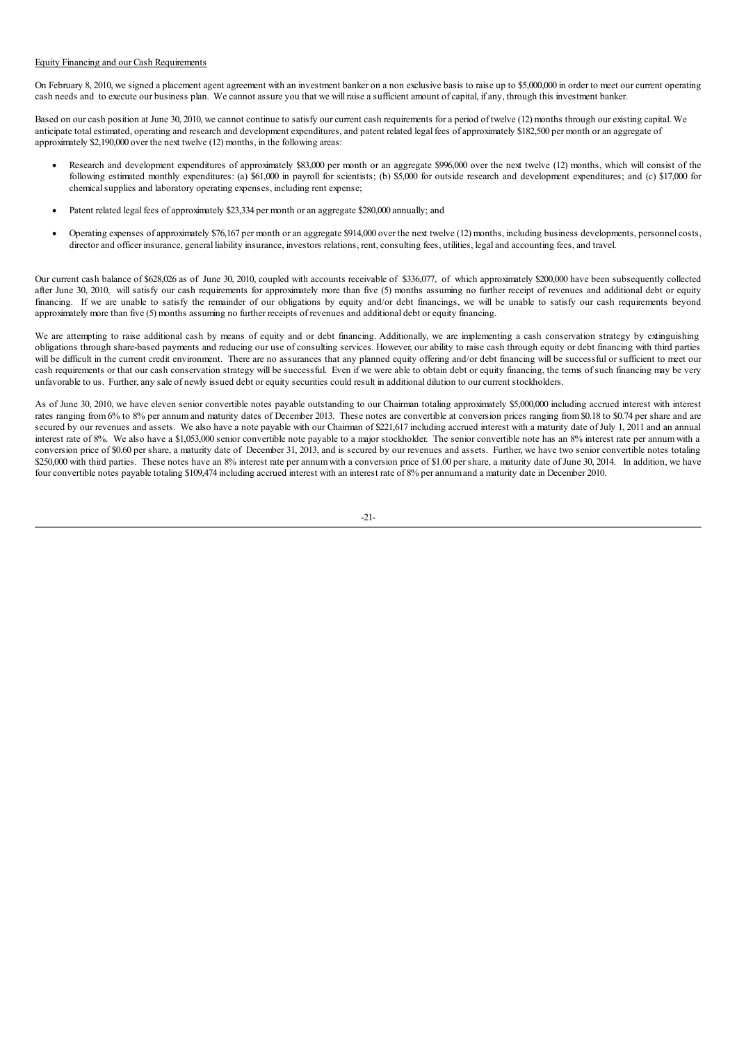## Equity Financing and our Cash Requirements

On February 8, 2010, we signed a placement agent agreement with an investment banker on a non exclusive basis to raise up to \$5,000,000 in order to meet our current operating cash needs and to execute our business plan. We cannot assure you that we will raise a sufficient amount ofcapital, ifany, through this investment banker.

Based on our cash position at June 30, 2010, we cannot continue to satisfy our current cash requirements for a period of twelve (12) months through our existing capital. We anticipate total estimated, operating and research and development expenditures, and patent related legal fees of approximately \$182,500 per month or an aggregate of approximately \$2,190,000 over the next twelve (12) months, in the following areas:

- Research and development expenditures of approximately \$83,000 per month or an aggregate \$996,000 over the next twelve (12) months, which will consist of the following estimated monthly expenditures: (a) \$61,000 in payroll for scientists; (b) \$5,000 for outside research and development expenditures; and (c) \$17,000 for chemical supplies and laboratory operating expenses, including rent expense;
- Patent related legal fees of approximately \$23,334 per month or an aggregate \$280,000 annually; and
- · Operating expenses ofapproximately \$76,167 per month oran aggregate \$914,000 over the next twelve (12) months, including business developments, personnelcosts, director and officer insurance, general liability insurance, investors relations, rent, consulting fees, utilities, legal and accounting fees, and travel.

Our current cash balance of \$628,026 as of June 30, 2010, coupled with accounts receivable of \$336,077, of which approximately \$200,000 have been subsequently collected after June 30, 2010, will satisfy our cash requirements for approximately more than five (5) months assuming no further receipt of revenues and additional debt or equity financing. If we are unable to satisfy the remainder of our obligations by equity and/or debt financings, we will be unable to satisfy our cash requirements beyond approximately more than five (5) months assuming no further receipts of revenues and additional debt or equity financing.

We are attempting to raise additional cash by means of equity and or debt financing. Additionally, we are implementing a cash conservation strategy by extinguishing obligations through share-based payments and reducing our use of consulting services. However, our ability to raise cash through equity or debt financing with third parties will be difficult in the current credit environment. There are no assurances that any planned equity offering and/or debt financing will be successful or sufficient to meet our cash requirements or that our cash conservation strategy will be successful. Even if we were able to obtain debt or equity financing, the terms of such financing may be very unfavorable to us. Further, any sale of newly issued debt or equity securities could result in additional dilution to our current stockholders.

As of June 30, 2010, we have eleven senior convertible notes payable outstanding to our Chairman totaling approximately \$5,000,000 including accrued interest with interest rates ranging from 6% to 8% per annum and maturity dates of December 2013. These notes are convertible at conversion prices ranging from \$0.18 to \$0.74 per share and are secured by our revenues and assets. We also have a note payable with our Chairman of \$221,617 including accrued interest with a maturity date of July 1, 2011 and an annual interest rate of 8%. We also have a \$1,053,000 senior convertible note payable to a major stockholder. The senior convertible note has an 8% interest rate per annumwith a conversion price of \$0.60 per share, a maturity date of December 31, 2013, and is secured by our revenues and assets. Further, we have two senior convertible notes totaling \$250,000 with third parties. These notes have an 8% interest rate per annum with a conversion price of \$1.00 per share, a maturity date of June 30, 2014. In addition, we have fourconvertible notes payable totaling \$109,474 including accrued interest with an interest rate of 8% perannumand a maturity date in December 2010.

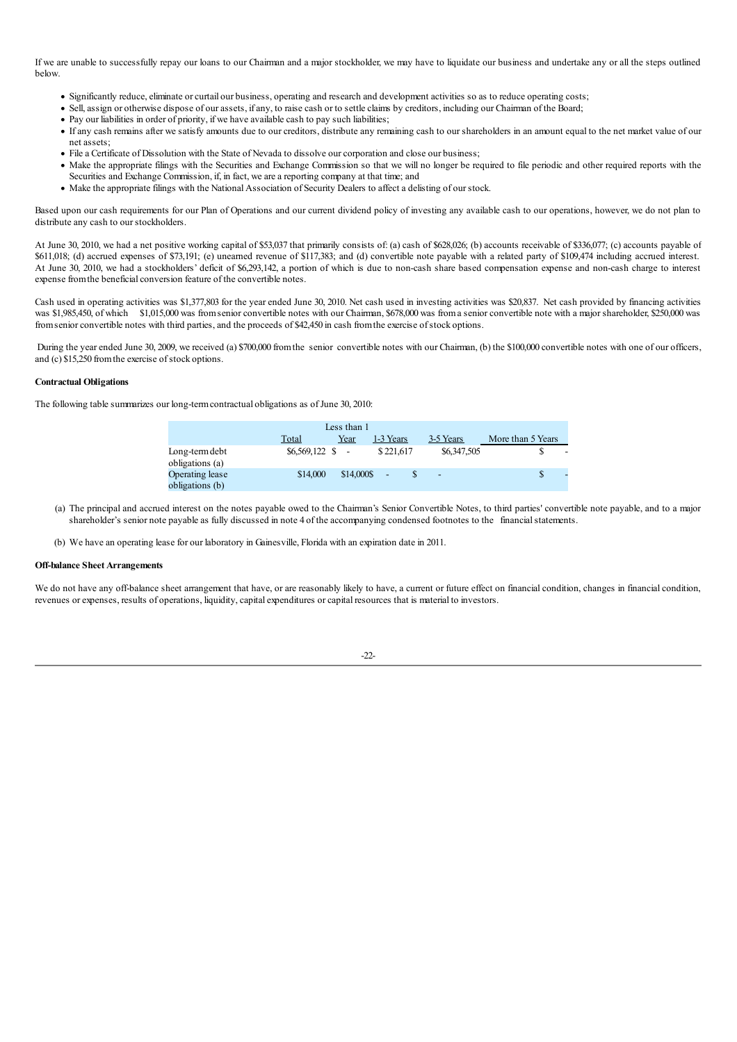If we are unable to successfully repay our loans to our Chairman and a major stockholder, we may have to liquidate our business and undertake any or all the steps outlined below.

- · Significantly reduce,eliminate orcurtail our business, operating and research and development activities so as to reduce operating costs;
- Sell, assign or otherwise dispose of our assets, if any, to raise cash or to settle claims by creditors, including our Chairman of the Board;
- · Pay our liabilities in order of priority, if we have available cash to pay such liabilities;
- · Ifany cash remains after we satisfy amounts due to ourcreditors, distribute any remaining cash to our shareholders in an amount equal to the net market value of our net assets;
- File a Certificate of Dissolution with the State of Nevada to dissolve our corporation and close our business;
- · Make the appropriate filings with the Securities and Exchange Commission so that we will no longer be required to file periodic and other required reports with the Securities and Exchange Commission, if, in fact, we are a reporting company at that time; and
- Make the appropriate filings with the National Association of Security Dealers to affect a delisting of our stock.

Based upon our cash requirements for our Plan of Operations and our current dividend policy of investing any available cash to our operations, however, we do not plan to distribute any cash to ourstockholders.

At June 30, 2010, we had a net positive working capital of \$53,037 that primarily consists of: (a) cash of \$628,026; (b) accounts receivable of \$336,077; (c) accounts payable of \$611,018; (d) accrued expenses of \$73,191; (e) unearned revenue of \$117,383; and (d) convertible note payable with a related party of \$109,474 including accrued interest. At June 30, 2010, we had a stockholders' deficit of \$6,293,142, a portion of which is due to non-cash share based compensation expense and non-cash charge to interest expense from the beneficial conversion feature of the convertible notes.

Cash used in operating activities was \$1,377,803 for the year ended June 30, 2010. Net cash used in investing activities was \$20,837. Net cash provided by financing activities was \$1,985,450, of which \$1,015,000 was from senior convertible notes with our Chairman, \$678,000 was from a senior convertible note with a major shareholder, \$250,000 was from senior convertible notes with third parties, and the proceeds of \$42,450 in cash from the exercise of stock options.

During the year ended June 30, 2009, we received (a) \$700,000 from the senior convertible notes with our Chairman, (b) the \$100,000 convertible notes with one of our officers, and (c) \$15,250 from the exercise of stock options.

### **Contractual Obligations**

The following table summarizes our long-term contractual obligations as of June 30, 2010:

|                                    |                | Less than 1 |           |                          |                   |
|------------------------------------|----------------|-------------|-----------|--------------------------|-------------------|
|                                    | Total          | Year        | 1-3 Years | 3-5 Years                | More than 5 Years |
| Long-term debt<br>obligations (a)  | \$6,569,122 \$ |             | \$221,617 | \$6,347,505              |                   |
| Operating lease<br>obligations (b) | \$14,000       | \$14,000\$  |           | $\overline{\phantom{a}}$ |                   |

- (a) The principal and accrued interest on the notes payable owed to the Chairman's Senior Convertible Notes, to third parties' convertible note payable, and to a major shareholder's senior note payable as fully discussed in note 4 of the accompanying condensed footnotes to the financial statements.
- (b) We have an operating lease for our laboratory in Gainesville, Florida with an expiration date in 2011.

## **Off-balance Sheet Arrangements**

We do not have any off-balance sheet arrangement that have, or are reasonably likely to have, a current or future effect on financial condition, changes in financial condition, revenues or expenses, results of operations, liquidity, capital expenditures or capital resources that is material to investors.

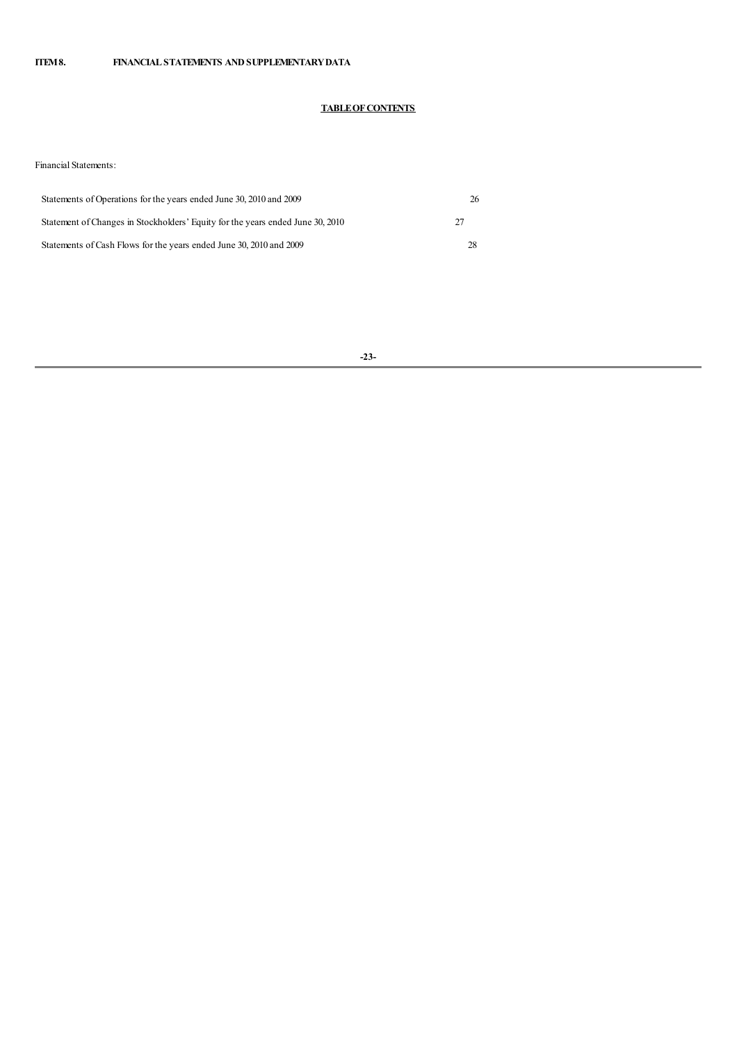# **TABLEOFCONTENTS**

Financial Statements:

| Statements of Operations for the years ended June 30, 2010 and 2009            | 26 |
|--------------------------------------------------------------------------------|----|
| Statement of Changes in Stockholders' Equity for the years ended June 30, 2010 | 27 |
| Statements of Cash Flows for the years ended June 30, 2010 and 2009            | 28 |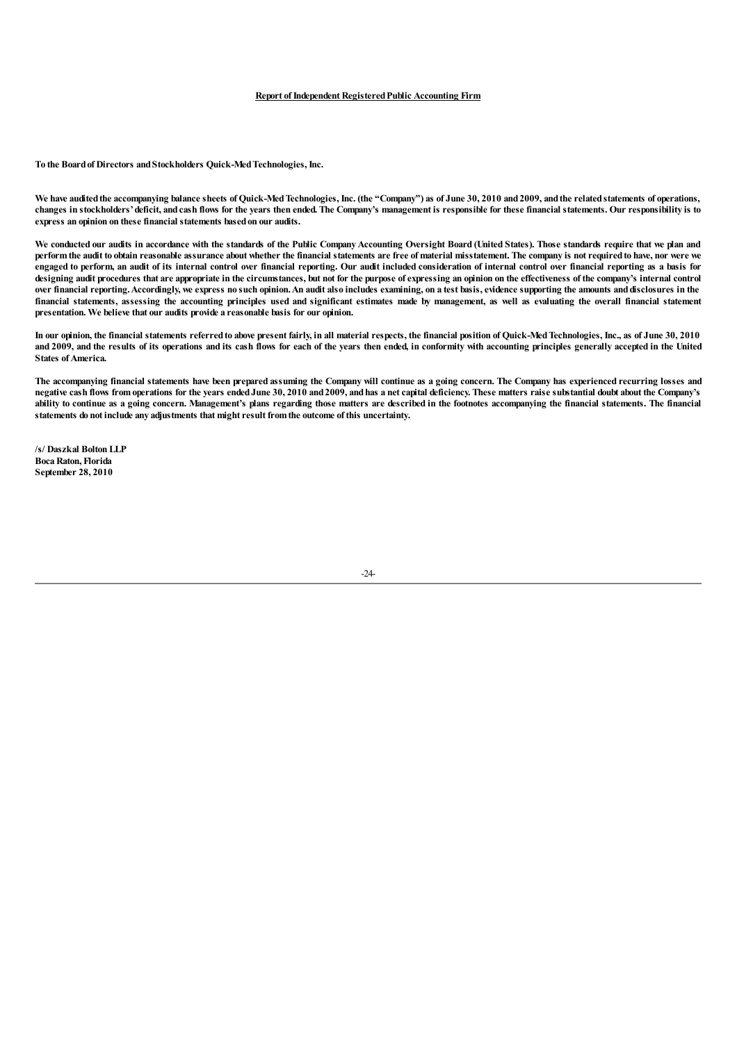#### **Report of Independent Registered Public Accounting Firm**

**To the Boardof Directors andStockholders Quick-MedTechnologies, Inc.**

We have audited the accompanying balance sheets of Quick-Med Technologies, Inc. (the "Company") as of June 30, 2010 and 2009, and the related statements of operations, changes in stockholders' deficit, and cash flows for the years then ended. The Company's management is responsible for these financial statements. Our responsibility is to **express an opinion on these financial statements basedon our audits.**

We conducted our audits in accordance with the standards of the Public Company Accounting Oversight Board (United States). Those standards require that we plan and perform the audit to obtain reasonable assurance about whether the financial statements are free of material misstatement. The company is not required to have, nor were we engaged to perform, an audit of its internal control over financial reporting. Our audit included consideration of internal control over financial reporting as a basis for designing audit procedures that are appropriate in the circumstances, but not for the purpose of expressing an opinion on the effectiveness of the company's internal control over financial reporting. Accordingly, we express no such opinion. An audit also includes examining, on a test basis, evidence supporting the amounts and disclosures in the financial statements, assessing the accounting principles used and significant estimates made by management, as well as evaluating the overall financial statement **presentation. We believe that our audits provide a reasonable basis for our opinion.**

In our opinion, the financial statements referred to above present fairly, in all material respects, the financial position of Quick-Med Technologies, Inc., as of June 30, 2010 and 2009, and the results of its operations and its cash flows for each of the years then ended, in conformity with accounting principles generally accepted in the United **States of America.**

The accompanying financial statements have been prepared assuming the Company will continue as a going concern. The Company has experienced recurring losses and negative cash flows from operations for the years ended June 30, 2010 and 2009, and has a net capital deficiency. These matters raise substantial doubt about the Company's ability to continue as a going concern. Management's plans regarding those matters are described in the footnotes accompanying the financial statements. The financial **statements do not include any adjustments that mightresult fromthe outcome of this uncertainty.**

**/s/ Daszkal Bolton LLP BocaRaton, Florida September 28, 2010**

-24-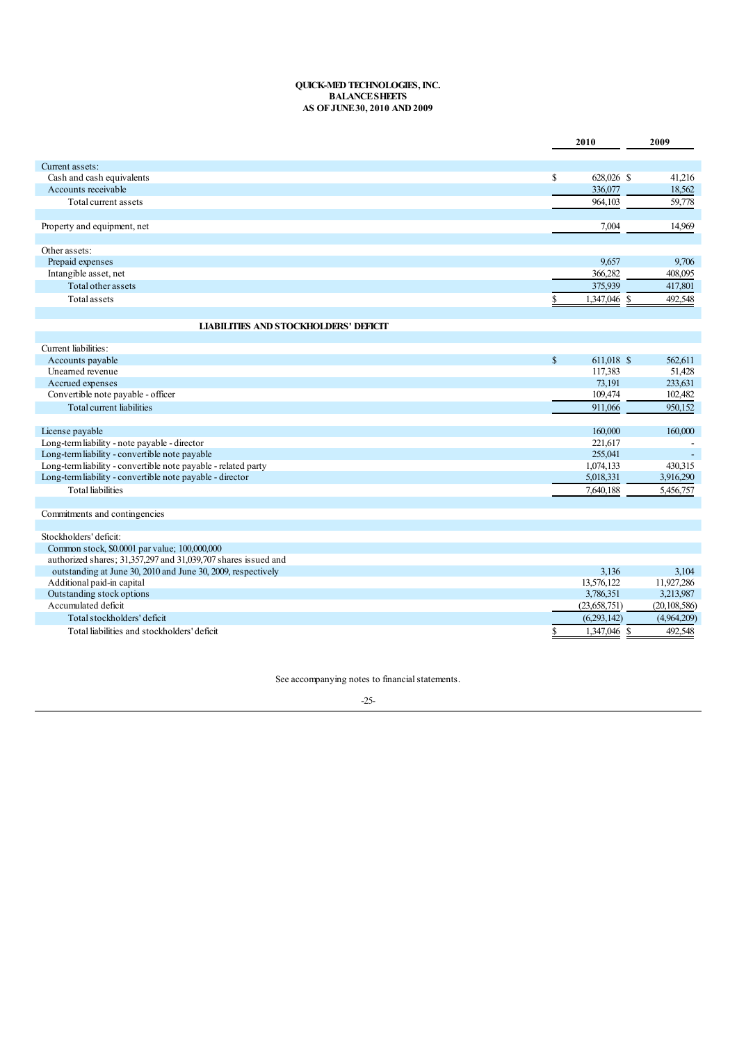## **QUICK-MEDTECHNOLOGIES, INC. BALANCESHEETS AS OFJUNE30, 2010 AND2009**

|                                                                                                                 |              | 2010         | 2009           |
|-----------------------------------------------------------------------------------------------------------------|--------------|--------------|----------------|
| Current assets:                                                                                                 |              |              |                |
| Cash and cash equivalents                                                                                       | $\mathbb{S}$ | 628,026 \$   | 41,216         |
| Accounts receivable                                                                                             |              | 336,077      | 18,562         |
| Total current assets                                                                                            |              | 964,103      | 59,778         |
|                                                                                                                 |              |              |                |
| Property and equipment, net                                                                                     |              | 7,004        | 14,969         |
|                                                                                                                 |              |              |                |
| Other assets:                                                                                                   |              |              |                |
| Prepaid expenses                                                                                                |              | 9,657        | 9,706          |
| Intangible asset, net                                                                                           |              | 366,282      | 408,095        |
| Total other assets                                                                                              |              | 375,939      | 417,801        |
| Total assets                                                                                                    | \$           | 1,347,046 \$ | 492,548        |
|                                                                                                                 |              |              |                |
| <b>LIABILITIES AND STOCKHOLDERS' DEFICIT</b>                                                                    |              |              |                |
| Current liabilities:                                                                                            |              |              |                |
| Accounts payable                                                                                                | $\mathbb{S}$ | 611,018 \$   | 562,611        |
| Unearned revenue                                                                                                |              | 117,383      | 51,428         |
| Accrued expenses                                                                                                |              | 73,191       | 233,631        |
| Convertible note payable - officer                                                                              |              | 109,474      | 102,482        |
| Total current liabilities                                                                                       |              | 911,066      | 950,152        |
|                                                                                                                 |              |              |                |
| License payable                                                                                                 |              | 160,000      | 160,000        |
| Long-term liability - note payable - director                                                                   |              | 221,617      |                |
| Long-term liability - convertible note payable                                                                  |              | 255,041      |                |
| Long-term liability - convertible note payable - related party                                                  |              | 1,074,133    | 430,315        |
| Long-term liability - convertible note payable - director                                                       |              | 5,018,331    | 3,916,290      |
| <b>Total liabilities</b>                                                                                        |              | 7,640,188    | 5,456,757      |
|                                                                                                                 |              |              |                |
| Commitments and contingencies                                                                                   |              |              |                |
|                                                                                                                 |              |              |                |
| Stockholders' deficit:                                                                                          |              |              |                |
| Common stock, \$0.0001 par value; 100,000,000<br>authorized shares; 31,357,297 and 31,039,707 shares issued and |              |              |                |
| outstanding at June 30, 2010 and June 30, 2009, respectively                                                    |              | 3,136        | 3,104          |
|                                                                                                                 |              | 13,576,122   | 11,927,286     |
| Additional paid-in capital<br>Outstanding stock options                                                         |              | 3,786,351    | 3,213,987      |
| Accumulated deficit                                                                                             |              | (23,658,751) | (20, 108, 586) |
| Total stockholders' deficit                                                                                     |              | (6,293,142)  | (4,964,209)    |
| Total liabilities and stockholders' deficit                                                                     | $\mathbf S$  | 1,347,046 \$ | 492,548        |
|                                                                                                                 |              |              |                |

See accompanying notes to financial statements.

-25-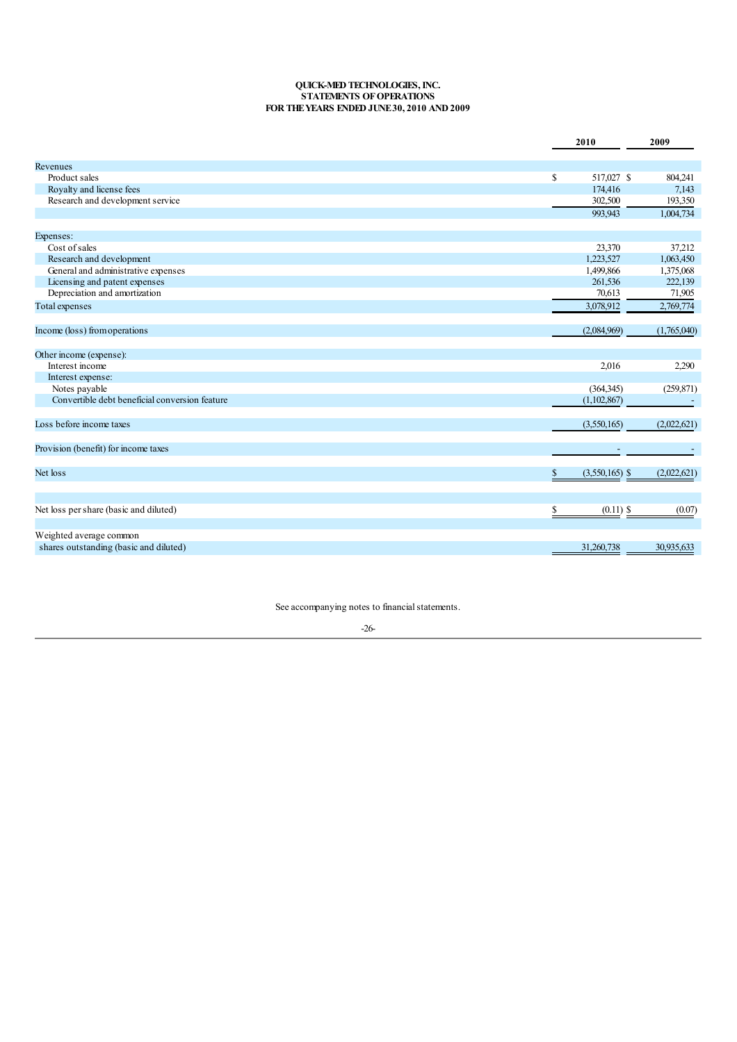### **QUICK-MEDTECHNOLOGIES, INC. STATEMENTS OFOPERATIONS FORTHEYEARS ENDEDJUNE30, 2010 AND2009**

|                                                                   | 2010                            | 2009        |
|-------------------------------------------------------------------|---------------------------------|-------------|
| Revenues                                                          |                                 |             |
| Product sales                                                     | $\mathbb{S}$<br>517,027 \$      | 804,241     |
| Royalty and license fees                                          | 174,416                         | 7,143       |
| Research and development service                                  | 302,500                         | 193,350     |
|                                                                   | 993,943                         | 1,004,734   |
| Expenses:                                                         |                                 |             |
| Cost of sales                                                     | 23,370                          | 37,212      |
| Research and development                                          | 1,223,527                       | 1,063,450   |
| General and administrative expenses                               | 1,499,866                       | 1,375,068   |
| Licensing and patent expenses                                     | 261,536                         | 222,139     |
| Depreciation and amortization                                     | 70,613                          | 71,905      |
| Total expenses                                                    | 3,078,912                       | 2,769,774   |
| Income (loss) from operations                                     | (2,084,969)                     | (1,765,040) |
| Other income (expense):                                           |                                 |             |
| Interest income                                                   | 2,016                           | 2,290       |
| Interest expense:                                                 |                                 |             |
| Notes payable                                                     | (364, 345)                      | (259, 871)  |
| Convertible debt beneficial conversion feature                    | (1,102,867)                     |             |
| Loss before income taxes                                          | (3,550,165)                     | (2,022,621) |
| Provision (benefit) for income taxes                              |                                 |             |
| Net loss                                                          | $\mathbb S$<br>$(3,550,165)$ \$ | (2,022,621) |
|                                                                   |                                 |             |
| Net loss per share (basic and diluted)                            | S<br>$(0.11)$ \$                | (0.07)      |
| Weighted average common<br>shares outstanding (basic and diluted) | 31,260,738                      | 30,935,633  |
|                                                                   |                                 |             |

See accompanying notes to financial statements.

# -26-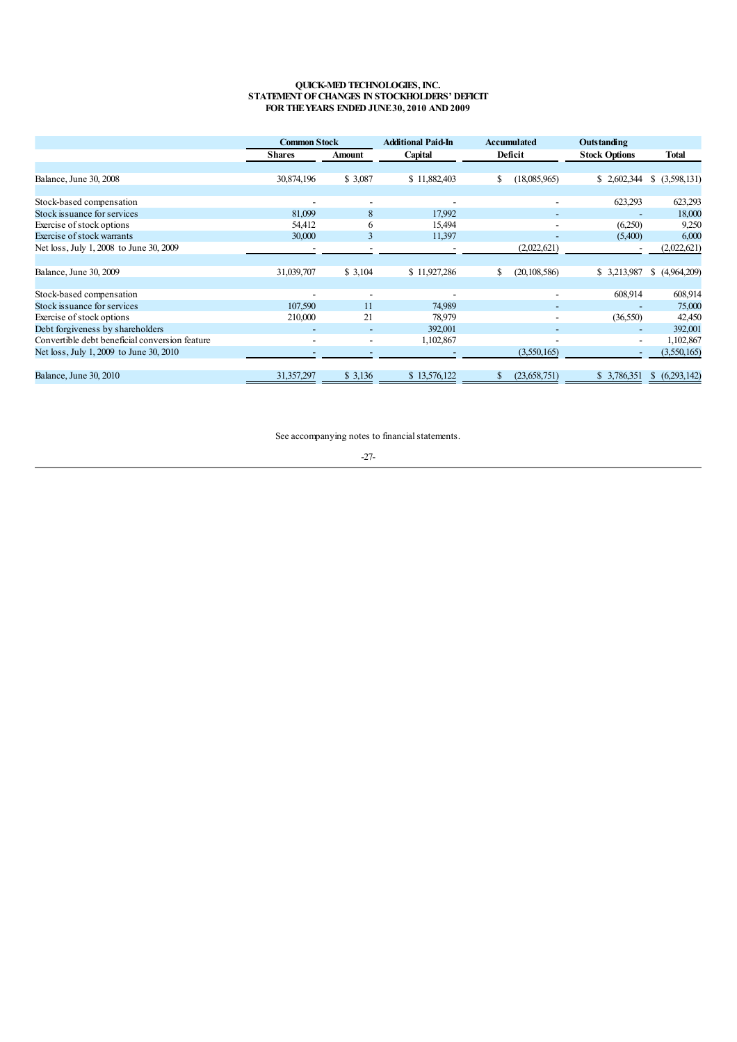### **QUICK-MEDTECHNOLOGIES, INC. STATEMENTOFCHANGES INSTOCKHOLDERS' DEFICIT FORTHEYEARS ENDEDJUNE30, 2010 AND2009**

|                                                | <b>Common Stock</b>      |                          | <b>Additional Paid-In</b> | <b>Accumulated</b>       | Outstanding          |                |
|------------------------------------------------|--------------------------|--------------------------|---------------------------|--------------------------|----------------------|----------------|
|                                                | <b>Shares</b>            | Amount                   | Capital                   | Deficit                  | <b>Stock Options</b> | <b>Total</b>   |
|                                                |                          |                          |                           |                          |                      |                |
| Balance, June 30, 2008                         | 30,874,196               | \$ 3,087                 | \$11,882,403              | (18,085,965)<br>S        | \$2,602,344          | \$ (3,598,131) |
|                                                |                          |                          |                           |                          |                      |                |
| Stock-based compensation                       |                          | $\blacksquare$           |                           |                          | 623,293              | 623,293        |
| Stock is suance for services                   | 81,099                   | 8                        | 17,992                    |                          |                      | 18,000         |
| Exercise of stock options                      | 54,412                   | 6                        | 15,494                    |                          | (6,250)              | 9,250          |
| Exercise of stock warrants                     | 30,000                   | 3                        | 11,397                    |                          | (5,400)              | 6,000          |
| Net loss, July 1, 2008 to June 30, 2009        |                          |                          |                           | (2,022,621)              |                      | (2,022,621)    |
|                                                |                          |                          |                           |                          |                      |                |
| Balance, June 30, 2009                         | 31,039,707               | \$3,104                  | \$11,927,286              | (20, 108, 586)<br>S      | \$ 3,213,987         | (4,964,209)    |
|                                                |                          |                          |                           |                          |                      |                |
| Stock-based compensation                       | ۰                        | $\blacksquare$           |                           |                          | 608,914              | 608,914        |
| Stock is suance for services                   | 107,590                  | 11                       | 74,989                    |                          |                      | 75,000         |
| Exercise of stock options                      | 210,000                  | 21                       | 78,979                    |                          | (36, 550)            | 42,450         |
| Debt forgiveness by shareholders               |                          |                          | 392,001                   |                          |                      | 392,001        |
| Convertible debt beneficial conversion feature | $\overline{\phantom{a}}$ | $\overline{\phantom{a}}$ | 1,102,867                 | $\overline{\phantom{a}}$ |                      | 1,102,867      |
| Net loss, July 1, 2009 to June 30, 2010        |                          |                          |                           | (3,550,165)              |                      | (3,550,165)    |
|                                                |                          |                          |                           |                          |                      |                |
| Balance, June 30, 2010                         | 31,357,297               | \$3,136                  | \$13,576,122              | (23, 658, 751)           | \$ 3,786,351         | (6,293,142)    |

See accompanying notes to financial statements.

$$
-27-
$$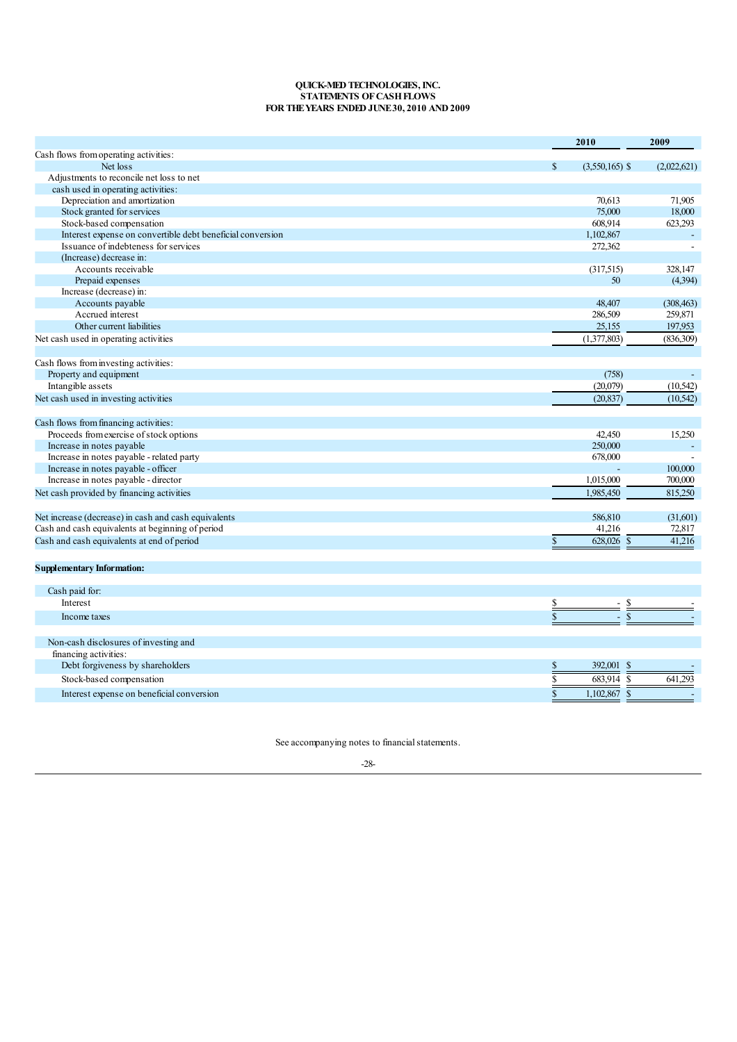## **QUICK-MEDTECHNOLOGIES, INC. STATEMENTS OFCASHFLOWS FORTHEYEARS ENDEDJUNE30, 2010 AND2009**

|                                                            | 2010                                      | 2009        |  |
|------------------------------------------------------------|-------------------------------------------|-------------|--|
| Cash flows from operating activities:                      |                                           |             |  |
| Net loss                                                   | $\mathbb{S}$<br>$(3,550,165)$ \$          | (2,022,621) |  |
| Adjustments to reconcile net loss to net                   |                                           |             |  |
| cash used in operating activities:                         |                                           |             |  |
| Depreciation and amortization                              | 70.613                                    | 71,905      |  |
| Stock granted for services                                 | 75,000                                    | 18,000      |  |
| Stock-based compensation                                   | 608,914                                   | 623,293     |  |
| Interest expense on convertible debt beneficial conversion | 1,102,867                                 |             |  |
| Issuance of indebteness for services                       | 272,362                                   |             |  |
| (Increase) decrease in:                                    |                                           |             |  |
| Accounts receivable                                        | (317,515)                                 | 328,147     |  |
| Prepaid expenses                                           | 50                                        | (4, 394)    |  |
| Increase (decrease) in:                                    |                                           |             |  |
| Accounts payable                                           | 48,407                                    | (308, 463)  |  |
| Accrued interest                                           | 286,509                                   | 259,871     |  |
| Other current liabilities                                  | 25,155                                    | 197,953     |  |
| Net cash used in operating activities                      | (1,377,803)                               | (836, 309)  |  |
| Cash flows from investing activities:                      |                                           |             |  |
| Property and equipment                                     | (758)                                     |             |  |
| Intangible assets                                          | (20,079)                                  | (10, 542)   |  |
| Net cash used in investing activities                      | (20, 837)                                 | (10, 542)   |  |
|                                                            |                                           |             |  |
| Cash flows from financing activities:                      |                                           |             |  |
| Proceeds from exercise of stock options                    | 42.450                                    | 15,250      |  |
| Increase in notes payable                                  | 250,000                                   |             |  |
| Increase in notes payable - related party                  | 678,000                                   |             |  |
| Increase in notes payable - officer                        |                                           | 100,000     |  |
| Increase in notes payable - director                       | 1,015,000                                 | 700,000     |  |
| Net cash provided by financing activities                  | 1,985,450                                 | 815,250     |  |
| Net increase (decrease) in cash and cash equivalents       | 586,810                                   | (31,601)    |  |
| Cash and cash equivalents at beginning of period           | 41,216                                    | 72,817      |  |
| Cash and cash equivalents at end of period                 | 628,026<br>\$<br>$\mathcal{S}$            | 41,216      |  |
|                                                            |                                           |             |  |
| <b>Supplementary Information:</b>                          |                                           |             |  |
| Cash paid for:                                             |                                           |             |  |
| Interest                                                   |                                           |             |  |
|                                                            | $rac{S}{S}$                               |             |  |
| Income taxes                                               | $-$ \$                                    |             |  |
| Non-cash disclosures of investing and                      |                                           |             |  |
| financing activities:                                      |                                           |             |  |
| Debt forgiveness by shareholders                           | 392,001<br>$\frac{1}{2}$<br><sup>\$</sup> |             |  |
| Stock-based compensation                                   | $\overline{\mathbb{S}}$<br>683,914<br>\$  | 641,293     |  |
| Interest expense on beneficial conversion                  | \$<br>1,102,867<br>$\mathcal{S}$          |             |  |

See accompanying notes to financial statements.

# -28-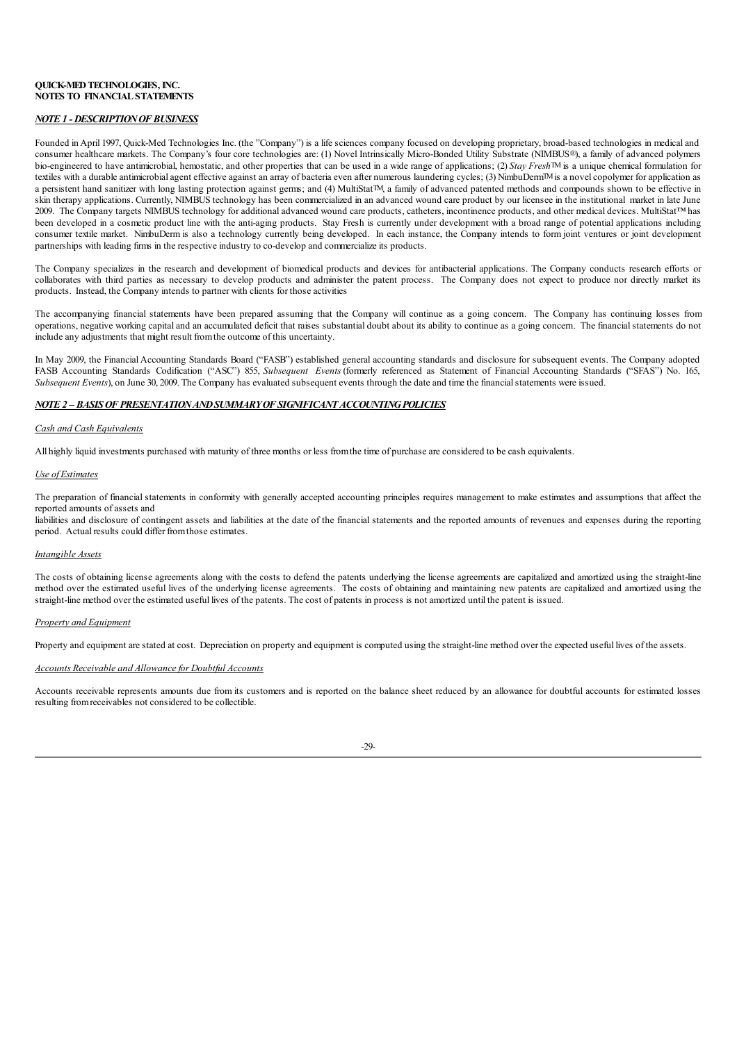## **QUICK-MEDTECHNOLOGIES, INC. NOTES TO FINANCIALSTATEMENTS**

# *NOTE 1 -DESCRIPTIONOF BUSINESS*

Founded in April 1997, Quick-Med Technologies Inc. (the "Company") is a life sciences company focused on developing proprietary, broad-based technologies in medicaland consumer healthcare markets. The Company's four core technologies are: (1) Novel Intrinsically Micro-Bonded Utility Substrate (NIMBUS®), a family of advanced polymers bio-engineered to have antimicrobial, hemostatic, and other properties that can be used in a wide range of applications; (2) *Stay Fresh*TM is a unique chemical formulation for textiles with a durable antimicrobial agent effective against an array of bacteria even after numerous laundering cycles; (3) NimbuDerm<sup>TM</sup> is a novel copolymer for application as a persistent hand sanitizer with long lasting protection against germs; and (4) MultiStatTM, a family of advanced patented methods and compounds shown to be effective in skin therapy applications. Currently, NIMBUS technology has been commercialized in an advanced wound care product by our licensee in the institutional market in late June 2009. The Company targets NIMBUS technology for additional advanced wound care products, catheters, incontinence products, and other medical devices. MultiStat™ has been developed in a cosmetic product line with the anti-aging products. Stay Fresh is currently under development with a broad range of potential applications including consumer textile market. NimbuDerm is also a technology currently being developed. In each instance, the Company intends to form joint ventures or joint development partnerships with leading firms in the respective industry to co-develop and commercialize its products.

The Company specializes in the research and development of biomedical products and devices for antibacterial applications. The Company conducts research efforts or collaborates with third parties as necessary to develop products and administer the patent process. The Company does not expect to produce nor directly market its products. Instead, the Company intends to partner with clients for those activities

The accompanying financial statements have been prepared assuming that the Company will continue as a going concern. The Company has continuing losses from operations, negative working capitaland an accumulated deficit that raises substantial doubt about its ability to continue as a going concern. The financial statements do not include any adjustments that might result fromthe outcome of this uncertainty.

In May 2009, the Financial Accounting Standards Board ("FASB") established general accounting standards and disclosure for subsequent events. The Company adopted FASB Accounting Standards Codification ("ASC") 855, *Subsequent Events* (formerly referenced as Statement of Financial Accounting Standards ("SFAS") No. 165, *Subsequent Events*), on June 30, 2009. The Company has evaluated subsequent events through the date and time the financialstatements were issued.

## *NOTE 2 – BASISOF PRESENTATIONANDSUMMARYOF SIGNIFICANTACCOUNTINGPOLICIES*

## *Cash and Cash Equivalents*

All highly liquid investments purchased with maturity of three months or less fromthe time of purchase are considered to be cash equivalents.

#### *Use of Estimates*

The preparation of financial statements in conformity with generally accepted accounting principles requires management to make estimates and assumptions that affect the reported amounts of assets and

liabilities and disclosure of contingent assets and liabilities at the date of the financial statements and the reported amounts of revenues and expenses during the reporting period. Actual results could differ fromthose estimates.

### *Intangible Assets*

The costs of obtaining license agreements along with the costs to defend the patents underlying the license agreements are capitalized and amortized using the straight-line method over the estimated useful lives of the underlying license agreements. The costs of obtaining and maintaining new patents are capitalized and amortized using the straight-line method over the estimated useful lives of the patents. The cost of patents in process is not amortized until the patent is issued.

# *Property and Equipment*

Property and equipment are stated at cost. Depreciation on property and equipment is computed using the straight-line method over the expected useful lives of the assets.

### *Accounts Receivable and Allowance for Doubtful Accounts*

Accounts receivable represents amounts due from its customers and is reported on the balance sheet reduced by an allowance for doubtful accounts for estimated losses resulting fromreceivables not considered to be collectible.

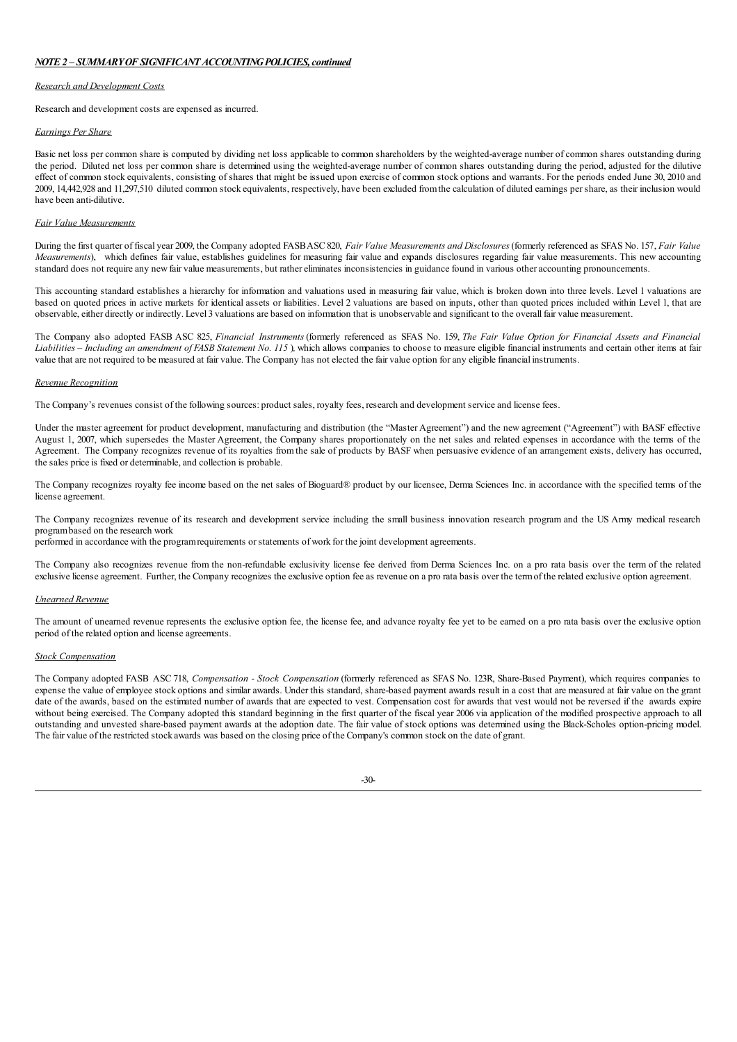# *NOTE 2 – SUMMARYOF SIGNIFICANTACCOUNTINGPOLICIES,continued*

# *Research and Development Costs*

Research and development costs are expensed as incurred.

### *Earnings Per Share*

Basic net loss per common share is computed by dividing net loss applicable to common shareholders by the weighted-average number of common shares outstanding during the period. Diluted net loss per common share is determined using the weighted-average number of common shares outstanding during the period, adjusted for the dilutive effect of common stock equivalents, consisting of shares that might be issued upon exercise of common stock options and warrants. For the periods ended June 30, 2010 and 2009, 14,442,928 and 11,297,510 diluted common stock equivalents, respectively, have been excluded fromthe calculation of diluted earnings per share,as their inclusion would have been anti-dilutive.

#### *Fair Value Measurements*

During the first quarter of fiscal year 2009, the Company adopted FASBASC820, *Fair Value Measurements and Disclosures* (formerly referenced as SFAS No. 157, *Fair Value Measurements*), which defines fair value, establishes guidelines for measuring fair value and expands disclosures regarding fair value measurements. This new accounting standard does not require any new fair value measurements, but rather eliminates inconsistencies in guidance found in various other accounting pronouncements.

This accounting standard establishes a hierarchy for information and valuations used in measuring fair value, which is broken down into three levels. Level 1 valuations are based on quoted prices in active markets for identical assets or liabilities. Level 2 valuations are based on inputs, other than quoted prices included within Level 1, that are observable,either directly or indirectly. Level 3 valuations are based on information that is unobservable and significant to the overall fair value measurement.

The Company also adopted FASB ASC 825, Financial Instruments (formerly referenced as SFAS No. 159, The Fair Value Option for Financial Assets and Financial Liabilities - Including an amendment of FASB Statement No. 115), which allows companies to choose to measure eligible financial instruments and certain other items at fair value that are not required to be measured at fair value. The Company has not elected the fair value option forany eligible financial instruments.

### *Revenue Recognition*

The Company's revenues consist of the following sources: product sales, royalty fees, research and development service and license fees.

Under the master agreement for product development, manufacturing and distribution (the "Master Agreement") and the new agreement ("Agreement") with BASF effective August 1, 2007, which supersedes the Master Agreement, the Company shares proportionately on the net sales and related expenses in accordance with the terms of the Agreement. The Company recognizes revenue of its royalties from the sale of products by BASF when persuasive evidence of an arrangement exists, delivery has occurred, the sales price is fixed or determinable, and collection is probable.

The Company recognizes royalty fee income based on the net sales of Bioguard® product by our licensee, Derma Sciences Inc. in accordance with the specified terms of the license agreement.

The Company recognizes revenue of its research and development service including the small business innovation research program and the US Army medical research programbased on the research work

performed in accordance with the programrequirements orstatements of work for the joint development agreements.

The Company also recognizes revenue from the non-refundable exclusivity license fee derived from Derma Sciences Inc. on a pro rata basis over the term of the related exclusive license agreement. Further, the Company recognizes the exclusive option fee as revenue on a pro rata basis over the termof the related exclusive option agreement.

### *Unearned Revenue*

The amount of unearned revenue represents the exclusive option fee, the license fee, and advance royalty fee yet to be earned on a pro rata basis over the exclusive option period of the related option and license agreements.

### *Stock Compensation*

The Company adopted FASB ASC 718, *Compensation - Stock Compensation* (formerly referenced as SFAS No. 123R, Share-Based Payment), which requires companies to expense the value of employee stock options and similar awards. Under this standard, share-based payment awards result in a cost that are measured at fair value on the grant date of the awards, based on the estimated number of awards that are expected to vest. Compensation cost for awards that vest would not be reversed if the awards expire without being exercised. The Company adopted this standard beginning in the first quarter of the fiscal year 2006 via application of the modified prospective approach to all outstanding and unvested share-based payment awards at the adoption date. The fair value of stock options was determined using the Black-Scholes option-pricing model. The fair value of the restricted stock awards was based on the closing price of the Company's common stock on the date of grant.

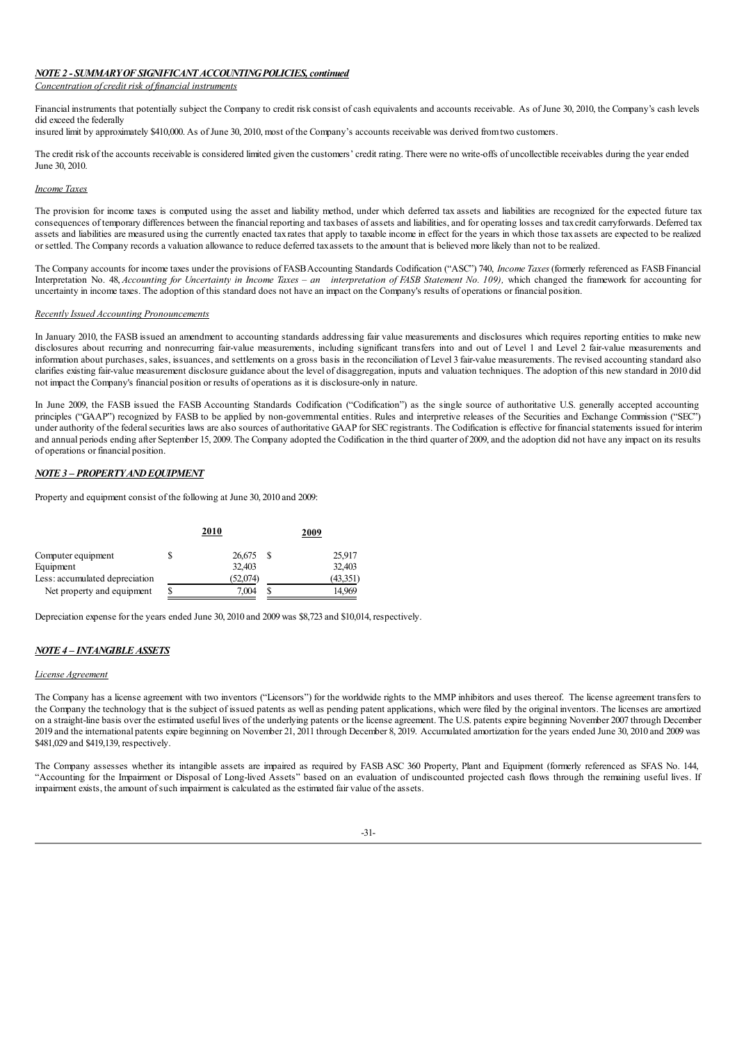# *NOTE 2 - SUMMARYOF SIGNIFICANTACCOUNTINGPOLICIES,continued*

*Concentration ofcredit risk of financial instruments*

Financial instruments that potentially subject the Company to credit risk consist ofcash equivalents and accounts receivable. As of June 30, 2010, the Company's cash levels did exceed the federally

insured limit by approximately \$410,000. As of June 30, 2010, most of the Company's accounts receivable was derived from two customers.

The credit risk of the accounts receivable is considered limited given the customers'credit rating. There were no write-offs of uncollectible receivables during the yearended June 30, 2010.

## *Income Taxes*

The provision for income taxes is computed using the asset and liability method, under which deferred tax assets and liabilities are recognized for the expected future tax consequences of temporary differences between the financial reporting and taxbases of assets and liabilities, and for operating losses and tax credit carryforwards. Deferred tax assets and liabilities are measured using the currently enacted taxrates that apply to taxable income in effect for the years in which those tax assets are expected to be realized orsettled. The Company records a valuation allowance to reduce deferred taxassets to the amount that is believed more likely than not to be realized.

The Company accounts for income taxes under the provisions of FASBAccounting Standards Codification ("ASC") 740, *Income Taxes* (formerly referenced as FASB Financial Interpretation No. 48, Accounting for Uncertainty in Income Taxes - an interpretation of FASB Statement No. 109), which changed the framework for accounting for uncertainty in income taxes. The adoption of this standard does not have an impact on the Company's results of operations or financial position.

#### *Recently Issued Accounting Pronouncements*

In January 2010, the FASB issued an amendment to accounting standards addressing fair value measurements and disclosures which requires reporting entities to make new disclosures about recurring and nonrecurring fair-value measurements, including significant transfers into and out of Level 1 and Level 2 fair-value measurements and information about purchases, sales, issuances, and settlements on a gross basis in the reconciliation of Level 3 fair-value measurements. The revised accounting standard also clarifies existing fair-value measurement disclosure guidance about the level of disaggregation, inputs and valuation techniques. The adoption of this new standard in 2010 did not impact the Company's financial position or results of operations as it is disclosure-only in nature.

In June 2009, the FASB issued the FASB Accounting Standards Codification ("Codification") as the single source of authoritative U.S. generally accepted accounting principles ("GAAP") recognized by FASB to be applied by non-governmental entities. Rules and interpretive releases of the Securities and Exchange Commission ("SEC") under authority of the federal securities laws are also sources of authoritative GAAP for SEC registrants. The Codification is effective for financial statements issued for interim and annual periods ending after September 15, 2009. The Company adopted the Codification in the third quarter of 2009, and the adoption did not have any impact on its results of operations or financial position.

## *NOTE 3 – PROPERTYANDEQUIPMENT*

Property and equipment consist of the following at June 30, 2010 and 2009:

|                                | 2010     | 2009     |
|--------------------------------|----------|----------|
| Computer equipment             | 26,675   | 25,917   |
| Equipment                      | 32,403   | 32,403   |
| Less: accumulated depreciation | (52,074) | (43,351) |
| Net property and equipment     | 7.004    | 14.969   |

Depreciation expense for the years ended June 30, 2010 and 2009 was \$8,723 and \$10,014, respectively.

## *NOTE 4 – INTANGIBLE ASSETS*

### *License Agreement*

The Company has a license agreement with two inventors ("Licensors") for the worldwide rights to the MMP inhibitors and uses thereof. The license agreement transfers to the Company the technology that is the subject of issued patents as wellas pending patent applications, which were filed by the original inventors. The licenses are amortized on a straight-line basis over the estimated useful lives of the underlying patents or the license agreement. The U.S. patents expire beginning November 2007 through December 2019 and the international patents expire beginning on November 21, 2011 through December 8, 2019. Accumulated amortization for the years ended June 30, 2010 and 2009was \$481,029 and \$419,139, respectively.

The Company assesses whether its intangible assets are impaired as required by FASB ASC 360 Property, Plant and Equipment (formerly referenced as SFAS No. 144, "Accounting for the Impairment or Disposal of Long-lived Assets" based on an evaluation of undiscounted projected cash flows through the remaining useful lives. If impairment exists, the amount ofsuch impairment is calculated as the estimated fair value of the assets.

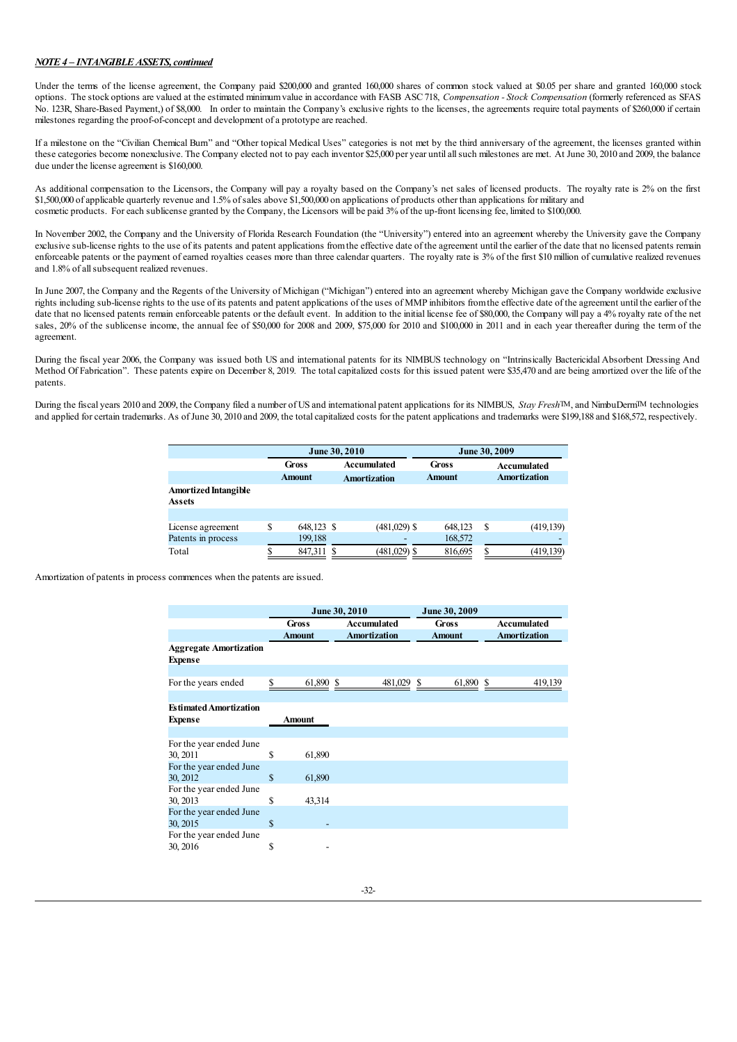# *NOTE 4 – INTANGIBLE ASSETS,continued*

Under the terms of the license agreement, the Company paid \$200,000 and granted 160,000 shares of common stock valued at \$0.05 per share and granted 160,000 stock options. The stock options are valued at the estimated minimumvalue in accordance with FASB ASC718, *Compensation - Stock Compensation* (formerly referenced as SFAS No. 123R, Share-Based Payment,) of \$8,000. In order to maintain the Company's exclusive rights to the licenses, the agreements require total payments of \$260,000 if certain milestones regarding the proof-of-concept and development ofa prototype are reached.

If a milestone on the "Civilian Chemical Burn" and "Other topical Medical Uses" categories is not met by the third anniversary of the agreement, the licenses granted within these categories become nonexclusive. The Company elected not to pay each inventor \$25,000 per year until all such milestones are met. At June 30, 2010 and 2009, the balance due under the license agreement is \$160,000.

As additional compensation to the Licensors, the Company will pay a royalty based on the Company's net sales of licensed products. The royalty rate is 2% on the first \$1,500,000 ofapplicable quarterly revenue and 1.5% ofsales above \$1,500,000 on applications of products other than applications formilitary and cosmetic products. Foreach sublicense granted by the Company, the Licensors will be paid 3% of the up-front licensing fee, limited to \$100,000.

In November 2002, the Company and the University of Florida Research Foundation (the "University") entered into an agreement whereby the University gave the Company exclusive sub-license rights to the use of its patents and patent applications from the effective date of the agreement until the earlier of the date that no licensed patents remain enforceable patents or the payment ofearned royalties ceases more than three calendar quarters. The royalty rate is 3% of the first \$10 million ofcumulative realized revenues and 1.8% of all subsequent realized revenues.

In June 2007, the Company and the Regents of the University of Michigan ("Michigan") entered into an agreement whereby Michigan gave the Company worldwide exclusive rights including sub-license rights to the use of its patents and patent applications of the uses of MMP inhibitors from the effective date of the agreement until the earlier of the date that no licensed patents remain enforceable patents or the default event. In addition to the initial license fee of \$80,000, the Company will pay a 4% royalty rate of the net sales, 20% of the sublicense income, the annual fee of \$50,000 for 2008 and 2009, \$75,000 for 2010 and \$100,000 in 2011 and in each year thereafter during the term of the agreement.

During the fiscal year 2006, the Company was issued both US and international patents for its NIMBUS technology on "Intrinsically Bactericidal Absorbent Dressing And Method Of Fabrication". These patents expire on December 8, 2019. The totalcapitalized costs for this issued patent were \$35,470 and are being amortized over the life of the patents.

During the fiscal years 2010 and 2009, the Company filed a number of US and international patent applications for its NIMBUS, *Stay Fresh*TM,and NimbuDermTM technologies and applied for certain trademarks. As of June 30, 2010 and 2009, the total capitalized costs for the patent applications and trademarks were \$199,188 and \$168,572, respectively.

|                             |   | June 30, 2010               |  |                     | June 30, 2009 |   |              |
|-----------------------------|---|-----------------------------|--|---------------------|---------------|---|--------------|
|                             |   | Accumulated<br><b>Gross</b> |  |                     | Gross         |   | Accumulated  |
|                             |   | Amount                      |  | <b>Amortization</b> | <b>Amount</b> |   | Amortization |
| <b>Amortized Intangible</b> |   |                             |  |                     |               |   |              |
| <b>Assets</b>               |   |                             |  |                     |               |   |              |
|                             |   |                             |  |                     |               |   |              |
| License agreement           | S | 648,123 \$                  |  | $(481,029)$ \$      | 648,123       | S | (419, 139)   |
| Patents in process          |   | 199,188                     |  |                     | 168,572       |   |              |
| Total                       |   | 847,311                     |  | (481,029) \$        | 816,695       | S | (419,139)    |

Amortization of patents in process commences when the patents are issued.

|                                                 |    | June 30, 2010 |  |              |              | June 30, 2009 |                     |
|-------------------------------------------------|----|---------------|--|--------------|--------------|---------------|---------------------|
|                                                 |    | Gross         |  | Accumulated  | <b>Gross</b> |               | Accumulated         |
|                                                 |    | <b>Amount</b> |  | Amortization |              | <b>Amount</b> | <b>Amortization</b> |
| <b>Aggregate Amortization</b><br><b>Expense</b> |    |               |  |              |              |               |                     |
| For the years ended                             | \$ | 61,890 \$     |  | 481,029 \$   |              | 61,890 \$     | 419,139             |
| <b>Estimated Amortization</b><br><b>Expense</b> |    | Amount        |  |              |              |               |                     |
| For the year ended June                         |    |               |  |              |              |               |                     |
| 30, 2011                                        | S  | 61,890        |  |              |              |               |                     |
| For the year ended June<br>30, 2012             | \$ | 61,890        |  |              |              |               |                     |
| For the year ended June<br>30, 2013             | S  | 43,314        |  |              |              |               |                     |
| For the year ended June<br>30, 2015             | S  |               |  |              |              |               |                     |
| For the year ended June<br>30, 2016             | \$ |               |  |              |              |               |                     |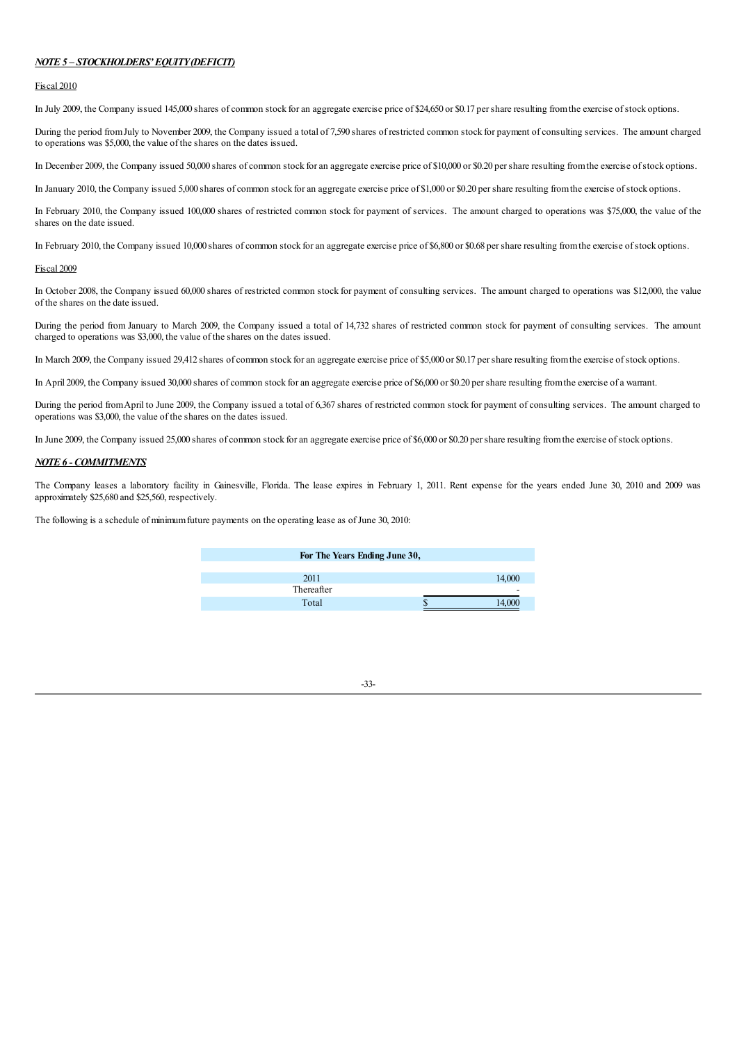# *NOTE 5 – STOCKHOLDERS'EQUITY(DEFICIT)*

## Fiscal 2010

In July 2009, the Company issued 145,000 shares ofcommon stock foran aggregate exercise price of \$24,650 or \$0.17 pershare resulting fromthe exercise ofstock options.

During the period fromJuly to November 2009, the Company issued a total of 7,590 shares of restricted common stock for payment ofconsulting services. The amount charged to operations was \$5,000, the value of the shares on the dates issued.

In December 2009, the Company issued 50,000 shares ofcommon stock foran aggregate exercise price of \$10,000 or \$0.20 pershare resulting fromthe exercise ofstock options.

In January 2010, the Company issued 5,000 shares ofcommon stock foran aggregate exercise price of \$1,000 or \$0.20 pershare resulting fromthe exercise ofstock options.

In February 2010, the Company issued 100,000 shares of restricted common stock for payment of services. The amount charged to operations was \$75,000, the value of the shares on the date issued.

In February 2010, the Company issued 10,000 shares of common stock for an aggregate exercise price of \$6,800 or \$0.68 per share resulting from the exercise of stock options.

### Fiscal 2009

In October 2008, the Company issued 60,000 shares of restricted common stock for payment of consulting services. The amount charged to operations was \$12,000, the value of the shares on the date issued.

During the period from January to March 2009, the Company issued a total of 14,732 shares of restricted common stock for payment of consulting services. The amount charged to operations was \$3,000, the value of the shares on the dates issued.

In March 2009, the Company issued 29,412 shares of common stock for an aggregate exercise price of \$5,000 or \$0.17 per share resulting from the exercise of stock options.

In April 2009, the Company issued 30,000 shares of common stock for an aggregate exercise price of \$6,000 or \$0.20 per share resulting from the exercise of a warrant.

During the period from April to June 2009, the Company issued a total of 6,367 shares of restricted common stock for payment of consulting services. The amount charged to operations was \$3,000, the value of the shares on the dates issued.

In June 2009, the Company issued 25,000 shares of common stock for an aggregate exercise price of \$6,000 or \$0.20 per share resulting from the exercise of stock options.

## *NOTE 6 -COMMITMENTS*

The Company leases a laboratory facility in Gainesville, Florida. The lease expires in February 1, 2011. Rent expense for the years ended June 30, 2010 and 2009 was approximately \$25,680 and \$25,560, respectively.

The following is a schedule of minimum future payments on the operating lease as of June 30, 2010:

| For The Years Ending June 30, |  |        |  |  |  |
|-------------------------------|--|--------|--|--|--|
|                               |  |        |  |  |  |
| 2011                          |  | 14,000 |  |  |  |
| Thereafter                    |  |        |  |  |  |
| Total                         |  | 14,000 |  |  |  |

### -33-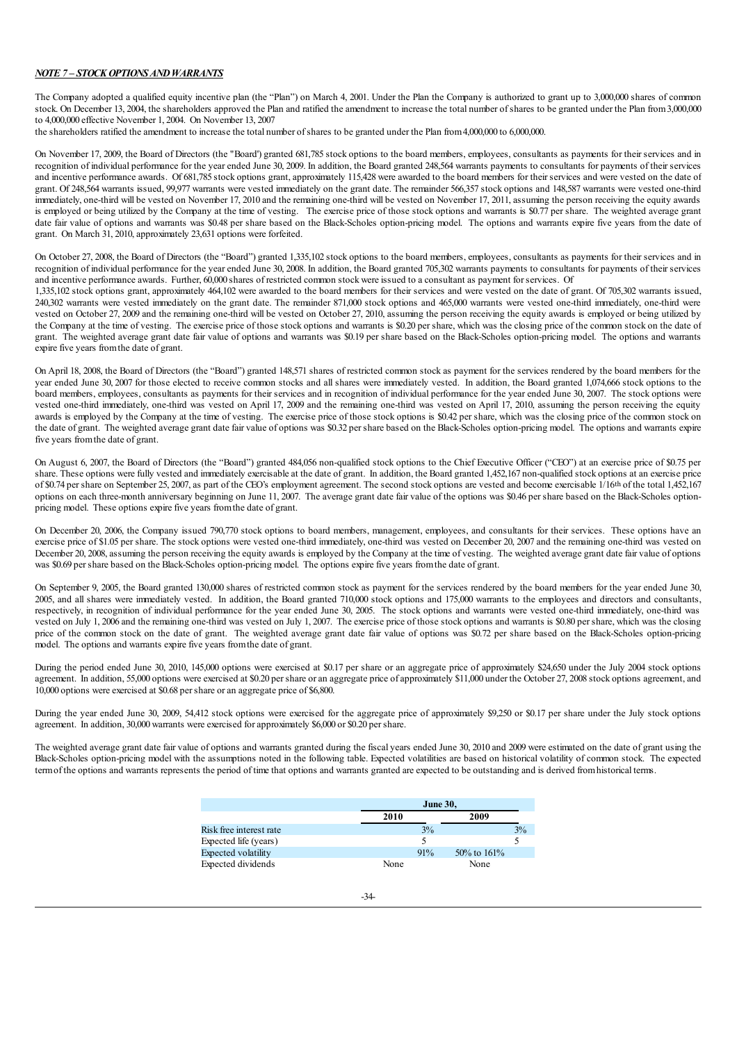# *NOTE 7 – STOCKOPTIONSANDWARRANTS*

The Company adopted a qualified equity incentive plan (the "Plan") on March 4, 2001. Under the Plan the Company is authorized to grant up to 3,000,000 shares of common stock. On December 13, 2004, the shareholders approved the Plan and ratified the amendment to increase the total number of shares to be granted under the Plan from3,000,000 to 4,000,000 effective November 1, 2004. On November 13, 2007

the shareholders ratified the amendment to increase the total number ofshares to be granted under the Plan from4,000,000 to 6,000,000.

On November 17, 2009, the Board of Directors (the "Board') granted 681,785 stock options to the board members, employees, consultants as payments for their services and in recognition of individual performance for the yearended June 30, 2009. In addition, the Board granted 248,564 warrants payments to consultants for payments of their services and incentive performance awards. Of 681,785 stock options grant, approximately 115,428 were awarded to the board members for their services and were vested on the date of grant. Of 248,564 warrants issued, 99,977 warrants were vested immediately on the grant date. The remainder 566,357 stock options and 148,587 warrants were vested one-third immediately, one-third will be vested on November 17, 2010 and the remaining one-third will be vested on November 17, 2011, assuming the person receiving the equity awards is employed or being utilized by the Company at the time of vesting. The exercise price of those stock options and warrants is \$0.77 per share. The weighted average grant date fair value of options and warrants was \$0.48 per share based on the Black-Scholes option-pricing model. The options and warrants expire five years from the date of grant. On March 31, 2010, approximately 23,631 options were forfeited.

On October 27, 2008, the Board of Directors (the "Board") granted 1,335,102 stock options to the board members, employees, consultants as payments for their services and in recognition of individual performance for the yearended June 30, 2008. In addition, the Board granted 705,302 warrants payments to consultants for payments of their services and incentive performance awards. Further, 60,000 shares of restricted common stockwere issued to a consultant as payment forservices. Of

1,335,102 stock options grant, approximately 464,102 were awarded to the board members for their services and were vested on the date of grant. Of 705,302 warrants issued, 240,302 warrants were vested immediately on the grant date. The remainder 871,000 stock options and 465,000 warrants were vested one-third immediately, one-third were vested on October 27, 2009 and the remaining one-third will be vested on October 27, 2010, assuming the person receiving the equity awards is employed or being utilized by the Company at the time of vesting. The exercise price of those stock options and warrants is \$0.20 per share, which was the closing price of the common stock on the date of grant. The weighted average grant date fair value of options and warrants was \$0.19 per share based on the Black-Scholes option-pricing model. The options and warrants expire five years fromthe date of grant.

On April 18, 2008, the Board of Directors (the "Board") granted 148,571 shares of restricted common stock as payment for the services rendered by the board members for the year ended June 30, 2007 for those elected to receive common stocks and all shares were immediately vested. In addition, the Board granted 1,074,666 stock options to the board members, employees, consultants as payments for their services and in recognition of individual performance for the year ended June 30, 2007. The stock options were vested one-third immediately, one-third was vested on April 17, 2009 and the remaining one-third was vested on April 17, 2010, assuming the person receiving the equity awards is employed by the Company at the time of vesting. The exercise price of those stock options is \$0.42 per share, which was the closing price of the common stock on the date of grant. The weighted average grant date fair value of options was \$0.32 pershare based on the Black-Scholes option-pricing model. The options and warrants expire five years fromthe date of grant.

On August 6, 2007, the Board of Directors (the "Board") granted 484,056 non-qualified stock options to the Chief Executive Officer ("CEO") at an exercise price of \$0.75 per share. These options were fully vested and immediately exercisable at the date of grant. In addition, the Board granted 1,452,167 non-qualified stock options at an exercise price of \$0.74 per share on September 25, 2007, as part of the CEO's employment agreement. The second stock options are vested and become exercisable 1/16th of the total 1,452,167 options on each three-month anniversary beginning on June 11, 2007. The average grant date fair value of the options was \$0.46 per share based on the Black-Scholes optionpricing model. These options expire five years fromthe date of grant.

On December 20, 2006, the Company issued 790,770 stock options to board members, management, employees, and consultants for their services. These options have an exercise price of \$1.05 per share. The stock options were vested one-third immediately, one-third was vested on December 20, 2007 and the remaining one-third was vested on December 20, 2008, assuming the person receiving the equity awards is employed by the Company at the time of vesting. The weighted average grant date fair value of options was \$0.69 pershare based on the Black-Scholes option-pricing model. The options expire five years fromthe date of grant.

On September 9, 2005, the Board granted 130,000 shares of restricted common stock as payment for the services rendered by the board members for the year ended June 30, 2005, and all shares were immediately vested. In addition, the Board granted 710,000 stock options and 175,000 warrants to the employees and directors and consultants, respectively, in recognition of individual performance for the year ended June 30, 2005. The stock options and warrants were vested one-third immediately, one-third was vested on July 1, 2006 and the remaining one-third was vested on July 1, 2007. The exercise price of those stock options and warrants is \$0.80 per share, which was the closing price of the common stock on the date of grant. The weighted average grant date fair value of options was \$0.72 per share based on the Black-Scholes option-pricing model. The options and warrants expire five years fromthe date of grant.

During the period ended June 30, 2010, 145,000 options were exercised at \$0.17 per share or an aggregate price of approximately \$24,650 under the July 2004 stock options agreement. In addition, 55,000 options were exercised at \$0.20 per share or an aggregate price of approximately \$11,000 under the October 27, 2008 stock options agreement, and 10,000 options were exercised at \$0.68 pershare oran aggregate price of \$6,800.

During the year ended June 30, 2009, 54,412 stock options were exercised for the aggregate price of approximately \$9,250 or \$0.17 per share under the July stock options agreement. In addition, 30,000 warrants were exercised for approximately \$6,000 or \$0.20 per share.

The weighted average grant date fair value of options and warrants granted during the fiscal years ended June 30, 2010 and 2009 were estimated on the date of grant using the Black-Scholes option-pricing model with the assumptions noted in the following table. Expected volatilities are based on historical volatility of common stock. The expected termof the options and warrants represents the period of time that options and warrants granted are expected to be outstanding and is derived fromhistorical terms.

|                            | <b>June 30,</b> |     |             |    |  |
|----------------------------|-----------------|-----|-------------|----|--|
|                            | 2010            |     | 2009        |    |  |
| Risk free interest rate    |                 | 3%  |             | 3% |  |
| Expected life (years)      |                 |     |             |    |  |
| <b>Expected volatility</b> |                 | 91% | 50% to 161% |    |  |
| Expected dividends         | None            |     | None        |    |  |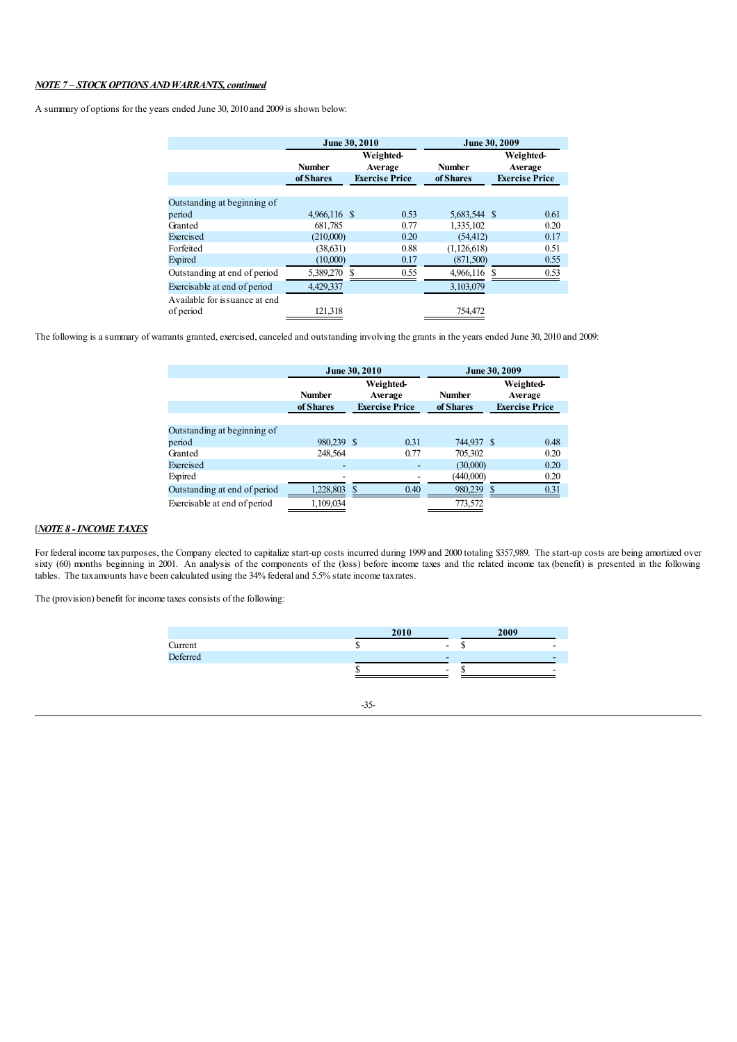# **NOTE**  $7$  – **STOCK OPTIONS AND WARRANTS, continued**

A summary of options for the years ended June 30, 2010 and 2009 is shown below:

|                               |                                              | June 30, 2010         | June 30, 2009 |                             |  |
|-------------------------------|----------------------------------------------|-----------------------|---------------|-----------------------------|--|
|                               | <b>Weighted-</b><br><b>Number</b><br>Average |                       | <b>Number</b> | <b>Weighted-</b><br>Average |  |
|                               | of Shares                                    | <b>Exercise Price</b> | of Shares     | <b>Exercise Price</b>       |  |
|                               |                                              |                       |               |                             |  |
| Outstanding at beginning of   |                                              |                       |               |                             |  |
| period                        | 4,966,116 \$                                 | 0.53                  | 5,683,544 \$  | 0.61                        |  |
| Granted                       | 681,785                                      | 0.77                  | 1,335,102     | 0.20                        |  |
| Exercised                     | (210,000)                                    | 0.20                  | (54.412)      | 0.17                        |  |
| Forfeited                     | (38, 631)                                    | 0.88                  | (1,126,618)   | 0.51                        |  |
| Expired                       | (10,000)                                     | 0.17                  | (871,500)     | 0.55                        |  |
| Outstanding at end of period  | 5,389,270                                    | 0.55                  | 4,966,116     | 0.53<br>\$.                 |  |
| Exercisable at end of period  | 4,429,337                                    |                       | 3,103,079     |                             |  |
| Available for issuance at end |                                              |                       |               |                             |  |
| of period                     | 121.318                                      |                       | 754,472       |                             |  |

The following is a summary of warrants granted, exercised, canceled and outstanding involving the grants in the years ended June 30, 2010 and 2009:

|                              |               | June 30, 2010               |            | June 30, 2009               |
|------------------------------|---------------|-----------------------------|------------|-----------------------------|
|                              | <b>Number</b> | <b>Weighted-</b><br>Average |            | <b>Weighted-</b><br>Average |
|                              | of Shares     | <b>Exercise Price</b>       |            | <b>Exercise Price</b>       |
| Outstanding at beginning of  |               |                             |            |                             |
| period                       | 980,239       | 0.31<br>-S                  | 744,937 \$ | 0.48                        |
| Granted                      | 248,564       | 0.77                        | 705,302    | 0.20                        |
| Exercised                    |               |                             | (30,000)   | 0.20                        |
| Expired                      |               |                             | (440,000)  | 0.20                        |
| Outstanding at end of period | 1,228,803     | 0.40                        | 980,239    | 0.31<br>S                   |
| Exercisable at end of period | 1,109,034     |                             | 773,572    |                             |

# [*NOTE 8 -INCOME TAXES*

For federal income taxpurposes, the Company elected to capitalize start-up costs incurred during 1999 and 2000 totaling \$357,989. The start-up costs are being amortized over sixty (60) months beginning in 2001. An analysis of the components of the (loss) before income taxes and the related income tax (benefit) is presented in the following tables. The taxamounts have been calculated using the 34% federaland 5.5% state income taxrates.

The (provision) benefit for income taxes consists of the following:

|          | 2010 |   | 2009 |
|----------|------|---|------|
| Current  |      | - | -    |
| Deferred |      | - |      |
|          |      | - |      |

-35-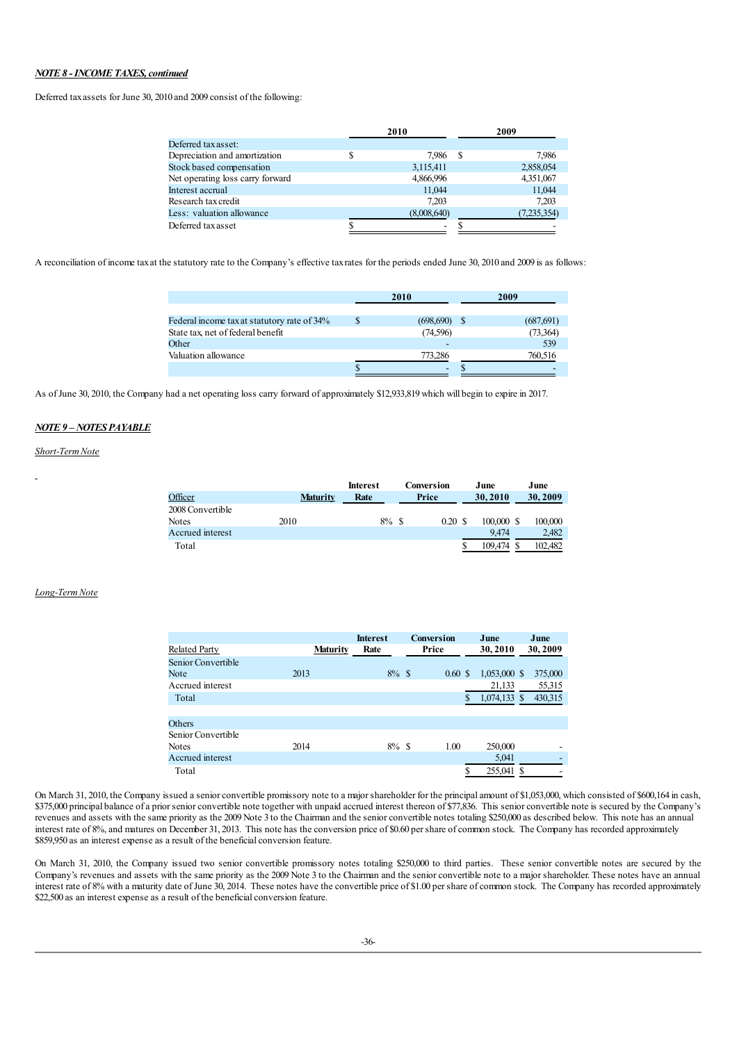# *NOTE 8 -INCOME TAXES,continued*

Deferred taxassets for June 30, 2010 and 2009 consist of the following:

|                                  | 2010                     |      | 2009          |
|----------------------------------|--------------------------|------|---------------|
| Deferred taxasset:               |                          |      |               |
| Depreciation and amortization    | 7.986                    | - \$ | 7.986         |
| Stock based compensation         | 3,115,411                |      | 2,858,054     |
| Net operating loss carry forward | 4,866,996                |      | 4,351,067     |
| Interest accrual                 | 11.044                   |      | 11,044        |
| Research tax credit              | 7.203                    |      | 7,203         |
| Less: valuation allowance        | (8,008,640)              |      | (7, 235, 354) |
| Deferred taxasset                | $\overline{\phantom{a}}$ |      |               |

A reconciliation of income taxat the statutory rate to the Company's effective taxrates for the periods ended June 30, 2010 and 2009 is as follows:

|                                             | 2010      | 2009       |
|---------------------------------------------|-----------|------------|
| Federal income tax at statutory rate of 34% | (698.690) | (687, 691) |
| State tax, net of federal benefit           | (74, 596) | (73.364)   |
| Other                                       |           | 539        |
| Valuation allowance                         | 773.286   | 760,516    |
|                                             |           |            |

As of June 30, 2010, the Company had a net operating loss carry forward of approximately \$12,933,819 which will begin to expire in 2017.

# *NOTE 9 – NOTESPAYABLE*

*Short-TermNote*

|                  |                 | Interest | Conversion | June.     | June    |
|------------------|-----------------|----------|------------|-----------|---------|
| Officer          | <b>Maturity</b> | Rate     | Price      | 30, 2010  | 30,2009 |
| 2008 Convertible |                 |          |            |           |         |
| <b>Notes</b>     | 2010            | $8\%$ \$ | 0.20S      | 100,000 S | 100,000 |
| Accrued interest |                 |          |            | 9.474     | 2.482   |
| Total            |                 |          |            | 109.474   | 102.482 |

### *Long-TermNote*

|                      |          | <b>Interest</b> | <b>Conversion</b> |                    | <b>June</b>    | June    |
|----------------------|----------|-----------------|-------------------|--------------------|----------------|---------|
| <b>Related Party</b> | Maturity | Rate            | Price             |                    | 30, 2010       | 30,2009 |
| Senior Convertible   |          |                 |                   |                    |                |         |
| Note                 | 2013     | 8%              | -S                | $0.60 \text{ }$ \$ | $1,053,000$ \$ | 375,000 |
| Accrued interest     |          |                 |                   |                    | 21,133         | 55,315  |
| Total                |          |                 |                   |                    | 1,074,133 \$   | 430,315 |
|                      |          |                 |                   |                    |                |         |
| <b>Others</b>        |          |                 |                   |                    |                |         |
| Senior Convertible   |          |                 |                   |                    |                |         |
| <b>Notes</b>         | 2014     | 8%              | - S               | 1.00               | 250,000        |         |
| Accrued interest     |          |                 |                   |                    | 5,041          |         |
| Total                |          |                 |                   | S                  | 255,041 \$     |         |

On March 31, 2010, the Company issued a seniorconvertible promissory note to a majorshareholder for the principalamount of \$1,053,000, which consisted of \$600,164 in cash, \$375,000 principal balance of a prior senior convertible note together with unpaid accrued interest thereon of \$77,836. This senior convertible note is secured by the Company's revenues and assets with the same priority as the 2009Note 3 to the Chairman and the seniorconvertible notes totaling \$250,000 as described below. This note has an annual interest rate of 8%,and matures on December 31, 2013. This note has the conversion price of \$0.60 pershare ofcommon stock. The Company has recorded approximately \$859,950 as an interest expense as a result of the beneficial conversion feature.

On March 31, 2010, the Company issued two senior convertible promissory notes totaling \$250,000 to third parties. These senior convertible notes are secured by the Company's revenues and assets with the same priority as the 2009 Note 3 to the Chairman and the seniorconvertible note to a major shareholder. These notes have an annual interest rate of 8% with a maturity date of June 30, 2014. These notes have the convertible price of \$1.00 per share ofcommon stock. The Company has recorded approximately \$22,500 as an interest expense as a result of the beneficial conversion feature.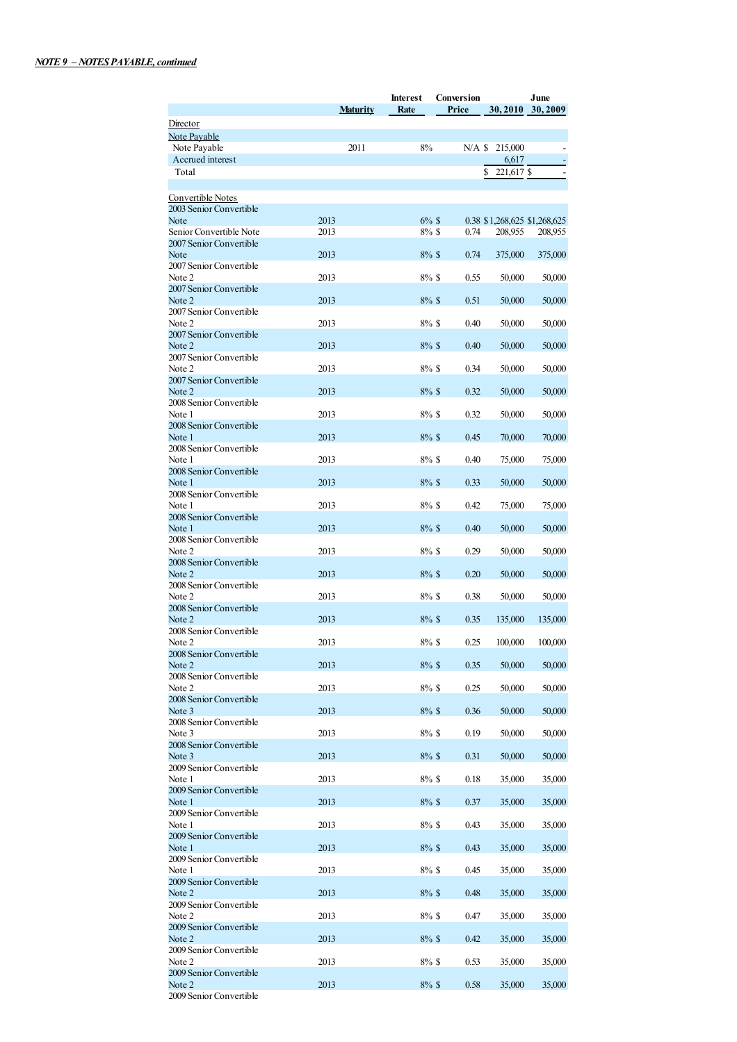|                                   |                 | <b>Interest</b>     | Conversion |                                         | June    |
|-----------------------------------|-----------------|---------------------|------------|-----------------------------------------|---------|
|                                   | <b>Maturity</b> | Rate                | Price      | 30,2010                                 | 30,2009 |
| Director                          |                 |                     |            |                                         |         |
| Note Payable                      | 2011            |                     |            |                                         |         |
| Note Payable<br>Accrued interest  |                 | 8%                  | $N/A$ \$   | 215,000<br>6,617                        |         |
| Total                             |                 |                     |            | 221,617 \$                              |         |
|                                   |                 |                     |            |                                         |         |
| Convertible Notes                 |                 |                     |            |                                         |         |
| 2003 Senior Convertible           |                 |                     |            |                                         |         |
| Note<br>Senior Convertible Note   | 2013<br>2013    | $6\%$ \$<br>$8\% S$ | 0.74       | 0.38 \$1,268,625 \$1,268,625<br>208,955 | 208,955 |
| 2007 Senior Convertible           |                 |                     |            |                                         |         |
| Note                              | 2013            | $8\%$ \$            | 0.74       | 375,000                                 | 375,000 |
| 2007 Senior Convertible           |                 |                     |            |                                         |         |
| Note 2<br>2007 Senior Convertible | 2013            | $8\% S$             | 0.55       | 50,000                                  | 50,000  |
| Note 2                            | 2013            | $8\%$ \$            | 0.51       | 50,000                                  | 50,000  |
| 2007 Senior Convertible           |                 |                     |            |                                         |         |
| Note 2                            | 2013            | $8\%$ \$            | 0.40       | 50,000                                  | 50,000  |
| 2007 Senior Convertible<br>Note 2 | 2013            | $8\%$ \$            | 0.40       | 50,000                                  | 50,000  |
| 2007 Senior Convertible           |                 |                     |            |                                         |         |
| Note 2                            | 2013            | $8\%$ \$            | 0.34       | 50,000                                  | 50,000  |
| 2007 Senior Convertible           |                 |                     |            |                                         |         |
| Note 2<br>2008 Senior Convertible | 2013            | $8\%$ \$            | 0.32       | 50,000                                  | 50,000  |
| Note 1                            | 2013            | $8\%$ \$            | 0.32       | 50,000                                  | 50,000  |
| 2008 Senior Convertible           |                 |                     |            |                                         |         |
| Note 1                            | 2013            | $8\%$ \$            | 0.45       | 70,000                                  | 70,000  |
| 2008 Senior Convertible<br>Note 1 | 2013            | $8\%$ \$            | 0.40       | 75,000                                  | 75,000  |
| 2008 Senior Convertible           |                 |                     |            |                                         |         |
| Note 1                            | 2013            | $8\%$ \$            | 0.33       | 50,000                                  | 50,000  |
| 2008 Senior Convertible           |                 |                     |            |                                         |         |
| Note 1<br>2008 Senior Convertible | 2013            | $8\%$ \$            | 0.42       | 75,000                                  | 75,000  |
| Note 1                            | 2013            | $8\%$ \$            | 0.40       | 50,000                                  | 50,000  |
| 2008 Senior Convertible           |                 |                     |            |                                         |         |
| Note 2                            | 2013            | $8\%$ \$            | 0.29       | 50,000                                  | 50,000  |
| 2008 Senior Convertible<br>Note 2 | 2013            | $8\%$ \$            | 0.20       | 50,000                                  | 50,000  |
| 2008 Senior Convertible           |                 |                     |            |                                         |         |
| Note 2                            | 2013            | $8\% S$             | 0.38       | 50,000                                  | 50,000  |
| 2008 Senior Convertible           |                 |                     |            |                                         |         |
| Note 2<br>2008 Senior Convertible | 2013            | $8\%$ \$            | 0.35       | 135,000                                 | 135,000 |
| Note 2                            | 2013            | $8\%$ $\$$          | 0.25       | 100,000                                 | 100,000 |
| 2008 Senior Convertible           |                 |                     |            |                                         |         |
| Note 2                            | 2013            | $8\%$ \$            | 0.35       | 50,000                                  | 50,000  |
| 2008 Senior Convertible<br>Note 2 | 2013            | $8\% S$             | 0.25       | 50,000                                  | 50,000  |
| 2008 Senior Convertible           |                 |                     |            |                                         |         |
| Note 3                            | 2013            | $8\%$ \$            | 0.36       | 50,000                                  | 50,000  |
| 2008 Senior Convertible           |                 |                     |            |                                         |         |
| Note 3<br>2008 Senior Convertible | 2013            | $8\%$ \$            | 0.19       | 50,000                                  | 50,000  |
| Note 3                            | 2013            | $8\%$ \$            | 0.31       | 50,000                                  | 50,000  |
| 2009 Senior Convertible           |                 |                     |            |                                         |         |
| Note 1                            | 2013            | $8\%$ \$            | 0.18       | 35,000                                  | 35,000  |
| 2009 Senior Convertible<br>Note 1 | 2013            | $8\%$ \$            | 0.37       | 35,000                                  | 35,000  |
| 2009 Senior Convertible           |                 |                     |            |                                         |         |
| Note 1                            | 2013            | $8\%$ \$            | 0.43       | 35,000                                  | 35,000  |
| 2009 Senior Convertible           |                 |                     |            |                                         |         |
| Note 1<br>2009 Senior Convertible | 2013            | $8\%$ \$            | 0.43       | 35,000                                  | 35,000  |
| Note 1                            | 2013            | $8\%$ \$            | 0.45       | 35,000                                  | 35,000  |
| 2009 Senior Convertible           |                 |                     |            |                                         |         |
| Note 2                            | 2013            | $8\%$ \$            | 0.48       | 35,000                                  | 35,000  |
| 2009 Senior Convertible<br>Note 2 | 2013            | $8\%$ \$            | 0.47       | 35,000                                  | 35,000  |
| 2009 Senior Convertible           |                 |                     |            |                                         |         |
| Note 2                            | 2013            | $8\%$ \$            | 0.42       | 35,000                                  | 35,000  |
| 2009 Senior Convertible           |                 |                     |            |                                         |         |
| Note 2<br>2009 Senior Convertible | 2013            | $8\%$ \$            | 0.53       | 35,000                                  | 35,000  |
| Note 2                            | 2013            | $8\%$ \$            | 0.58       | 35,000                                  | 35,000  |
| 2009 Senior Convertible           |                 |                     |            |                                         |         |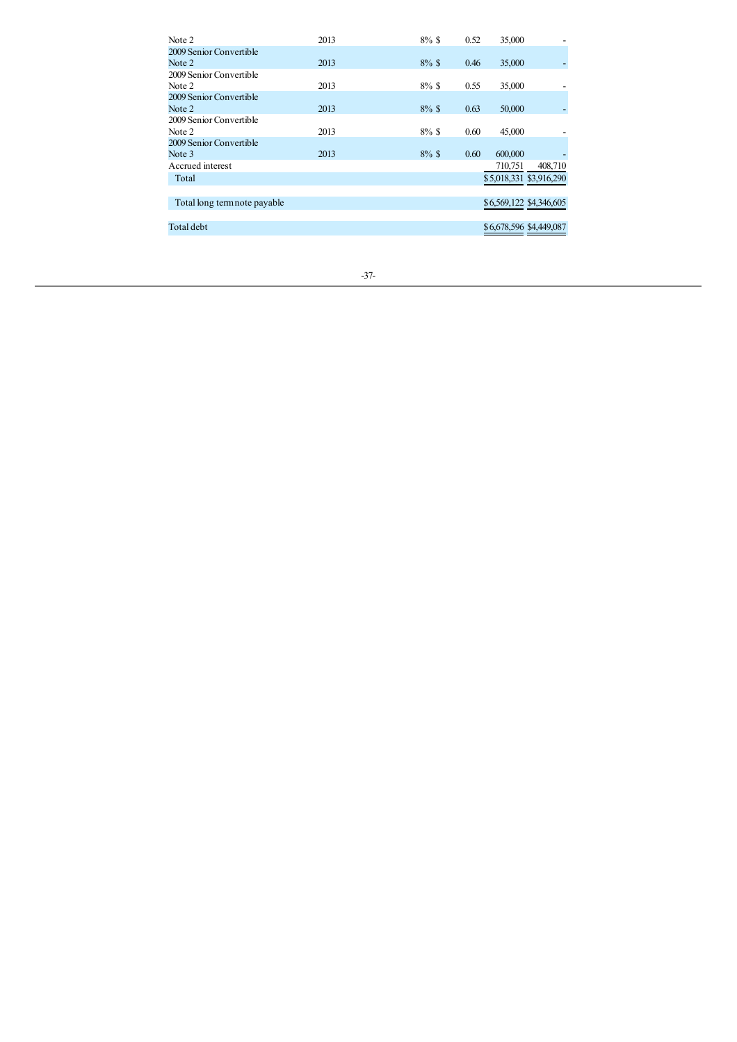| Note 2                       | 2013 | $8\%S$   | 0.52 | 35,000                  |         |
|------------------------------|------|----------|------|-------------------------|---------|
| 2009 Senior Convertible      |      |          |      |                         |         |
| Note 2                       | 2013 | $8\%$ \$ | 0.46 | 35,000                  |         |
| 2009 Senior Convertible      |      |          |      |                         |         |
| Note 2                       | 2013 | $8\%S$   | 0.55 | 35,000                  |         |
| 2009 Senior Convertible      |      |          |      |                         |         |
| Note 2                       | 2013 | $8\%$ \$ | 0.63 | 50,000                  |         |
| 2009 Senior Convertible      |      |          |      |                         |         |
| Note 2                       | 2013 | $8\%S$   | 0.60 | 45,000                  |         |
| 2009 Senior Convertible      |      |          |      |                         |         |
| Note 3                       | 2013 | $8\%$ \$ | 0.60 | 600,000                 |         |
| Accrued interest             |      |          |      | 710,751                 | 408,710 |
| Total                        |      |          |      | \$5,018,331 \$3,916,290 |         |
|                              |      |          |      |                         |         |
| Total long term note payable |      |          |      | \$6,569,122 \$4,346,605 |         |
|                              |      |          |      |                         |         |
| Total debt                   |      |          |      | \$6,678,596 \$4,449,087 |         |
|                              |      |          |      |                         |         |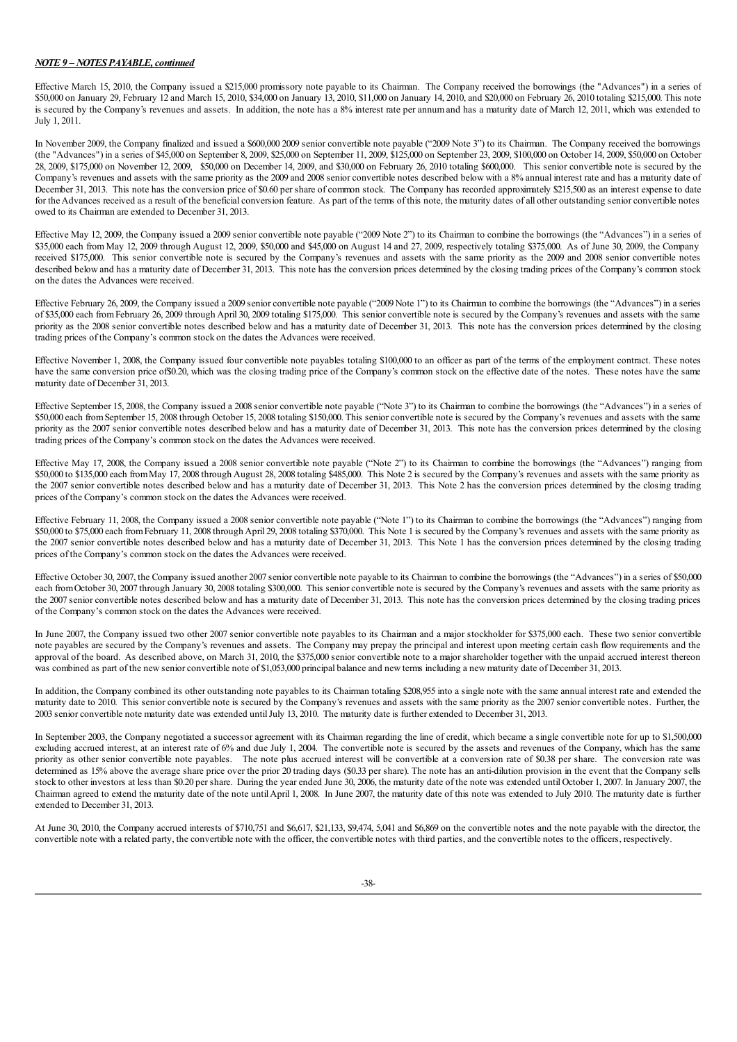# *NOTE 9 – NOTESPAYABLE,continued*

Effective March 15, 2010, the Company issued a \$215,000 promissory note payable to its Chairman. The Company received the borrowings (the "Advances") in a series of \$50,000 on January 29, February 12 and March 15, 2010, \$34,000 on January 13, 2010, \$11,000 on January 14, 2010, and \$20,000 on February 26, 2010 totaling \$215,000. This note is secured by the Company's revenues and assets. In addition, the note has a 8% interest rate per annumand has a maturity date of March 12, 2011, which was extended to July 1, 2011.

In November 2009, the Company finalized and issued a \$600,000 2009 senior convertible note payable ("2009 Note 3") to its Chairman. The Company received the borrowings (the "Advances") in a series of \$45,000 on September 8, 2009, \$25,000 on September 11, 2009, \$125,000 on September 23, 2009, \$100,000 on October 14, 2009, \$50,000 on October 28, 2009, \$175,000 on November 12, 2009, \$50,000 on December 14, 2009, and \$30,000 on February 26, 2010 totaling \$600,000. This senior convertible note is secured by the Company's revenues and assets with the same priority as the 2009 and 2008 senior convertible notes described below with a 8% annual interest rate and has a maturity date of December 31, 2013. This note has the conversion price of \$0.60 per share of common stock. The Company has recorded approximately \$215,500 as an interest expense to date for the Advances received as a result of the beneficial conversion feature. As part of the terms of this note, the maturity dates of all other outstanding senior convertible notes owed to its Chairman are extended to December 31, 2013.

Effective May 12, 2009, the Company issued a 2009 senior convertible note payable ("2009 Note 2") to its Chairman to combine the borrowings (the "Advances") in a series of \$35,000 each from May 12, 2009 through August 12, 2009, \$50,000 and \$45,000 on August 14 and 27, 2009, respectively totaling \$375,000. As of June 30, 2009, the Company received \$175,000. This senior convertible note is secured by the Company's revenues and assets with the same priority as the 2009 and 2008 senior convertible notes described below and has a maturity date of December 31, 2013. This note has the conversion prices determined by the closing trading prices of the Company's common stock on the dates the Advances were received.

Effective February 26, 2009, the Company issued a 2009 senior convertible note payable ("2009 Note 1") to its Chairman to combine the borrowings (the "Advances") in a series of \$35,000 each fromFebruary 26, 2009 through April 30, 2009 totaling \$175,000. This seniorconvertible note is secured by the Company's revenues and assets with the same priority as the 2008 senior convertible notes described below and has a maturity date of December 31, 2013. This note has the conversion prices determined by the closing trading prices of the Company's common stock on the dates the Advances were received.

Effective November 1, 2008, the Company issued four convertible note payables totaling \$100,000 to an officer as part of the terms of the employment contract. These notes have the same conversion price of \$0.20, which was the closing trading price of the Company's common stock on the effective date of the notes. These notes have the same maturity date of December 31, 2013.

Effective September 15, 2008, the Company issued a 2008 senior convertible note payable ("Note 3") to its Chairman to combine the borrowings (the "Advances") in a series of \$50,000 each from September 15, 2008 through October 15, 2008 totaling \$150,000. This senior convertible note is secured by the Company's revenues and assets with the same priority as the 2007 senior convertible notes described below and has a maturity date of December 31, 2013. This note has the conversion prices determined by the closing trading prices of the Company's common stock on the dates the Advances were received.

Effective May 17, 2008, the Company issued a 2008 senior convertible note payable ("Note 2") to its Chairman to combine the borrowings (the "Advances") ranging from \$50,000 to \$135,000 each from May 17, 2008 through August 28, 2008 totaling \$485,000. This Note 2 is secured by the Company's revenues and assets with the same priority as the 2007 senior convertible notes described below and has a maturity date of December 31, 2013. This Note 2 has the conversion prices determined by the closing trading prices of the Company's common stock on the dates the Advances were received.

Effective February 11, 2008, the Company issued a 2008 senior convertible note payable ("Note 1") to its Chairman to combine the borrowings (the "Advances") ranging from \$50,000 to \$75,000 each from February 11, 2008 through April 29, 2008 totaling \$370,000. This Note 1 is secured by the Company's revenues and assets with the same priority as the 2007 senior convertible notes described below and has a maturity date of December 31, 2013. This Note 1 has the conversion prices determined by the closing trading prices of the Company's common stock on the dates the Advances were received.

Effective October 30, 2007, the Company issued another 2007 senior convertible note payable to its Chairman to combine the borrowings (the "Advances") in a series of \$50,000 each from October 30, 2007 through January 30, 2008 totaling \$300,000. This senior convertible note is secured by the Company's revenues and assets with the same priority as the 2007 senior convertible notes described below and has a maturity date of December 31, 2013. This note has the conversion prices determined by the closing trading prices of the Company's common stock on the dates the Advances were received.

In June 2007, the Company issued two other 2007 senior convertible note payables to its Chairman and a major stockholder for \$375,000 each. These two senior convertible note payables are secured by the Company's revenues and assets. The Company may prepay the principaland interest upon meeting certain cash flow requirements and the approval of the board. As described above, on March 31, 2010, the \$375,000 senior convertible note to a major shareholder together with the unpaid accrued interest thereon was combined as part of the new senior convertible note of \$1,053,000 principal balance and new terms including a new maturity date of December 31, 2013.

In addition, the Company combined its other outstanding note payables to its Chairman totaling \$208,955 into a single note with the same annual interest rate and extended the maturity date to 2010. This senior convertible note is secured by the Company's revenues and assets with the same priority as the 2007 senior convertible notes. Further, the 2003 senior convertible note maturity date was extended until July 13, 2010. The maturity date is further extended to December 31, 2013.

In September 2003, the Company negotiated a successor agreement with its Chairman regarding the line of credit, which became a single convertible note for up to \$1,500,000 excluding accrued interest, at an interest rate of 6% and due July 1, 2004. The convertible note is secured by the assets and revenues of the Company, which has the same priority as other senior convertible note payables. The note plus accrued interest will be convertible at a conversion rate of \$0.38 per share. The conversion rate was determined as 15% above the average share price over the prior 20 trading days (\$0.33 per share). The note has an anti-dilution provision in the event that the Company sells stock to other investors at less than \$0.20 per share. During the year ended June 30, 2006, the maturity date of the note was extended until October 1, 2007. In January 2007, the Chairman agreed to extend the maturity date of the note untilApril 1, 2008. In June 2007, the maturity date of this note was extended to July 2010. The maturity date is further extended to December 31, 2013.

At June 30, 2010, the Company accrued interests of \$710,751 and \$6,617, \$21,133, \$9,474, 5,041 and \$6,869 on the convertible notes and the note payable with the director, the convertible note with a related party, the convertible note with the officer, the convertible notes with third parties, and the convertible notes to the officers, respectively.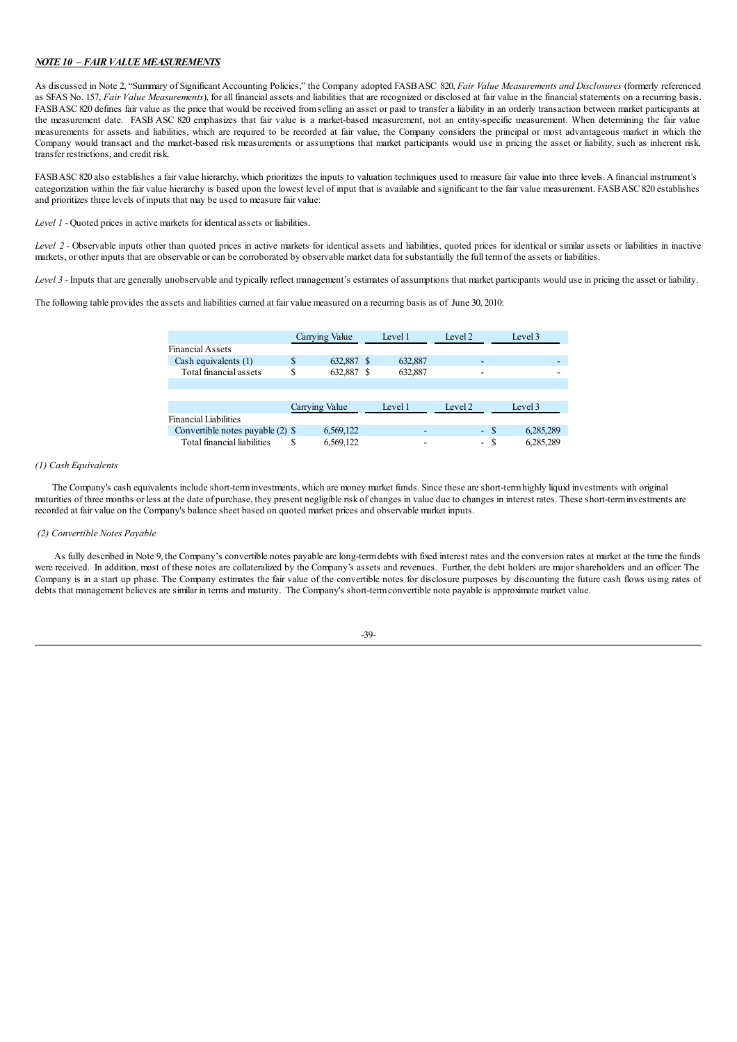# *NOTE 10 – FAIR VALUEMEASUREMENTS*

As discussed in Note 2,"Summary of SignificantAccounting Policies," the Company adopted FASBASC 820, *Fair Value Measurements and Disclosures* (formerly referenced as SFAS No. 157, *Fair Value Measurements*), for all financial assets and liabilities that are recognized or disclosed at fair value in the financial statements on a recurring basis. FASBASC 820 defines fair value as the price that would be received from selling an asset or paid to transfer a liability in an orderly transaction between market participants at the measurement date. FASB ASC 820 emphasizes that fair value is a market-based measurement, not an entity-specific measurement. When determining the fair value measurements for assets and liabilities, which are required to be recorded at fair value, the Company considers the principal or most advantageous market in which the Company would transact and the market-based risk measurements or assumptions that market participants would use in pricing the asset or liability, such as inherent risk, transfer restrictions,and credit risk.

FASBASC 820 also establishes a fair value hierarchy, which prioritizes the inputs to valuation techniques used to measure fair value into three levels. A financial instrument's categorization within the fair value hierarchy is based upon the lowest level of input that is available and significant to the fair value measurement. FASBASC 820 establishes and prioritizes three levels of inputs that may be used to measure fair value:

Level 1 - Quoted prices in active markets for identical assets or liabilities.

*Level* 2 - Observable inputs other than quoted prices in active markets for identical assets and liabilities, quoted prices for identical or similar assets or liabilities in inactive markets, or other inputs that are observable orcan be corroborated by observable market data forsubstantially the full termof the assets or liabilities.

*Level* 3 - Inputs that are generally unobservable and typically reflect management's estimates of assumptions that market participants would use in pricing the asset or liability.

The following table provides the assets and liabilities carried at fair value measured on a recurring basis as of June 30, 2010:

|                                  | Carrying Value |            | Level 1 |                    | Level 2 |                          | Level 3         |
|----------------------------------|----------------|------------|---------|--------------------|---------|--------------------------|-----------------|
| <b>Financial Assets</b>          |                |            |         |                    |         |                          |                 |
| Cash equivalents (1)             | \$             | 632,887 \$ |         | 632,887            |         | ٠                        |                 |
| Total financial assets           | S              | 632,887    |         | 632,887            |         | $\overline{\phantom{a}}$ |                 |
|                                  |                |            |         |                    |         |                          |                 |
|                                  |                |            |         |                    |         |                          |                 |
|                                  | Carrying Value |            |         | Level 1<br>Level 2 |         |                          | Level 3         |
| <b>Financial Liabilities</b>     |                |            |         |                    |         |                          |                 |
| Convertible notes payable (2) \$ |                | 6,569,122  |         |                    |         | $\sim$                   | -8<br>6,285,289 |
| Total financial liabilities      | S              | 6,569,122  |         |                    |         | $\sim$                   | 6,285,289<br>-S |

### *(1) Cash Equivalents*

The Company's cash equivalents include short-terminvestments, which are money market funds. Since these are short-termhighly liquid investments with original maturities of three months or less at the date of purchase, they present negligible risk ofchanges in value due to changes in interest rates. These short-terminvestments are recorded at fair value on the Company's balance sheet based on quoted market prices and observable market inputs.

### *(2) Convertible Notes Payable*

As fully described in Note 9, the Company's convertible notes payable are long-termdebts with fixed interest rates and the conversion rates at market at the time the funds were received. In addition, most of these notes are collateralized by the Company's assets and revenues. Further, the debt holders are major shareholders and an officer. The Company is in a start up phase. The Company estimates the fair value of the convertible notes for disclosure purposes by discounting the future cash flows using rates of debts that management believes are similar in terms and maturity. The Company's short-termconvertible note payable is approximate market value.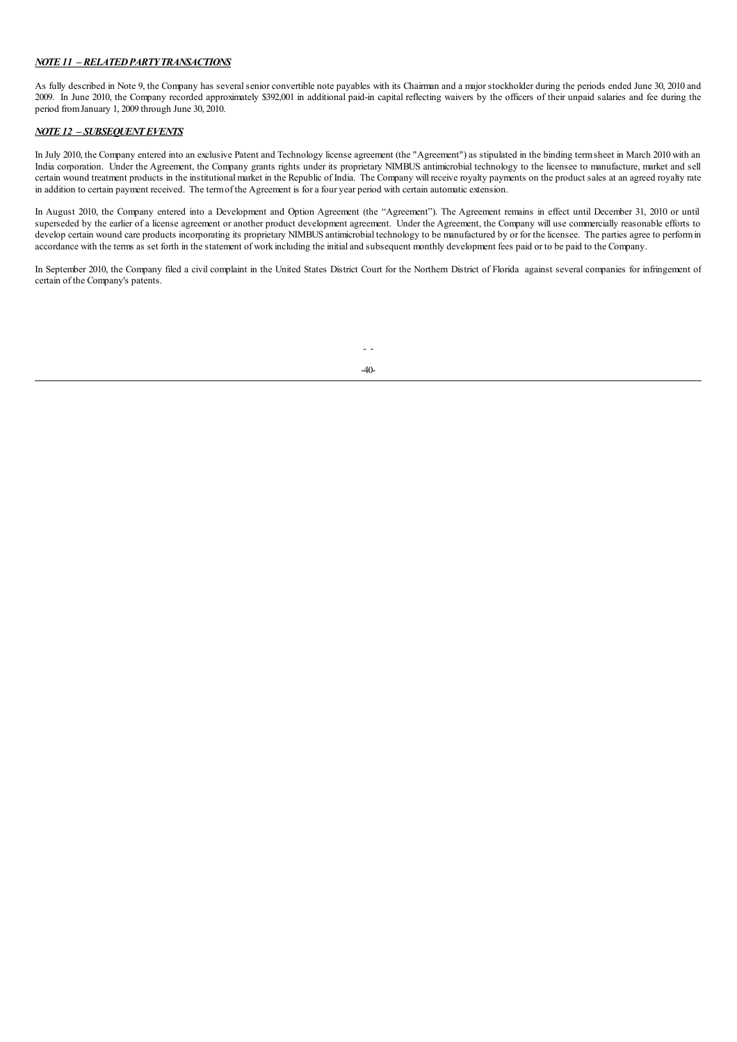# *NOTE 11 – RELATEDPARTYTRANSACTIONS*

As fully described in Note 9, the Company has several senior convertible note payables with its Chairman and a major stockholder during the periods ended June 30, 2010 and 2009. In June 2010, the Company recorded approximately \$392,001 in additional paid-in capital reflecting waivers by the officers of their unpaid salaries and fee during the period fromJanuary 1, 2009 through June 30, 2010.

# *NOTE 12 – SUBSEQUENTEVENTS*

In July 2010, the Company entered into an exclusive Patent and Technology license agreement (the "Agreement")as stipulated in the binding termsheet in March 2010 with an India corporation. Under the Agreement, the Company grants rights under its proprietary NIMBUS antimicrobial technology to the licensee to manufacture, market and sell certain wound treatment products in the institutionalmarket in the Republic of India. The Company will receive royalty payments on the product sales at an agreed royalty rate in addition to certain payment received. The termof the Agreement is fora four year period with certain automatic extension.

In August 2010, the Company entered into a Development and Option Agreement (the "Agreement"). The Agreement remains in effect until December 31, 2010 or until superseded by the earlier of a license agreement or another product development agreement. Under the Agreement, the Company will use commercially reasonable efforts to develop certain wound care products incorporating its proprietary NIMBUS antimicrobial technology to be manufactured by or for the licensee. The parties agree to perform in accordance with the terms as set forth in the statement of work including the initialand subsequent monthly development fees paid or to be paid to the Company.

In September 2010, the Company filed a civil complaint in the United States District Court for the Northern District of Florida against several companies for infringement of certain of the Company's patents.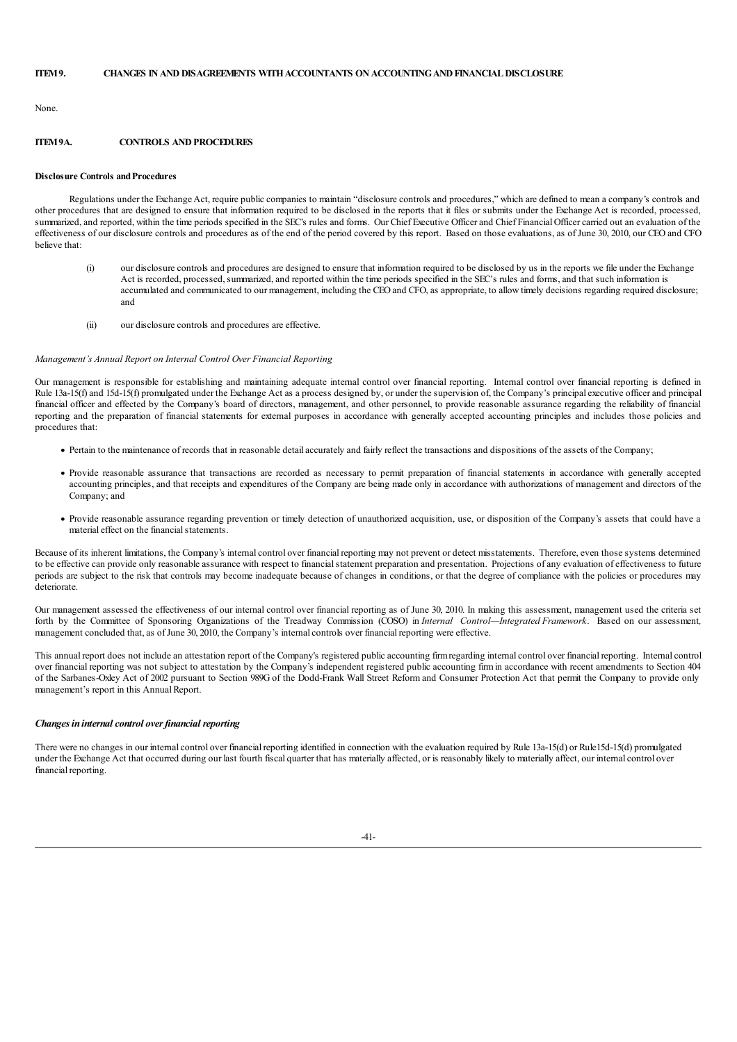# **ITEM9. CHANGES INANDDISAGREEMENTS WITHACCOUNTANTS ONACCOUNTINGANDFINANCIALDISCLOSURE**

None.

## **ITEM9A. CONTROLS ANDPROCEDURES**

#### **Disclosure Controls andProcedures**

Regulations under the Exchange Act, require public companies to maintain "disclosure controls and procedures," which are defined to mean a company's controls and other procedures that are designed to ensure that information required to be disclosed in the reports that it files or submits under the Exchange Act is recorded, processed, summarized, and reported, within the time periods specified in the SEC's rules and forms. Our Chief Executive Officer and Chief Financial Officer carried out an evaluation of the effectiveness of our disclosure controls and procedures as of the end of the period covered by this report. Based on those evaluations,as of June 30, 2010, our CEO and CFO believe that:

- (i) our disclosure controls and procedures are designed to ensure that information required to be disclosed by us in the reports we file under the Exchange Act is recorded, processed, summarized, and reported within the time periods specified in the SEC's rules and forms, and that such information is accumulated and communicated to our management, including the CEO and CFO, as appropriate, to allow timely decisions regarding required disclosure; and
- (ii) our disclosure controls and procedures are effective.

### *Management's Annual Report on Internal Control Over Financial Reporting*

Our management is responsible for establishing and maintaining adequate internal control over financial reporting. Internal control over financial reporting is defined in Rule 13a-15(f) and 15d-15(f) promulgated under the Exchange Act as a process designed by, or under the supervision of, the Company's principal executive officer and principal financial officer and effected by the Company's board of directors, management, and other personnel, to provide reasonable assurance regarding the reliability of financial reporting and the preparation of financial statements for external purposes in accordance with generally accepted accounting principles and includes those policies and procedures that:

- · Pertain to the maintenance of records that in reasonable detailaccurately and fairly reflect the transactions and dispositions of the assets of the Company;
- · Provide reasonable assurance that transactions are recorded as necessary to permit preparation of financial statements in accordance with generally accepted accounting principles, and that receipts and expenditures of the Company are being made only in accordance with authorizations of management and directors of the Company; and
- · Provide reasonable assurance regarding prevention or timely detection of unauthorized acquisition, use, or disposition of the Company's assets that could have a material effect on the financial statements.

Because of its inherent limitations, the Company's internal control over financial reporting may not prevent or detect misstatements. Therefore, even those systems determined to be effective can provide only reasonable assurance with respect to financialstatement preparation and presentation. Projections ofany evaluation ofeffectiveness to future periods are subject to the risk that controls may become inadequate because of changes in conditions, or that the degree of compliance with the policies or procedures may deteriorate.

Our management assessed the effectiveness of our internal control over financial reporting as of June 30, 2010. In making this assessment, management used the criteria set forth by the Committee of Sponsoring Organizations of the Treadway Commission (COSO) in *Internal Control—Integrated Framework*. Based on our assessment*,* management concluded that, as of June 30, 2010, the Company's internal controls over financial reporting were effective.

This annual report does not include an attestation report of the Company's registered public accounting firmregarding internalcontrol over financial reporting. Internalcontrol over financial reporting was not subject to attestation by the Company's independent registered public accounting firmin accordance with recent amendments to Section 404 of the Sarbanes-Oxley Act of 2002 pursuant to Section 989G of the Dodd-Frank Wall Street Reform and Consumer Protection Act that permit the Company to provide only management's report in this Annual Report.

### *Changesin internalcontrol overfinancial reporting*

There were no changes in our internal control over financial reporting identified in connection with the evaluation required by Rule 13a-15(d) or Rule15d-15(d) promulgated under the Exchange Act that occurred during our last fourth fiscal quarter that has materially affected, or is reasonably likely to materially affect, our internalcontrol over financial reporting.

-41-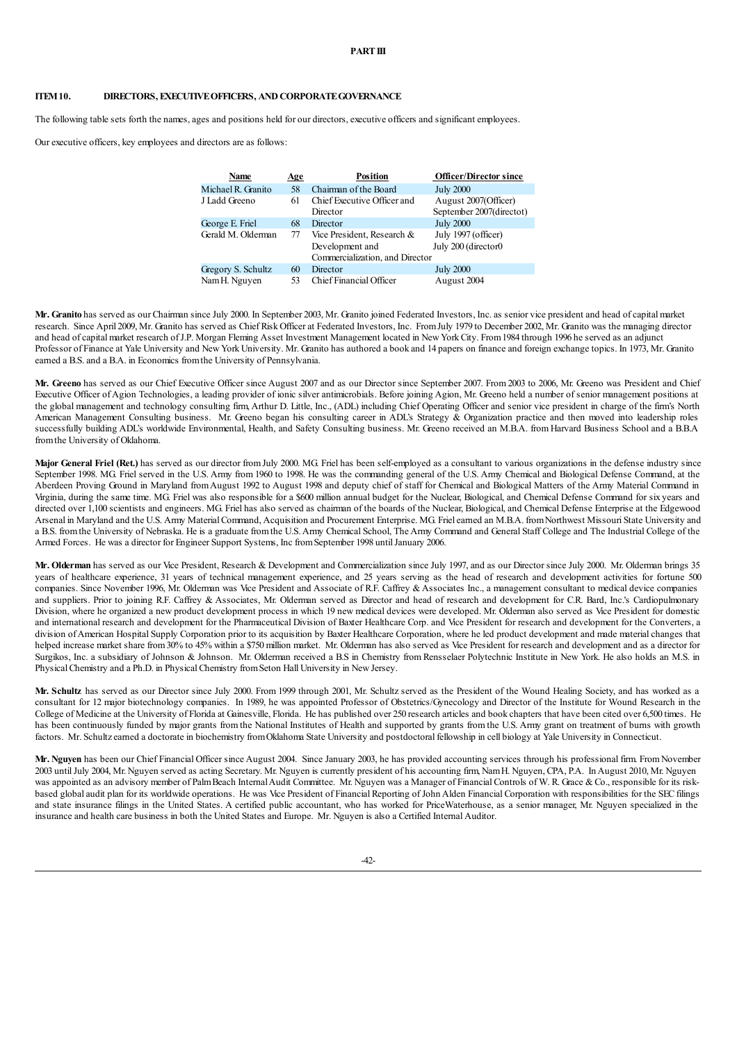#### **PARTIII**

### **ITEM10. DIRECTORS, EXECUTIVEOFFICERS, ANDCORPORATEGOVERNANCE**

The following table sets forth the names, ages and positions held for our directors, executive officers and significant employees.

Our executive officers, key employees and directors are as follows:

| Name               | <u>Age</u> | Position                        | <b>Officer/Director since</b> |
|--------------------|------------|---------------------------------|-------------------------------|
| Michael R. Granito | 58         | Chairman of the Board           | <b>July 2000</b>              |
| J Ladd Greeno      | 61         | Chief Executive Officer and     | August 2007(Officer)          |
|                    |            | Director                        | September 2007(directot)      |
| George E. Friel    | 68         | Director                        | <b>July 2000</b>              |
| Gerald M. Olderman | 77         | Vice President, Research &      | July 1997 (officer)           |
|                    |            | Development and                 | July 200 (director0           |
|                    |            | Commercialization, and Director |                               |
| Gregory S. Schultz | 60         | Director                        | <b>July 2000</b>              |
| Nam H. Nguyen      | 53         | <b>Chief Financial Officer</b>  | August 2004                   |

**Mr. Granito** has served as our Chairman since July 2000. In September 2003, Mr. Granito joined Federated Investors, Inc.as senior vice president and head ofcapitalmarket research. Since April 2009, Mr. Granito has served as Chief Risk Officer at Federated Investors, Inc. From July 1979 to December 2002, Mr. Granito was the managing director and head ofcapitalmarket research ofJ.P. Morgan Fleming Asset Investment Management located in NewYork City. From1984 through 1996 he served as an adjunct Professor of Finance at Yale University and NewYorkUniversity. Mr. Granito has authored a book and 14 papers on finance and foreign exchange topics. In 1973, Mr. Granito earned a B.S. and a B.A. in Economics from the University of Pennsylvania.

Mr. Greeno has served as our Chief Executive Officer since August 2007 and as our Director since September 2007. From 2003 to 2006, Mr. Greeno was President and Chief Executive Officer of Agion Technologies, a leading provider of ionic silver antimicrobials. Before joining Agion, Mr. Greeno held a number of senior management positions at the global management and technology consulting firm,Arthur D. Little, Inc., (ADL) including Chief Operating Officer and senior vice president in charge of the firm's North American Management Consulting business. Mr. Greeno began his consulting career in ADL's Strategy & Organization practice and then moved into leadership roles successfully building ADL's worldwide Environmental, Health, and Safety Consulting business. Mr. Greeno received an M.B.A. from Harvard Business School and a B.B.A fromthe University of Oklahoma.

**Major General Friel (Ret.)** has served as our director fromJuly 2000. MG. Friel has been self-employed as a consultant to various organizations in the defense industry since September 1998. MG. Friel served in the U.S. Army from 1960 to 1998. He was the commanding general of the U.S. Army Chemical and Biological Defense Command, at the Aberdeen Proving Ground in Maryland fromAugust 1992 to August 1998 and deputy chief of staff for Chemical and Biological Matters of the Army Material Command in Virginia, during the same time. MG. Friel was also responsible for a \$600 million annual budget for the Nuclear, Biological, and Chemical Defense Command for six years and directed over 1,100 scientists and engineers. MG. Friel has also served as chairman of the boards of the Nuclear, Biological, and Chemical Defense Enterprise at the Edgewood Arsenal in Maryland and the U.S. Army Material Command, Acquisition and Procurement Enterprise. MG. Frielearned an M.B.A. fromNorthwest Missouri State University and a B.S. fromthe University of Nebraska. He is a graduate fromthe U.S.Army Chemical School, The Army Command and General Staff College and The Industrial College of the Armed Forces. He was a director for Engineer Support Systems, Inc fromSeptember 1998 untilJanuary 2006.

Mr. Olderman has served as our Vice President, Research & Development and Commercialization since July 1997, and as our Director since July 2000. Mr. Olderman brings 35 years of healthcare experience, 31 years of technical management experience, and 25 years serving as the head of research and development activities for fortune 500 companies. Since November 1996, Mr. Olderman was Vice President and Associate of R.F. Caffrey & Associates Inc., a management consultant to medical device companies and suppliers. Prior to joining R.F. Caffrey & Associates, Mr. Olderman served as Director and head of research and development for C.R. Bard, Inc.'s Cardiopulmonary Division, where he organized a new product development process in which 19 new medical devices were developed. Mr. Olderman also served as Vice President for domestic and international research and development for the Pharmaceutical Division of Baxter Healthcare Corp. and Vice President for research and development for the Converters, a division of American Hospital Supply Corporation prior to its acquisition by Baxter Healthcare Corporation, where he led product development and made material changes that helped increase market share from 30% to 45% within a \$750 million market. Mr. Olderman has also served as Vice President for research and development and as a director for Surgikos, Inc. a subsidiary of Johnson & Johnson. Mr. Olderman received a B.S in Chemistry from Rensselaer Polytechnic Institute in New York. He also holds an M.S. in Physical Chemistry and a Ph.D. in Physical Chemistry from Seton Hall University in New Jersey.

**Mr. Schultz** has served as our Director since July 2000. From 1999 through 2001, Mr. Schultz served as the President of the Wound Healing Society, and has worked as a consultant for 12 major biotechnology companies. In 1989, he was appointed Professor of Obstetrics/Gynecology and Director of the Institute for Wound Research in the College of Medicine at the University of Florida at Gainesville, Florida. He has published over 250 research articles and book chapters that have been cited over 6,500 times. He has been continuously funded by major grants from the National Institutes of Health and supported by grants from the U.S. Army grant on treatment of burns with growth factors. Mr. Schultz earned a doctorate in biochemistry from Oklahoma State University and postdoctoral fellowship in cell biology at Yale University in Connecticut.

**Mr. Nguyen** has been our Chief Financial Officer since August 2004. Since January 2003, he has provided accounting services through his professional firm. FromNovember 2003 untilJuly 2004, Mr. Nguyen served as acting Secretary. Mr. Nguyen is currently president of his accounting firm, NamH. Nguyen, CPA, P.A. InAugust 2010, Mr. Nguyen was appointed as an advisory member of Palm Beach Internal Audit Committee. Mr. Nguyen was a Manager of Financial Controls of W. R. Grace & Co., responsible for its riskbased globalaudit plan for its worldwide operations. He was Vice President of Financial Reporting of John Alden Financial Corporation with responsibilities for the SECfilings and state insurance filings in the United States. A certified public accountant, who has worked for PriceWaterhouse, as a senior manager, Mr. Nguyen specialized in the insurance and health care business in both the United States and Europe. Mr. Nguyen is also a Certified Internal Auditor.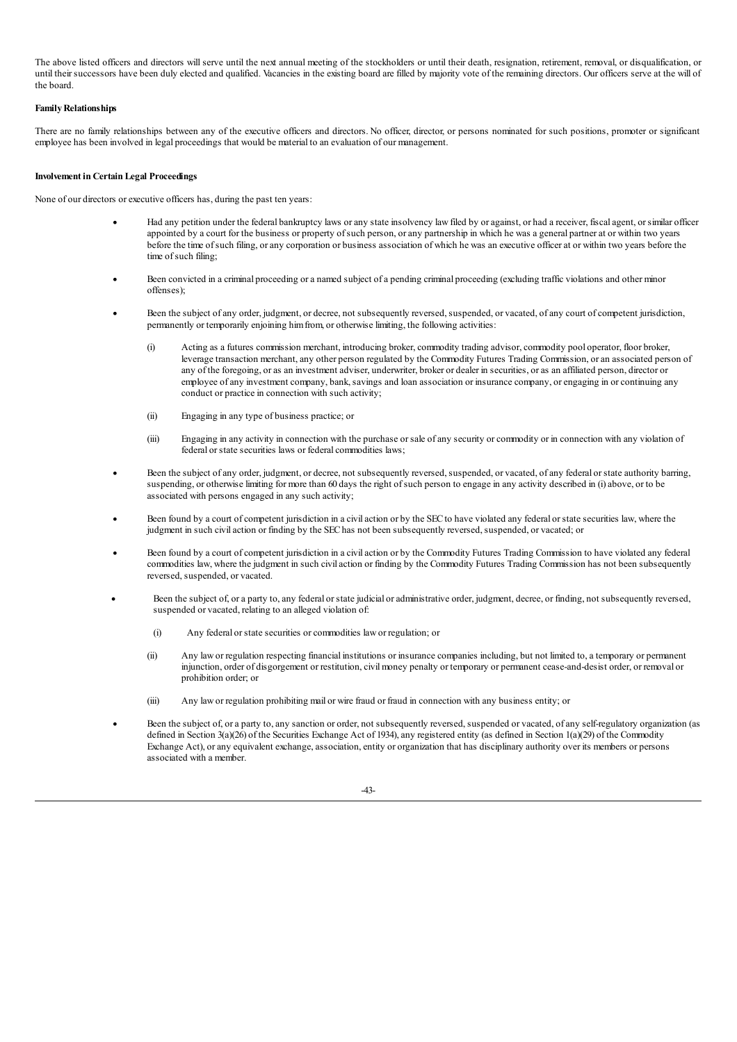The above listed officers and directors will serve until the next annual meeting of the stockholders or until their death, resignation, retirement, removal, or disqualification, or until their successors have been duly elected and qualified. Vacancies in the existing board are filled by majority vote of the remaining directors. Our officers serve at the will of the board.

## **Family Relationships**

There are no family relationships between any of the executive officers and directors. No officer, director, or persons nominated for such positions, promoter or significant employee has been involved in legal proceedings that would be material to an evaluation of ourmanagement.

### **Involvement in Certain Legal Proceedings**

None of our directors or executive officers has, during the past ten years:

- · Had any petition under the federal bankruptcy laws orany state insolvency lawfiled by oragainst, or had a receiver, fiscalagent, orsimilar officer appointed by a court for the business or property ofsuch person, orany partnership in which he was a general partnerat or within two years before the time ofsuch filing, orany corporation or business association of which he was an executive officerat or within two years before the time of such filing:
- Been convicted in a criminal proceeding or a named subject of a pending criminal proceeding (excluding traffic violations and other minor offenses);
- Been the subject of any order, judgment, or decree, not subsequently reversed, suspended, or vacated, of any court of competent jurisdiction, permanently or temporarily enjoining himfrom, or otherwise limiting, the following activities:
	- (i) Acting as a futures commission merchant, introducing broker,commodity trading advisor,commodity pool operator, floor broker, leverage transaction merchant,any other person regulated by the Commodity Futures Trading Commission, oran associated person of any of the foregoing, oras an investment adviser, underwriter, broker or dealer in securities, oras an affiliated person, director or employee of any investment company, bank, savings and loan association or insurance company, or engaging in or continuing any conduct or practice in connection with such activity;
	- (ii) Engaging in any type of business practice; or
	- (iii) Engaging in any activity in connection with the purchase orsale ofany security orcommodity or in connection with any violation of federal or state securities laws or federal commodities laws;
- Been the subject of any order, judgment, or decree, not subsequently reversed, suspended, or vacated, of any federal or state authority barring, suspending, or otherwise limiting for more than 60 days the right of such person to engage in any activity described in (i) above, or to be associated with persons engaged in any such activity;
- Been found by a court of competent jurisdiction in a civil action or by the SEC to have violated any federal or state securities law, where the judgment in such civilaction or finding by the SEChas not been subsequently reversed, suspended, or vacated; or
- Been found by a court of competent jurisdiction in a civil action or by the Commodity Futures Trading Commission to have violated any federal commodities law, where the judgment in such civilaction or finding by the Commodity Futures Trading Commission has not been subsequently reversed, suspended, or vacated.
- Been the subject of, or a party to, any federal or state judicial or administrative order, judgment, decree, or finding, not subsequently reversed, suspended or vacated, relating to an alleged violation of:
	- (i) Any federal orstate securities orcommodities lawor regulation; or
	- (ii) Any lawor regulation respecting financial institutions or insurance companies including, but not limited to,a temporary or permanent injunction, order of disgorgement or restitution, civil money penalty or temporary or permanent cease-and-desist order, or removal or prohibition order; or
	- (iii) Any lawor regulation prohibiting mail or wire fraud or fraud in connection with any business entity; or
- Been the subject of, or a party to, any sanction or order, not subsequently reversed, suspended or vacated, of any self-regulatory organization (as defined in Section 3(a)(26) of the Securities Exchange Act of 1934), any registered entity (as defined in Section 1(a)(29) of the Commodity Exchange Act), or any equivalent exchange, association, entity or organization that has disciplinary authority over its members or persons associated with a member.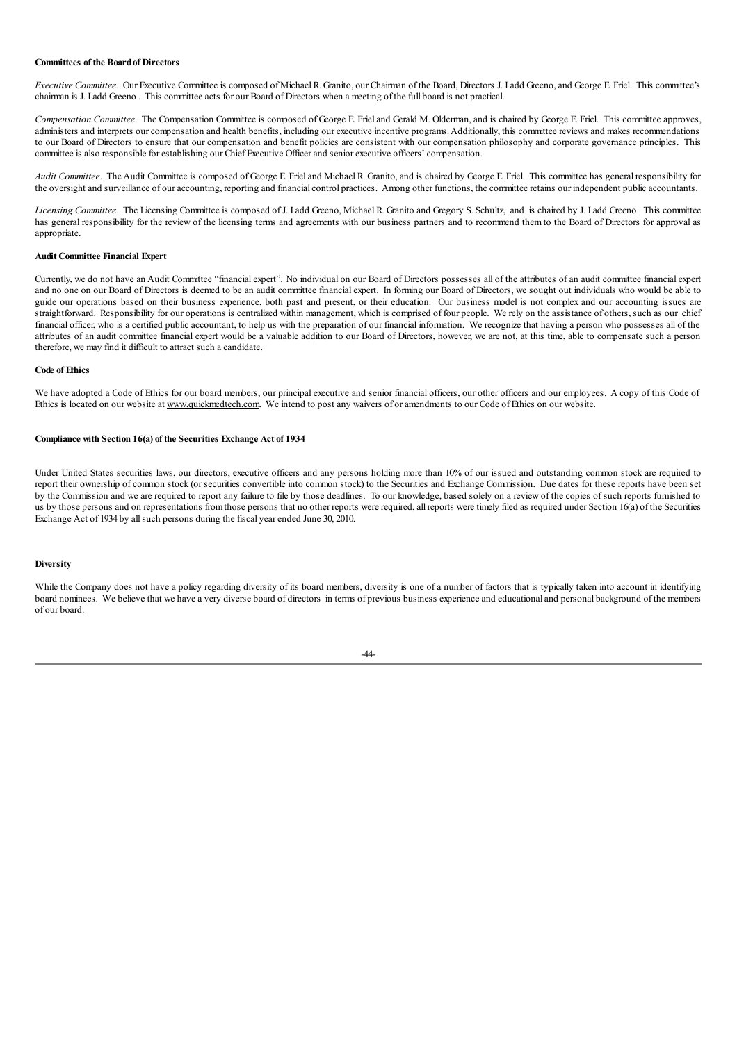### **Committees of the Boardof Directors**

*Executive Committee*. Our Executive Committee is composed of Michael R. Granito, our Chairman of the Board, Directors J. Ladd Greeno,and George E. Friel. This committee's chairman is J. Ladd Greeno . This committee acts for our Board of Directors when a meeting of the full board is not practical.

*Compensation Committee*. The Compensation Committee is composed of George E. Frieland Gerald M. Olderman,and is chaired by George E. Friel. This committee approves, administers and interprets our compensation and health benefits, including our executive incentive programs. Additionally, this committee reviews and makes recommendations to our Board of Directors to ensure that our compensation and benefit policies are consistent with our compensation philosophy and corporate governance principles. This committee is also responsible forestablishing our Chief Executive Officerand seniorexecutive officers'compensation.

*Audit Committee*. TheAudit Committee is composed of George E. Frieland Michael R. Granito,and is chaired by George E. Friel. This committee has general responsibility for the oversight and surveillance of ouraccounting, reporting and financialcontrol practices. Among other functions, the committee retains our independent public accountants.

*Licensing Committee*. The Licensing Committee is composed of J. Ladd Greeno, Michael R. Granito and Gregory S. Schultz, and is chaired by J. Ladd Greeno. This committee has general responsibility for the review of the licensing terms and agreements with our business partners and to recommend them to the Board of Directors for approval as appropriate.

## **Audit Committee Financial Expert**

Currently, we do not have an Audit Committee "financial expert". No individual on our Board of Directors possesses all of the attributes of an audit committee financial expert and no one on our Board of Directors is deemed to be an audit committee financialexpert. In forming our Board of Directors, we sought out individuals who would be able to guide our operations based on their business experience, both past and present, or their education. Our business model is not complex and our accounting issues are straightforward. Responsibility for our operations is centralized within management, which is comprised of four people. We rely on the assistance of others, such as our chief financial officer, who is a certified public accountant, to help us with the preparation of our financial information. We recognize that having a person who possesses all of the attributes of an audit committee financial expert would be a valuable addition to our Board of Directors, however, we are not, at this time, able to compensate such a person therefore, we may find it difficult to attract such a candidate.

### **Code of Ethics**

We have adopted a Code of Ethics for our board members, our principal executive and senior financial officers, our other officers and our employees. A copy of this Code of Ethics is located on our website at www.quickmedtech.com. We intend to post any waivers of or amendments to our Code of Ethics on our website.

# **Compliance with Section 16(a) of the Securities Exchange Act of 1934**

Under United States securities laws, our directors, executive officers and any persons holding more than 10% of our issued and outstanding common stock are required to report their ownership of common stock (or securities convertible into common stock) to the Securities and Exchange Commission. Due dates for these reports have been set by the Commission and we are required to report any failure to file by those deadlines. To our knowledge, based solely on a review of the copies of such reports furnished to us by those persons and on representations fromthose persons that no other reports were required,all reports were timely filed as required under Section 16(a) of the Securities Exchange Act of 1934 by allsuch persons during the fiscal yearended June 30, 2010.

## **Diversity**

While the Company does not have a policy regarding diversity of its board members, diversity is one of a number of factors that is typically taken into account in identifying board nominees. We believe that we have a very diverse board of directors in terms of previous business experience and educationaland personal background of the members of our board.

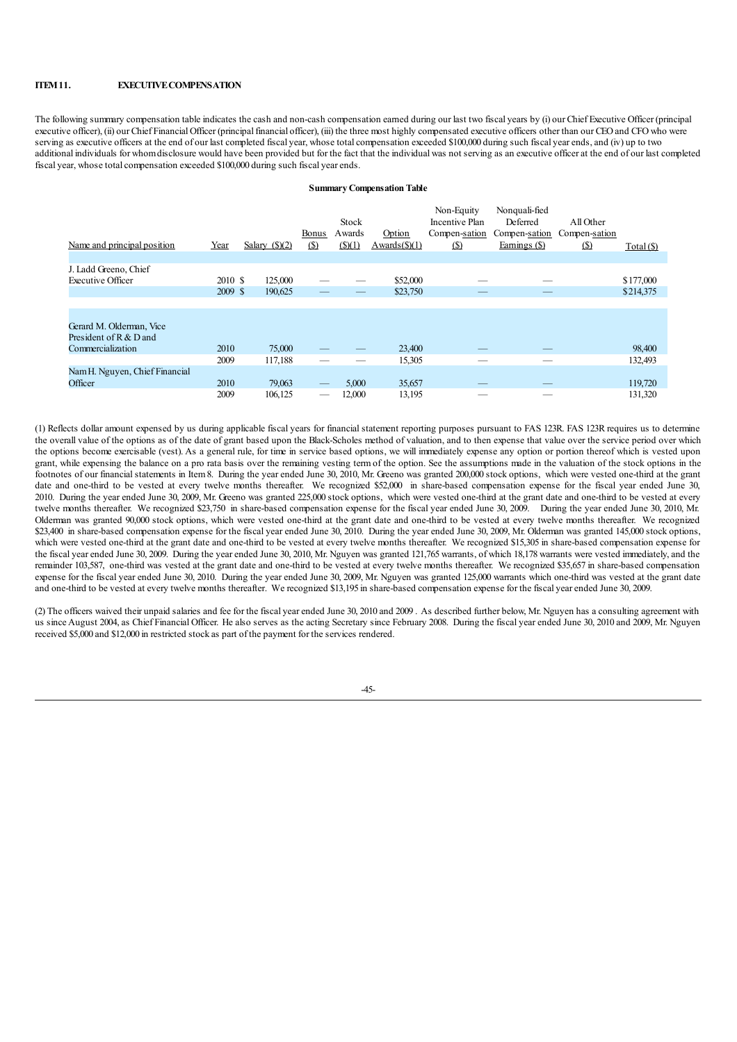# **ITEM11. EXECUTIVECOMPENSATION**

The following summary compensation table indicates the cash and non-cash compensation earned during our last two fiscal years by (i) our Chief Executive Officer (principal executive officer), (ii) our Chief Financial Officer (principal financial officer), (iii) the three most highly compensated executive officers other than our CEO and CFO who were serving as executive officers at the end of our last completed fiscal year, whose total compensation exceeded \$100,000 during such fiscal year ends, and (iv) up to two additional individuals for whomdisclosure would have been provided but for the fact that the individualwas not serving as an executive officerat the end of our last completed fiscal year, whose total compensation exceeded \$100,000 during such fiscal year ends.

## **SummaryCompensation Table**

| Name and principal position                        | Year    | Salary $(\text{S})(2)$ | <b>Bonus</b><br>(S) | Stock<br>Awards<br>(S)(1) | Option<br>Awards $(\text{\$})(1)$ | Non-Equity<br><b>Incentive Plan</b><br>Compen-sation<br>(S) | Nonquali-fied<br>Deferred<br>Compen-sation<br>Earnings $(S)$ | All Other<br>Compen-sation<br>$\circ$ | Total(S)  |
|----------------------------------------------------|---------|------------------------|---------------------|---------------------------|-----------------------------------|-------------------------------------------------------------|--------------------------------------------------------------|---------------------------------------|-----------|
| J. Ladd Greeno, Chief                              |         |                        |                     |                           |                                   |                                                             |                                                              |                                       |           |
| <b>Executive Officer</b>                           | 2010 \$ | 125,000                | -                   | -                         | \$52,000                          |                                                             |                                                              |                                       | \$177,000 |
|                                                    | 2009 \$ | 190,625                |                     | _                         | \$23,750                          | _                                                           |                                                              |                                       | \$214,375 |
|                                                    |         |                        |                     |                           |                                   |                                                             |                                                              |                                       |           |
| Gerard M. Olderman, Vice<br>President of R & D and |         |                        |                     |                           |                                   |                                                             |                                                              |                                       |           |
| Commercialization                                  | 2010    | 75,000                 |                     | $\qquad \qquad - \qquad$  | 23,400                            |                                                             |                                                              |                                       | 98,400    |
|                                                    | 2009    | 117,188                | -                   |                           | 15,305                            |                                                             |                                                              |                                       | 132,493   |
| Nam H. Nguyen, Chief Financial                     |         |                        |                     |                           |                                   |                                                             |                                                              |                                       |           |
| Officer                                            | 2010    | 79,063                 |                     | 5.000                     | 35,657                            |                                                             |                                                              |                                       | 119,720   |
|                                                    | 2009    | 106,125                |                     | 12,000                    | 13,195                            |                                                             |                                                              |                                       | 131,320   |

(1) Reflects dollar amount expensed by us during applicable fiscal years for financial statement reporting purposes pursuant to FAS 123R. FAS 123R requires us to determine the overall value of the options as of the date of grant based upon the Black-Scholes method of valuation, and to then expense that value over the service period over which the options become exercisable (vest). As a general rule, for time in service based options, we will immediately expense any option or portion thereof which is vested upon grant, while expensing the balance on a pro rata basis over the remaining vesting termof the option. See the assumptions made in the valuation of the stock options in the footnotes of our financial statements in Item 8. During the year ended June 30, 2010, Mr. Greeno was granted 200,000 stock options, which were vested one-third at the grant date and one-third to be vested at every twelve months thereafter. We recognized \$52,000 in share-based compensation expense for the fiscal year ended June 30, 2010. During the year ended June 30, 2009, Mr. Greeno was granted 225,000 stock options, which were vested one-third at the grant date and one-third to be vested at every twelve months thereafter. We recognized \$23,750 in share-based compensation expense for the fiscal year ended June 30, 2009. During the year ended June 30, 2010, Mr. Olderman was granted 90,000 stock options, which were vested one-third at the grant date and one-third to be vested at every twelve months thereafter. We recognized \$23,400 in share-based compensation expense for the fiscal year ended June 30, 2010. During the year ended June 30, 2009, Mr. Olderman was granted 145,000 stock options, which were vested one-third at the grant date and one-third to be vested at every twelve months thereafter. We recognized \$15,305 in share-based compensation expense for the fiscal year ended June 30, 2009. During the year ended June 30, 2010, Mr. Nguyen was granted 121,765 warrants, of which 18,178 warrants were vested immediately, and the remainder 103,587, one-third was vested at the grant date and one-third to be vested at every twelve months thereafter. We recognized \$35,657 in share-based compensation expense for the fiscal year ended June 30, 2010. During the year ended June 30, 2009, Mr. Nguyen was granted 125,000 warrants which one-third was vested at the grant date and one-third to be vested at every twelve months thereafter. We recognized \$13,195 in share-based compensation expense for the fiscal yearended June 30, 2009.

(2) The officers waived their unpaid salaries and fee for the fiscal yearended June 30, 2010 and 2009 . As described further below, Mr. Nguyen has a consulting agreement with us since August 2004, as Chief Financial Officer. He also serves as the acting Secretary since February 2008. During the fiscal year ended June 30, 2010 and 2009, Mr. Nguyen received \$5,000 and \$12,000 in restricted stock as part of the payment for the services rendered.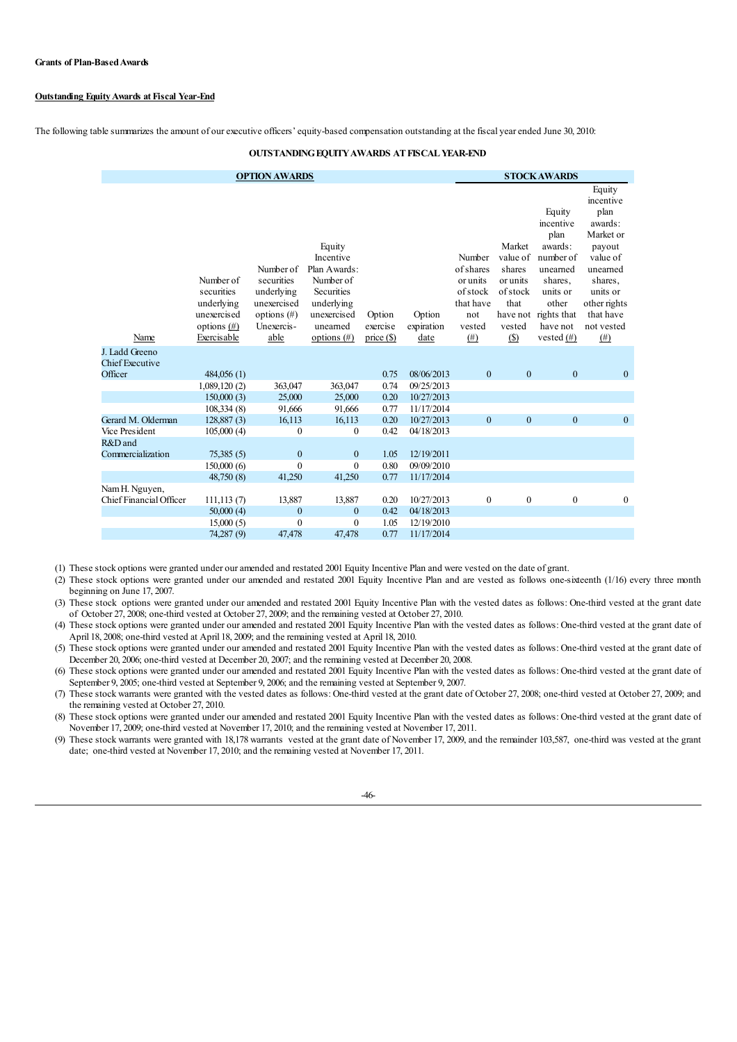## **Outstanding EquityAwards at Fiscal Year-End**

The following table summarizes the amount of ourexecutive officers'equity-based compensation outstanding at the fiscal yearended June 30, 2010:

## **OUTSTANDINGEQUITYAWARDS ATFISCALYEAR-END**

|                         | <b>OPTION AWARDS</b>                                                                  |                                                                                              |                                                                                                                           | <b>STOCK AWARDS</b>            |                              |                                                                                   |                                                                                   |                                                                                                                                                      |                                                                                                                                                                 |
|-------------------------|---------------------------------------------------------------------------------------|----------------------------------------------------------------------------------------------|---------------------------------------------------------------------------------------------------------------------------|--------------------------------|------------------------------|-----------------------------------------------------------------------------------|-----------------------------------------------------------------------------------|------------------------------------------------------------------------------------------------------------------------------------------------------|-----------------------------------------------------------------------------------------------------------------------------------------------------------------|
| Name                    | Number of<br>securities<br>underlying<br>unexercised<br>options $(\#)$<br>Exercisable | Number of<br>securities<br>underlying<br>unexercised<br>options $(\#)$<br>Unexercis-<br>able | Equity<br>Incentive<br>Plan Awards:<br>Number of<br>Securities<br>underlying<br>unexercised<br>unearned<br>options $(\#)$ | Option<br>exercise<br>price(S) | Option<br>expiration<br>date | Number<br>of shares<br>or units<br>of stock<br>that have<br>not<br>vested<br>(# ) | Market<br>value of<br>shares<br>or units<br>of stock<br>that<br>vested<br>$\circ$ | Equity<br>incentive<br>plan<br>awards:<br>number of<br>unearned<br>shares.<br>units or<br>other<br>have not rights that<br>have not<br>vested $(\#)$ | Equity<br>incentive<br>plan<br>awards:<br>Market or<br>payout<br>value of<br>unearned<br>shares.<br>units or<br>other rights<br>that have<br>not vested<br>(# ) |
| J. Ladd Greeno          |                                                                                       |                                                                                              |                                                                                                                           |                                |                              |                                                                                   |                                                                                   |                                                                                                                                                      |                                                                                                                                                                 |
| <b>Chief Executive</b>  |                                                                                       |                                                                                              |                                                                                                                           |                                |                              |                                                                                   |                                                                                   |                                                                                                                                                      |                                                                                                                                                                 |
| Officer                 | 484,056 (1)                                                                           |                                                                                              |                                                                                                                           | 0.75                           | 08/06/2013                   | $\mathbf{0}$                                                                      | $\mathbf{0}$                                                                      | $\mathbf{0}$                                                                                                                                         | $\mathbf{0}$                                                                                                                                                    |
|                         | 1,089,120(2)                                                                          | 363,047                                                                                      | 363,047                                                                                                                   | 0.74                           | 09/25/2013                   |                                                                                   |                                                                                   |                                                                                                                                                      |                                                                                                                                                                 |
|                         | 150,000(3)                                                                            | 25,000                                                                                       | 25,000                                                                                                                    | 0.20                           | 10/27/2013                   |                                                                                   |                                                                                   |                                                                                                                                                      |                                                                                                                                                                 |
|                         | 108,334(8)                                                                            | 91,666                                                                                       | 91,666                                                                                                                    | 0.77                           | 11/17/2014                   |                                                                                   |                                                                                   |                                                                                                                                                      |                                                                                                                                                                 |
| Gerard M. Olderman      | 128,887(3)                                                                            | 16,113                                                                                       | 16,113                                                                                                                    | 0.20                           | 10/27/2013                   | $\mathbf{0}$                                                                      | $\mathbf{0}$                                                                      | $\mathbf{0}$                                                                                                                                         | $\mathbf{0}$                                                                                                                                                    |
| Vice President          | 105,000(4)                                                                            | $\mathbf{0}$                                                                                 | $\mathbf{0}$                                                                                                              | 0.42                           | 04/18/2013                   |                                                                                   |                                                                                   |                                                                                                                                                      |                                                                                                                                                                 |
| R&D and                 |                                                                                       |                                                                                              |                                                                                                                           |                                |                              |                                                                                   |                                                                                   |                                                                                                                                                      |                                                                                                                                                                 |
| Commercialization       | 75,385(5)                                                                             | $\mathbf{0}$                                                                                 | $\mathbf{0}$                                                                                                              | 1.05                           | 12/19/2011                   |                                                                                   |                                                                                   |                                                                                                                                                      |                                                                                                                                                                 |
|                         | 150,000(6)                                                                            | $\theta$                                                                                     | $\theta$                                                                                                                  | 0.80                           | 09/09/2010                   |                                                                                   |                                                                                   |                                                                                                                                                      |                                                                                                                                                                 |
|                         | 48,750(8)                                                                             | 41,250                                                                                       | 41,250                                                                                                                    | 0.77                           | 11/17/2014                   |                                                                                   |                                                                                   |                                                                                                                                                      |                                                                                                                                                                 |
| Nam H. Nguyen,          |                                                                                       |                                                                                              |                                                                                                                           |                                |                              |                                                                                   |                                                                                   |                                                                                                                                                      |                                                                                                                                                                 |
| Chief Financial Officer | 111, 113(7)                                                                           | 13,887                                                                                       | 13,887                                                                                                                    | 0.20                           | 10/27/2013                   | $\mathbf{0}$                                                                      | $\mathbf{0}$                                                                      | $\mathbf{0}$                                                                                                                                         | $\mathbf{0}$                                                                                                                                                    |
|                         | 50,000(4)                                                                             | $\mathbf{0}$                                                                                 | $\mathbf{0}$                                                                                                              | 0.42                           | 04/18/2013                   |                                                                                   |                                                                                   |                                                                                                                                                      |                                                                                                                                                                 |
|                         | 15,000(5)                                                                             | $\theta$                                                                                     | $\theta$                                                                                                                  | 1.05                           | 12/19/2010                   |                                                                                   |                                                                                   |                                                                                                                                                      |                                                                                                                                                                 |
|                         | 74,287 (9)                                                                            | 47,478                                                                                       | 47,478                                                                                                                    | 0.77                           | 11/17/2014                   |                                                                                   |                                                                                   |                                                                                                                                                      |                                                                                                                                                                 |

(1) These stock options were granted under ouramended and restated 2001 Equity Incentive Plan and were vested on the date of grant.

- (2) These stock options were granted under our amended and restated 2001 Equity Incentive Plan and are vested as follows one-sixteenth (1/16) every three month beginning on June 17, 2007.
- (3) These stock options were granted under our amended and restated 2001 Equity Incentive Plan with the vested dates as follows: One-third vested at the grant date of October 27, 2008; one-third vested at October 27, 2009; and the remaining vested at October 27, 2010.
- (4) These stock options were granted under ouramended and restated 2001 Equity Incentive Plan with the vested dates as follows: One-third vested at the grant date of April 18, 2008; one-third vested at April 18, 2009; and the remaining vested at April 18, 2010.
- (5) These stock options were granted under ouramended and restated 2001 Equity Incentive Plan with the vested dates as follows: One-third vested at the grant date of December 20, 2006; one-third vested at December 20, 2007; and the remaining vested at December 20, 2008.
- (6) These stock options were granted under ouramended and restated 2001 Equity Incentive Plan with the vested dates as follows: One-third vested at the grant date of September 9, 2005; one-third vested at September 9, 2006; and the remaining vested at September 9, 2007.
- (7) These stock warrants were granted with the vested dates as follows: One-third vested at the grant date of October 27, 2008; one-third vested at October 27, 2009; and the remaining vested at October 27, 2010.
- (8) These stock options were granted under ouramended and restated 2001 Equity Incentive Plan with the vested dates as follows: One-third vested at the grant date of November 17, 2009; one-third vested at November 17, 2010; and the remaining vested at November 17, 2011.
- (9) These stock warrants were granted with 18,178 warrants vested at the grant date of November 17, 2009, and the remainder 103,587, one-third was vested at the grant date; one-third vested at November 17, 2010; and the remaining vested at November 17, 2011.

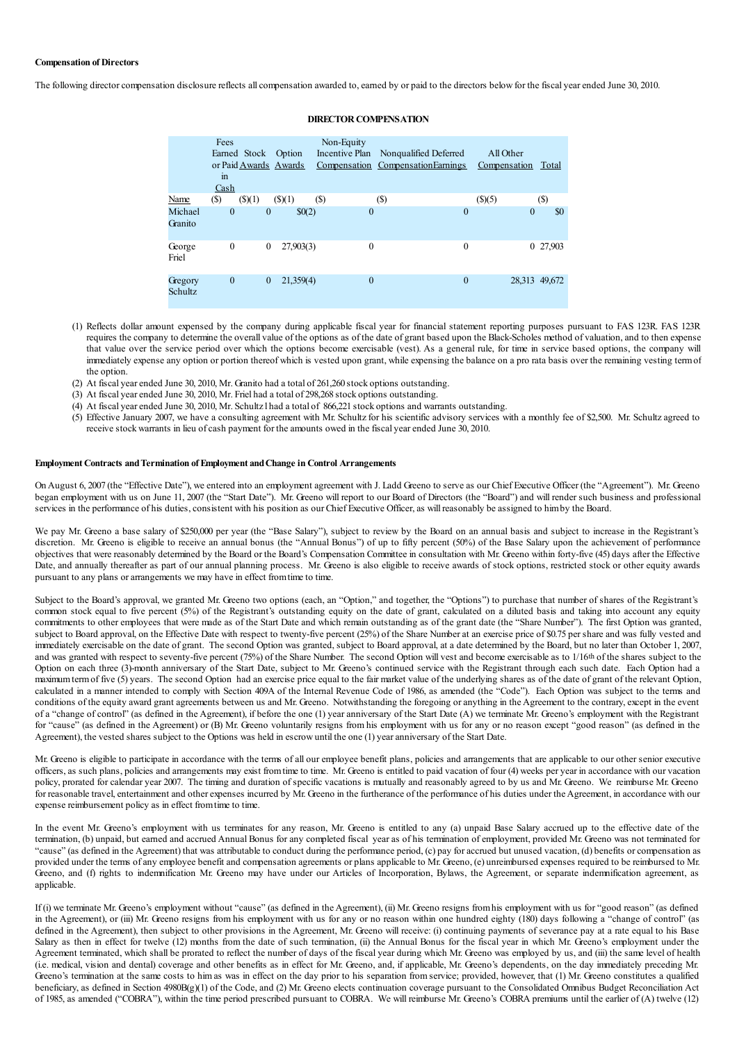### **Compensation of Directors**

The following director compensation disclosure reflects all compensation awarded to, earned by or paid to the directors below for the fiscal year ended June 30, 2010.

|                            | Fees<br>Earned Stock Option<br>or Paid Awards Awards<br>$\mathbf{m}$<br>Cash |                               |                   | Non-Equity<br>Incentive Plan | Nonqualified Deferred<br>Compensation Compensation Earnings |          | All Other<br>Compensation | Total                             |
|----------------------------|------------------------------------------------------------------------------|-------------------------------|-------------------|------------------------------|-------------------------------------------------------------|----------|---------------------------|-----------------------------------|
| Name<br>Michael<br>Granito | (\$)<br>$\mathbf{0}$                                                         | $($ \$ $)(1)$<br>$\mathbf{0}$ | (\$)(1)<br>\$0(2) | $(\$)$<br>$\theta$           | $\left( \mathbb{S}\right)$                                  | $\theta$ | (\$)(5)<br>$\mathbf{0}$   | $\left( \mathbb{S}\right)$<br>\$0 |
| George<br>Friel            | $\mathbf{0}$                                                                 | $\mathbf{0}$                  | 27,903(3)         | $\theta$                     |                                                             | $\theta$ |                           | 0 27,903                          |
| Gregory<br><b>Schultz</b>  | $\mathbf{0}$                                                                 | $\mathbf{0}$                  | 21,359(4)         | $\theta$                     |                                                             | $\theta$ | 28,313 49,672             |                                   |

### **DIRECTORCOMPENSATION**

- (1) Reflects dollar amount expensed by the company during applicable fiscal year for financial statement reporting purposes pursuant to FAS 123R. FAS 123R requires the company to determine the overall value of the options as of the date of grant based upon the Black-Scholes method of valuation,and to then expense that value over the service period over which the options become exercisable (vest). As a general rule, for time in service based options, the company will immediately expense any option or portion thereof which is vested upon grant, while expensing the balance on a pro rata basis over the remaining vesting termof the option.
- (2) At fiscal yearended June 30, 2010, Mr. Granito had a total of 261,260 stock options outstanding.
- (3) At fiscal yearended June 30, 2010, Mr. Friel had a total of 298,268 stock options outstanding.
- (4) At fiscal yearended June 30, 2010, Mr. Schultzl had a total of 866,221 stock options and warrants outstanding.
- (5) Effective January 2007, we have a consulting agreement with Mr. Schultz for his scientific advisory services with a monthly fee of \$2,500. Mr. Schultz agreed to receive stock warrants in lieu of cash payment for the amounts owed in the fiscal year ended June 30, 2010.

### **Employment Contracts andTermination of Employment andChange in Control Arrangements**

OnAugust 6, 2007 (the "Effective Date"), we entered into an employment agreement with J. Ladd Greeno to serve as our Chief Executive Officer (the "Agreement"). Mr. Greeno began employment with us on June 11, 2007 (the "Start Date"). Mr. Greeno will report to our Board of Directors (the "Board") and will render such business and professional services in the performance of his duties, consistent with his position as our Chief Executive Officer, as will reasonably be assigned to himby the Board.

We pay Mr. Greeno a base salary of \$250,000 per year (the "Base Salary"), subject to review by the Board on an annual basis and subject to increase in the Registrant's discretion. Mr. Greeno is eligible to receive an annual bonus (the "Annual Bonus") of up to fifty percent (50%) of the Base Salary upon the achievement of performance objectives that were reasonably determined by the Board or the Board's Compensation Committee in consultation with Mr. Greeno within forty-five (45) days after the Effective Date, and annually thereafter as part of our annual planning process. Mr. Greeno is also eligible to receive awards of stock options, restricted stock or other equity awards pursuant to any plans orarrangements we may have in effect fromtime to time.

Subject to the Board's approval, we granted Mr. Greeno two options (each, an "Option," and together, the "Options") to purchase that number of shares of the Registrant's common stock equal to five percent (5%) of the Registrant's outstanding equity on the date of grant, calculated on a diluted basis and taking into account any equity commitments to other employees that were made as of the Start Date and which remain outstanding as of the grant date (the "Share Number"). The first Option was granted, subject to Board approval, on the Effective Date with respect to twenty-five percent (25%) of the Share Number at an exercise price of \$0.75 per share and was fully vested and immediately exercisable on the date of grant. The second Option was granted, subject to Board approval, at a date determined by the Board, but no later than October 1, 2007, and was granted with respect to seventy-five percent (75%) of the Share Number. The second Option will vest and become exercisable as to 1/16th of the shares subject to the Option on each three (3)-month anniversary of the Start Date, subject to Mr. Greeno's continued service with the Registrant through each such date. Each Option had a maximumtermof five (5) years. The second Option had an exercise price equal to the fair market value of the underlying shares as of the date of grant of the relevant Option, calculated in a manner intended to comply with Section 409A of the Internal Revenue Code of 1986, as amended (the "Code"). Each Option was subject to the terms and conditions of the equity award grant agreements between us and Mr. Greeno. Notwithstanding the foregoing or anything in the Agreement to the contrary, except in the event of a "change of control" (as defined in the Agreement), if before the one (1) year anniversary of the Start Date (A) we terminate Mr. Greeno's employment with the Registrant for "cause" (as defined in the Agreement) or (B) Mr. Greeno voluntarily resigns from his employment with us for any or no reason except "good reason" (as defined in the Agreement), the vested shares subject to the Options was held in escrowuntil the one (1) yearanniversary of the Start Date.

Mr. Greeno is eligible to participate in accordance with the terms of all our employee benefit plans, policies and arrangements that are applicable to our other senior executive officers,as such plans, policies and arrangements may exist fromtime to time. Mr. Greeno is entitled to paid vacation of four (4) weeks per year in accordance with our vacation policy, prorated for calendar year 2007. The timing and duration of specific vacations is mutually and reasonably agreed to by us and Mr. Greeno. We reimburse Mr. Greeno for reasonable travel, entertainment and other expenses incurred by Mr. Greeno in the furtherance of the performance of his duties under the Agreement, in accordance with our expense reimbursement policy as in effect fromtime to time.

In the event Mr. Greeno's employment with us terminates for any reason, Mr. Greeno is entitled to any (a) unpaid Base Salary accrued up to the effective date of the termination, (b) unpaid, but earned and accrued Annual Bonus forany completed fiscal yearas of his termination ofemployment, provided Mr. Greeno was not terminated for "cause" (as defined in the Agreement) that was attributable to conduct during the performance period, (c) pay foraccrued but unused vacation, (d) benefits orcompensation as provided under the terms of any employee benefit and compensation agreements or plans applicable to Mr. Greeno, (e) unreimbursed expenses required to be reimbursed to Mr. Greeno, and (f) rights to indemnification Mr. Greeno may have under our Articles of Incorporation, Bylaws, the Agreement, or separate indemnification agreement, as applicable.

If (i) we terminate Mr. Greeno's employment without "cause" (as defined in theAgreement), (ii) Mr. Greeno resigns fromhis employment with us for"good reason" (as defined in the Agreement), or (iii) Mr. Greeno resigns from his employment with us for any or no reason within one hundred eighty (180) days following a "change of control" (as defined in the Agreement), then subject to other provisions in the Agreement, Mr. Greeno will receive: (i) continuing payments of severance pay at a rate equal to his Base Salary as then in effect for twelve (12) months from the date of such termination, (ii) the Annual Bonus for the fiscal year in which Mr. Greeno's employment under the Agreement terminated, which shall be prorated to reflect the number of days of the fiscal year during which Mr. Greeno was employed by us, and (iii) the same level of health (i.e. medical, vision and dental) coverage and other benefits as in effect for Mr. Greeno, and, if applicable, Mr. Greeno's dependents, on the day immediately preceding Mr. Greeno's termination at the same costs to himas was in effect on the day prior to his separation fromservice; provided, however, that (1) Mr. Greeno constitutes a qualified beneficiary, as defined in Section 4980B(g)(1) of the Code, and (2) Mr. Greeno elects continuation coverage pursuant to the Consolidated Omnibus Budget Reconciliation Act of 1985, as amended ("COBRA"), within the time period prescribed pursuant to COBRA. We will reimburse Mr. Greeno's COBRA premiums until the earlier of (A) twelve (12)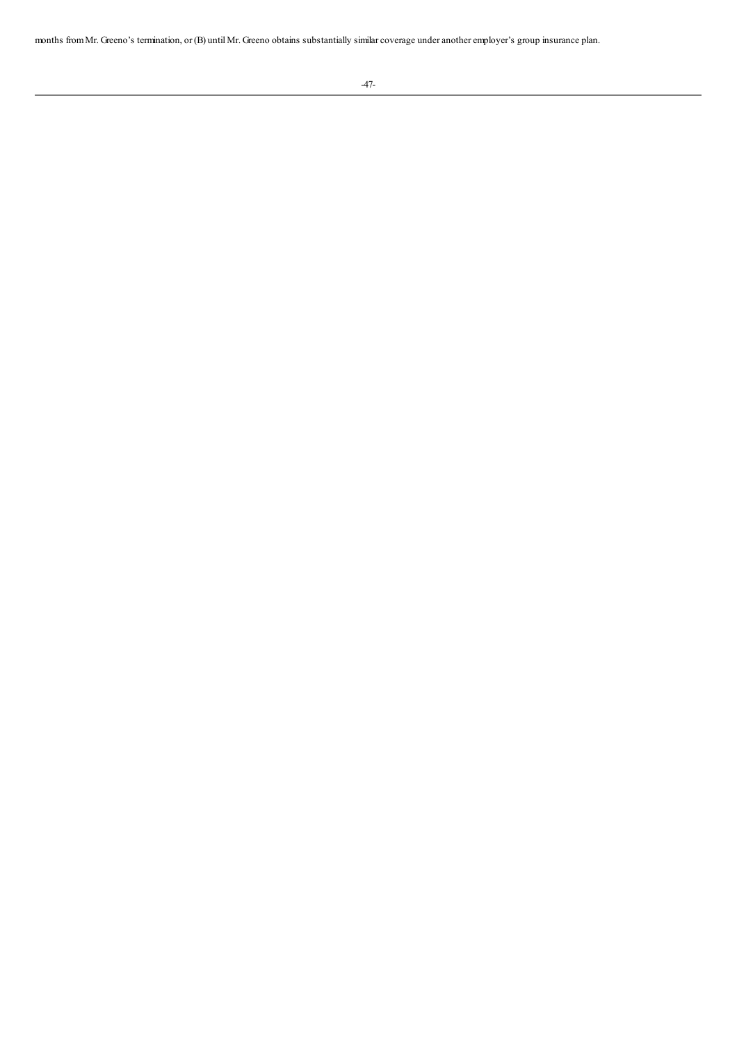months from Mr. Greeno's termination, or (B) until Mr. Greeno obtains substantially similar coverage under another employer's group insurance plan.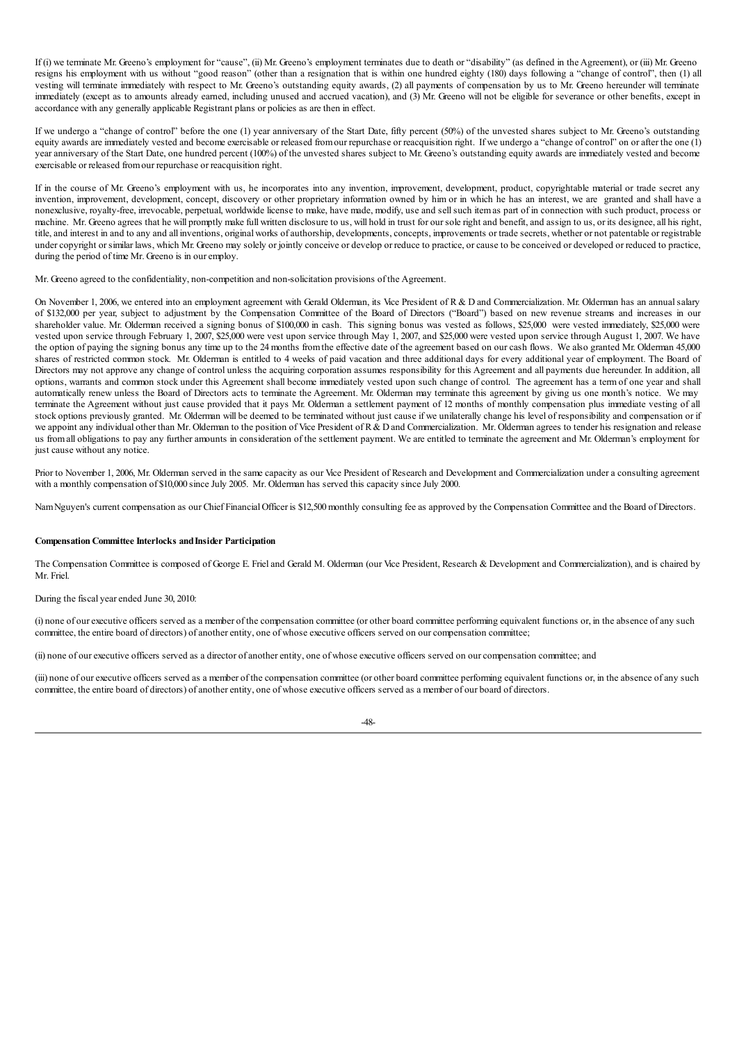If (i) we terminate Mr. Greeno's employment for"cause", (ii) Mr. Greeno's employment terminates due to death or"disability" (as defined in theAgreement), or (iii) Mr. Greeno resigns his employment with us without "good reason" (other than a resignation that is within one hundred eighty (180) days following a "change of control", then (1) all vesting will terminate immediately with respect to Mr. Greeno's outstanding equity awards, (2) all payments of compensation by us to Mr. Greeno hereunder will terminate immediately (except as to amounts already earned, including unused and accrued vacation), and (3) Mr. Greeno will not be eligible for severance or other benefits, except in accordance with any generally applicable Registrant plans or policies as are then in effect.

If we undergo a "change of control" before the one (1) year anniversary of the Start Date, fifty percent (50%) of the unvested shares subject to Mr. Greeno's outstanding equity awards are immediately vested and become exercisable or released from our repurchase or reacquisition right. If we undergo a "change of control" on or after the one (1) yearanniversary of the Start Date, one hundred percent (100%) of the unvested shares subject to Mr. Greeno's outstanding equity awards are immediately vested and become exercisable or released fromour repurchase or reacquisition right.

If in the course of Mr. Greeno's employment with us, he incorporates into any invention, improvement, development, product, copyrightable material or trade secret any invention, improvement, development, concept, discovery or other proprietary information owned by him or in which he has an interest, we are granted and shall have a nonexclusive, royalty-free, irrevocable, perpetual, worldwide license to make, have made, modify, use and sell such itemas part of in connection with such product, process or machine. Mr. Greeno agrees that he will promptly make full written disclosure to us, will hold in trust for our sole right and benefit, and assign to us, or its designee, all his right, title, and interest in and to any and all inventions, original works of authorship, developments, concepts, improvements or trade secrets, whether or not patentable or registrable undercopyright orsimilar laws, which Mr. Greeno may solely or jointly conceive or develop or reduce to practice, orcause to be conceived or developed or reduced to practice, during the period of time Mr. Greeno is in ouremploy.

Mr. Greeno agreed to the confidentiality, non-competition and non-solicitation provisions of the Agreement.

On November 1, 2006, we entered into an employment agreement with Gerald Olderman, its Vice President of R & D and Commercialization. Mr. Olderman has an annual salary of \$132,000 per year, subject to adjustment by the Compensation Committee of the Board of Directors ("Board") based on new revenue streams and increases in our shareholder value. Mr. Olderman received a signing bonus of \$100,000 in cash. This signing bonus was vested as follows, \$25,000 were vested immediately, \$25,000 were vested upon service through February 1, 2007, \$25,000 were vest upon service through May 1, 2007, and \$25,000 were vested upon service through August 1, 2007. We have the option of paying the signing bonus any time up to the 24 months fromthe effective date of the agreement based on ourcash flows. We also granted Mr. Olderman 45,000 shares of restricted common stock. Mr. Olderman is entitled to 4 weeks of paid vacation and three additional days for every additional year of employment. The Board of Directors may not approve any change of control unless the acquiring corporation assumes responsibility for this Agreement and all payments due hereunder. In addition, all options, warrants and common stock under this Agreement shall become immediately vested upon such change of control. The agreement has a termof one year and shall automatically renew unless the Board of Directors acts to terminate the Agreement. Mr. Olderman may terminate this agreement by giving us one month's notice. We may terminate the Agreement without just cause provided that it pays Mr. Olderman a settlement payment of 12 months of monthly compensation plus immediate vesting of all stock options previously granted. Mr. Olderman will be deemed to be terminated without just cause if we unilaterally change his level of responsibility and compensation or if we appoint any individual other than Mr. Olderman to the position of Vice President of R & D and Commercialization. Mr. Olderman agrees to tender his resignation and release us fromall obligations to pay any furtheramounts in consideration of the settlement payment. We are entitled to terminate the agreement and Mr. Olderman's employment for just cause without any notice.

Prior to November 1, 2006, Mr. Olderman served in the same capacity as our Vice President of Research and Development and Commercialization under a consulting agreement with a monthly compensation of \$10,000 since July 2005. Mr. Olderman has served this capacity since July 2000.

Nam Nguyen's current compensation as our Chief Financial Officer is \$12,500 monthly consulting fee as approved by the Compensation Committee and the Board of Directors.

### **Compensation Committee Interlocks and Insider Participation**

The Compensation Committee is composed of George E. Friel and Gerald M. Olderman (our Vice President, Research & Development and Commercialization), and is chaired by Mr. Friel.

#### During the fiscal yearended June 30, 2010:

(i) none of ourexecutive officers served as a member of the compensation committee (or other board committee performing equivalent functions or, in the absence ofany such committee, the entire board of directors) of another entity, one of whose executive officers served on our compensation committee;

(ii) none of ourexecutive officers served as a director ofanotherentity, one of whose executive officers served on ourcompensation committee; and

(iii) none of our executive officers served as a member of the compensation committee (or other board committee performing equivalent functions or, in the absence of any such committee, the entire board of directors) ofanotherentity, one of whose executive officers served as a member of our board of directors.

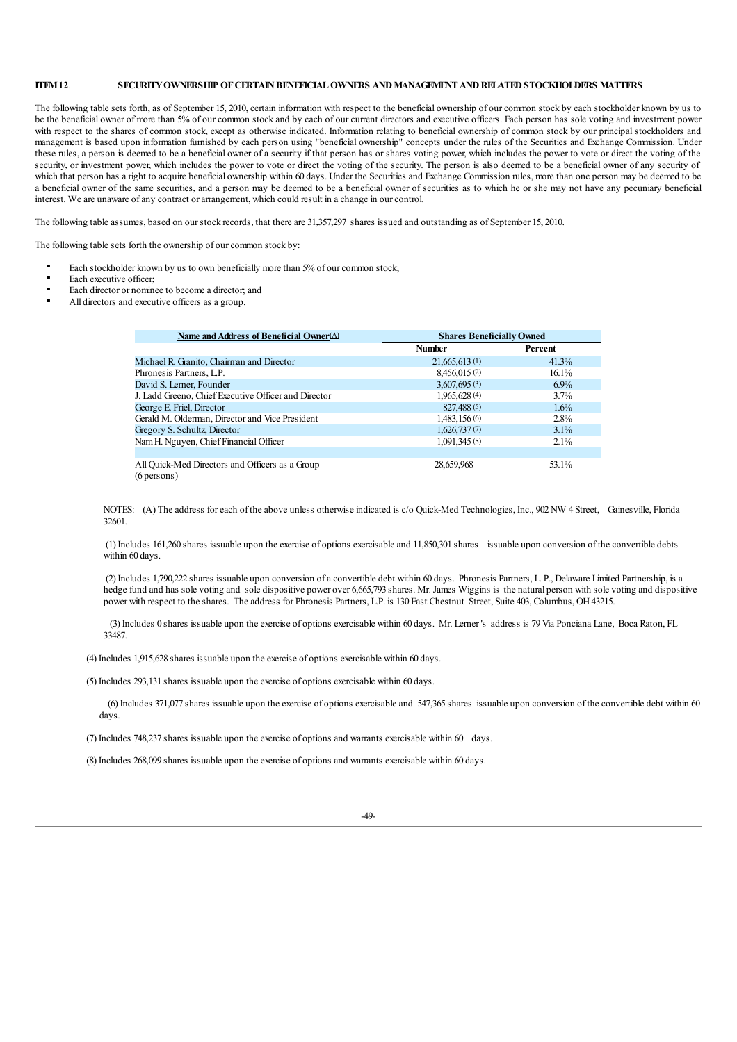### **ITEM12**. **SECURITYOWNERSHIP OFCERTAINBENEFICIALOWNERS AND MANAGEMENTANDRELATEDSTOCKHOLDERS MATTERS**

The following table sets forth, as of September 15, 2010, certain information with respect to the beneficial ownership of our common stock by each stockholder known by us to be the beneficial owner of more than 5% of our common stock and by each of our current directors and executive officers. Each person has sole voting and investment power with respect to the shares of common stock, except as otherwise indicated. Information relating to beneficial ownership of common stock by our principal stockholders and management is based upon information furnished by each person using "beneficial ownership" concepts under the rules of the Securities and Exchange Commission. Under these rules, a person is deemed to be a beneficial owner of a security if that person has or shares voting power, which includes the power to vote or direct the voting of the security, or investment power, which includes the power to vote or direct the voting of the security. The person is also deemed to be a beneficial owner of any security of which that person has a right to acquire beneficial ownership within 60 days. Under the Securities and Exchange Commission rules, more than one person may be deemed to be a beneficial owner of the same securities, and a person may be deemed to be a beneficial owner of securities as to which he or she may not have any pecuniary beneficial interest. We are unaware of any contract or arrangement, which could result in a change in our control.

The following table assumes, based on ourstock records, that there are 31,357,297 shares issued and outstanding as of September 15, 2010.

The following table sets forth the ownership of our common stock by:

- Each stockholder known by us to own beneficially more than 5% of our common stock;
- § Each executive officer;
- Each director or nominee to become a director; and
- All directors and executive officers as a group.

| Name and Address of Beneficial Owner (A)                         | <b>Shares Beneficially Owned</b> |         |  |  |
|------------------------------------------------------------------|----------------------------------|---------|--|--|
|                                                                  | <b>Number</b>                    | Percent |  |  |
| Michael R. Granito, Chairman and Director                        | 21,665,613(1)                    | 41.3%   |  |  |
| Phronesis Partners, L.P.                                         | 8,456,015(2)                     | 16.1%   |  |  |
| David S. Lerner, Founder                                         | 3,607,695(3)                     | $6.9\%$ |  |  |
| J. Ladd Greeno, Chief Executive Officer and Director             | 1,965,628(4)                     | $3.7\%$ |  |  |
| George E. Friel, Director                                        | 827,488 (5)                      | $1.6\%$ |  |  |
| Gerald M. Olderman, Director and Vice President                  | 1,483,156 (6)                    | $2.8\%$ |  |  |
| Gregory S. Schultz, Director                                     | 1,626,737(7)                     | $3.1\%$ |  |  |
| Nam H. Nguyen, Chief Financial Officer                           | 1,091,345 (8)                    | $2.1\%$ |  |  |
|                                                                  |                                  |         |  |  |
| All Quick-Med Directors and Officers as a Group<br>$(6$ persons) | 28,659,968                       | 53.1%   |  |  |

NOTES: (A) The address foreach of the above unless otherwise indicated is c/o Quick-Med Technologies, Inc., 902NW 4 Street, Gainesville, Florida 32601.

(1) Includes 161,260 shares issuable upon the exercise of options exercisable and 11,850,301 shares issuable upon conversion of the convertible debts within 60 days.

(2) Includes 1,790,222 shares issuable upon conversion ofa convertible debt within 60 days. Phronesis Partners, L. P., Delaware Limited Partnership, is a hedge fund and has sole voting and sole dispositive power over 6,665,793 shares. Mr. James Wiggins is the natural person with sole voting and dispositive power with respect to the shares. The address for Phronesis Partners, L.P. is 130 East Chestnut Street, Suite 403, Columbus, OH43215.

(3) Includes 0 shares issuable upon the exercise of options exercisable within 60 days. Mr. Lerner 's address is 79Via Ponciana Lane, Boca Raton, FL 33487.

(4) Includes 1,915,628 shares issuable upon the exercise of options exercisable within 60 days.

(5) Includes 293,131 shares issuable upon the exercise of options exercisable within 60 days.

(6) Includes 371,077 shares issuable upon the exercise of options exercisable and 547,365 shares issuable upon conversion of the convertible debt within 60 days.

(7) Includes 748,237 shares issuable upon the exercise of options and warrants exercisable within 60 days.

(8) Includes 268,099 shares issuable upon the exercise of options and warrants exercisable within 60 days.

#### -49-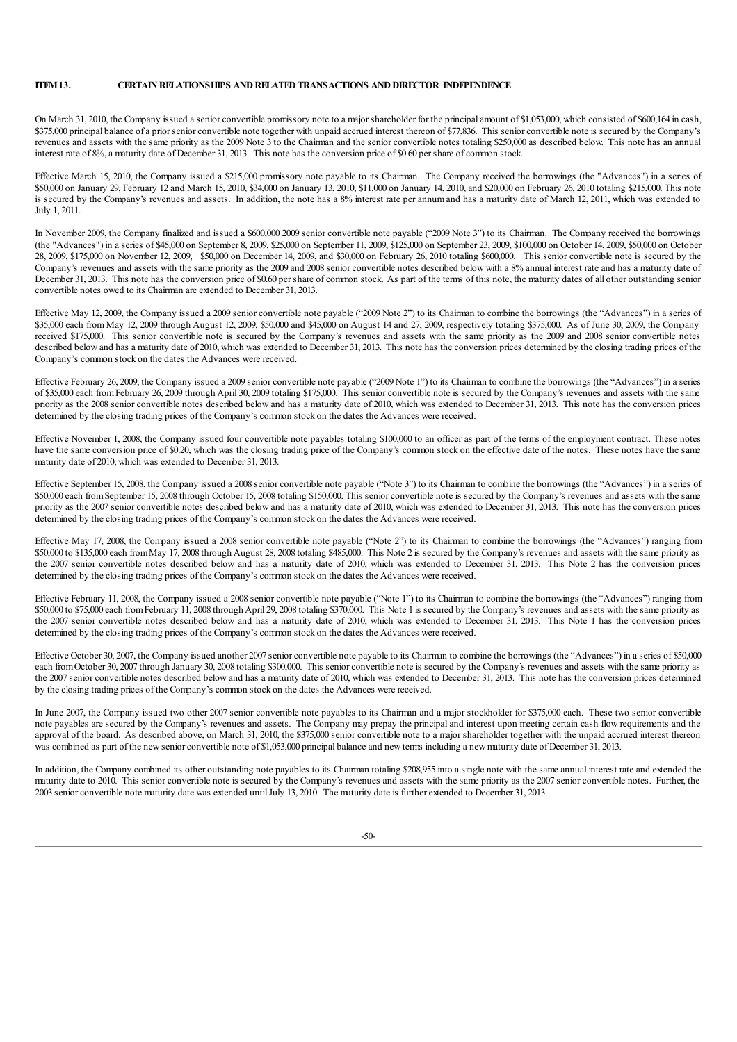## **ITEM13. CERTAINRELATIONSHIPS ANDRELATEDTRANSACTIONS ANDDIRECTOR INDEPENDENCE**

On March 31, 2010, the Company issued a seniorconvertible promissory note to a majorshareholder for the principalamount of \$1,053,000, which consisted of \$600,164 in cash, \$375,000 principal balance of a prior senior convertible note together with unpaid accrued interest thereon of \$77,836. This senior convertible note is secured by the Company's revenues and assets with the same priority as the 2009 Note 3 to the Chairman and the seniorconvertible notes totaling \$250,000 as described below. This note has an annual interest rate of 8%, a maturity date of December 31, 2013. This note has the conversion price of \$0.60 per share of common stock.

Effective March 15, 2010, the Company issued a \$215,000 promissory note payable to its Chairman. The Company received the borrowings (the "Advances") in a series of \$50,000 on January 29, February 12 and March 15, 2010, \$34,000 on January 13, 2010, \$11,000 on January 14, 2010,and \$20,000 on February 26, 2010 totaling \$215,000. This note is secured by the Company's revenues and assets. In addition, the note has a 8% interest rate per annumand has a maturity date of March 12, 2011, which was extended to July 1, 2011.

In November 2009, the Company finalized and issued a \$600,000 2009 senior convertible note payable ("2009 Note 3") to its Chairman. The Company received the borrowings (the "Advances") in a series of \$45,000 on September 8, 2009, \$25,000 on September 11, 2009, \$125,000 on September 23, 2009, \$100,000 on October 14, 2009, \$50,000 on October 28, 2009, \$175,000 on November 12, 2009, \$50,000 on December 14, 2009, and \$30,000 on February 26, 2010 totaling \$600,000. This senior convertible note is secured by the Company's revenues and assets with the same priority as the 2009 and 2008 senior convertible notes described below with a 8% annual interest rate and has a maturity date of December 31, 2013. This note has the conversion price of \$0.60 per share of common stock. As part of the terms of this note, the maturity dates of all other outstanding senior convertible notes owed to its Chairman are extended to December 31, 2013.

Effective May 12, 2009, the Company issued a 2009 senior convertible note payable ("2009 Note 2") to its Chairman to combine the borrowings (the "Advances") in a series of \$35,000 each from May 12, 2009 through August 12, 2009, \$50,000 and \$45,000 on August 14 and 27, 2009, respectively totaling \$375,000. As of June 30, 2009, the Company received \$175,000. This senior convertible note is secured by the Company's revenues and assets with the same priority as the 2009 and 2008 senior convertible notes described below and has a maturity date of 2010, which was extended to December 31, 2013. This note has the conversion prices determined by the closing trading prices of the Company's common stock on the dates the Advances were received.

Effective February 26, 2009, the Company issued a 2009 senior convertible note payable ("2009 Note 1") to its Chairman to combine the borrowings (the "Advances") in a series of \$35,000 each fromFebruary 26, 2009 through April 30, 2009 totaling \$175,000. This seniorconvertible note is secured by the Company's revenues and assets with the same priority as the 2008 senior convertible notes described below and has a maturity date of 2010, which was extended to December 31, 2013. This note has the conversion prices determined by the closing trading prices of the Company's common stock on the dates the Advances were received.

Effective November 1, 2008, the Company issued four convertible note payables totaling \$100,000 to an officer as part of the terms of the employment contract. These notes have the same conversion price of \$0.20, which was the closing trading price of the Company's common stock on the effective date of the notes. These notes have the same maturity date of 2010, which was extended to December 31, 2013.

Effective September 15, 2008, the Company issued a 2008 senior convertible note payable ("Note 3") to its Chairman to combine the borrowings (the "Advances") in a series of \$50,000 each from September 15, 2008 through October 15, 2008 totaling \$150,000. This senior convertible note is secured by the Company's revenues and assets with the same priority as the 2007 senior convertible notes described below and has a maturity date of 2010, which was extended to December 31, 2013. This note has the conversion prices determined by the closing trading prices of the Company's common stock on the dates the Advances were received.

Effective May 17, 2008, the Company issued a 2008 senior convertible note payable ("Note 2") to its Chairman to combine the borrowings (the "Advances") ranging from \$50,000 to \$135,000 each from May 17, 2008 through August 28, 2008 totaling \$485,000. This Note 2 is secured by the Company's revenues and assets with the same priority as the 2007 senior convertible notes described below and has a maturity date of 2010, which was extended to December 31, 2013. This Note 2 has the conversion prices determined by the closing trading prices of the Company's common stock on the dates the Advances were received.

Effective February 11, 2008, the Company issued a 2008 senior convertible note payable ("Note 1") to its Chairman to combine the borrowings (the "Advances") ranging from \$50,000 to \$75,000 each fromFebruary 11, 2008 throughApril 29, 2008 totaling \$370,000. This Note 1 is secured by the Company's revenues and assets with the same priority as the 2007 senior convertible notes described below and has a maturity date of 2010, which was extended to December 31, 2013. This Note 1 has the conversion prices determined by the closing trading prices of the Company's common stock on the dates the Advances were received.

Effective October 30, 2007, the Company issued another 2007 senior convertible note payable to its Chairman to combine the borrowings (the "Advances") in a series of \$50,000 each from October 30, 2007 through January 30, 2008 totaling \$300,000. This senior convertible note is secured by the Company's revenues and assets with the same priority as the 2007 senior convertible notes described below and has a maturity date of 2010, which was extended to December 31, 2013. This note has the conversion prices determined by the closing trading prices of the Company's common stock on the dates the Advances were received.

In June 2007, the Company issued two other 2007 senior convertible note payables to its Chairman and a major stockholder for \$375,000 each. These two senior convertible note payables are secured by the Company's revenues and assets. The Company may prepay the principaland interest upon meeting certain cash flow requirements and the approval of the board. As described above, on March 31, 2010, the \$375,000 senior convertible note to a major shareholder together with the unpaid accrued interest thereon was combined as part of the new senior convertible note of \$1,053,000 principal balance and new terms including a new maturity date of December 31, 2013.

In addition, the Company combined its other outstanding note payables to its Chairman totaling \$208,955 into a single note with the same annual interest rate and extended the maturity date to 2010. This senior convertible note is secured by the Company's revenues and assets with the same priority as the 2007 senior convertible notes. Further, the 2003 seniorconvertible note maturity date was extended untilJuly 13, 2010. The maturity date is furtherextended to December 31, 2013.

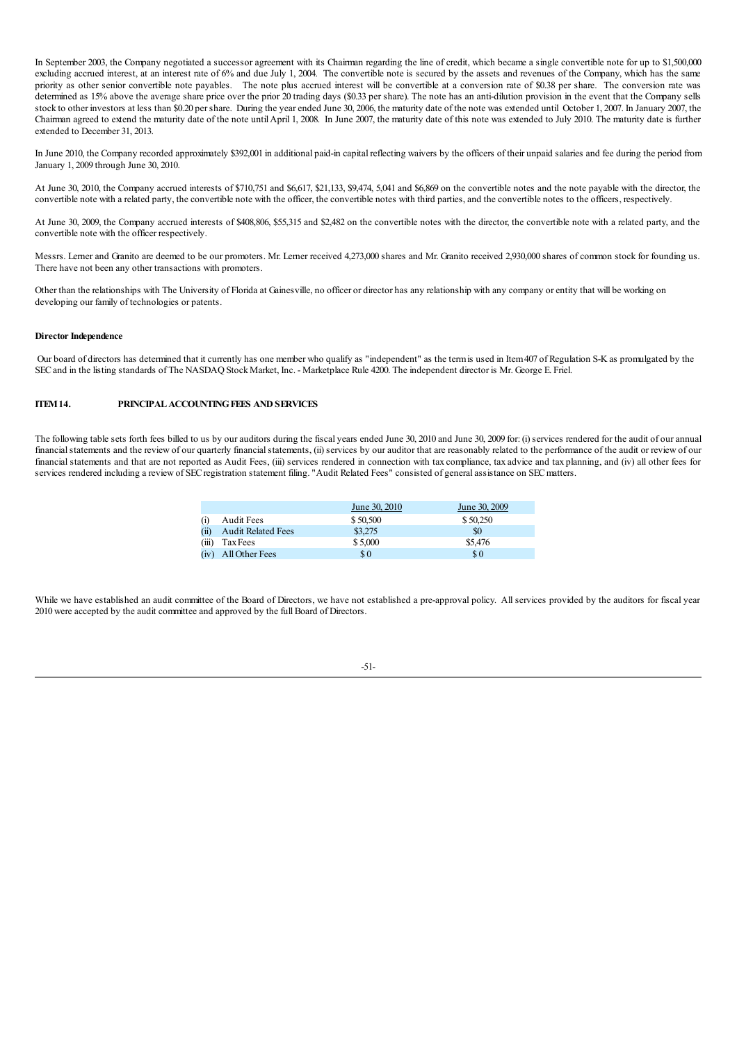In September 2003, the Company negotiated a successor agreement with its Chairman regarding the line of credit, which became a single convertible note for up to \$1,500,000 excluding accrued interest, at an interest rate of 6% and due July 1, 2004. The convertible note is secured by the assets and revenues of the Company, which has the same priority as other senior convertible note payables. The note plus accrued interest will be convertible at a conversion rate of \$0.38 per share. The conversion rate was determined as 15% above the average share price over the prior 20 trading days (\$0.33 per share). The note has an anti-dilution provision in the event that the Company sells stock to other investors at less than \$0.20 pershare. During the yearended June 30, 2006, the maturity date of the note was extended until October 1, 2007. In January 2007, the Chairman agreed to extend the maturity date of the note untilApril 1, 2008. In June 2007, the maturity date of this note was extended to July 2010. The maturity date is further extended to December 31, 2013.

In June 2010, the Company recorded approximately \$392,001 in additional paid-in capital reflecting waivers by the officers of their unpaid salaries and fee during the period from January 1, 2009 through June 30, 2010.

At June 30, 2010, the Company accrued interests of \$710,751 and \$6,617, \$21,133, \$9,474, 5,041 and \$6,869 on the convertible notes and the note payable with the director, the convertible note with a related party, the convertible note with the officer, the convertible notes with third parties, and the convertible notes to the officers, respectively.

At June 30, 2009, the Company accrued interests of \$408,806, \$55,315 and \$2,482 on the convertible notes with the director, the convertible note with a related party, and the convertible note with the officer respectively.

Messrs. Lernerand Granito are deemed to be our promoters. Mr. Lerner received 4,273,000 shares and Mr. Granito received 2,930,000 shares of common stock for founding us. There have not been any other transactions with promoters.

Other than the relationships with The University of Florida at Gainesville, no officer or director has any relationship with any company orentity that will be working on developing our family of technologies or patents.

### **Director Independence**

Our board of directors has determined that it currently has one member who qualify as "independent" as the term is used in Item 407 of Regulation S-K as promulgated by the SEC and in the listing standards of The NASDAQ Stock Market, Inc. - Marketplace Rule 4200. The independent director is Mr. George E. Friel.

## **ITEM14. PRINCIPALACCOUNTINGFEES ANDSERVICES**

The following table sets forth fees billed to us by our auditors during the fiscal years ended June 30, 2010 and June 30, 2009 for: (i) services rendered for the audit of our annual financialstatements and the review of our quarterly financialstatements, (ii) services by ourauditor that are reasonably related to the performance of the audit or review of our financial statements and that are not reported as Audit Fees, (iii) services rendered in connection with tax compliance, tax advice and tax planning, and (iv) all other fees for services rendered including a reviewof SECregistration statement filing."Audit Related Fees" consisted of generalassistance on SECmatters.

|       |                           | June 30, 2010 | June 30, 2009 |
|-------|---------------------------|---------------|---------------|
| (i)   | <b>Audit Fees</b>         | \$50,500      | \$50,250      |
| (ii)  | <b>Audit Related Fees</b> | \$3,275       | \$0           |
| (iii) | Tax Fees                  | \$5,000       | \$5,476       |
| (iv)  | All Other Fees            | \$0           | \$0           |

While we have established an audit committee of the Board of Directors, we have not established a pre-approval policy. All services provided by the auditors for fiscal year 2010were accepted by the audit committee and approved by the full Board of Directors.

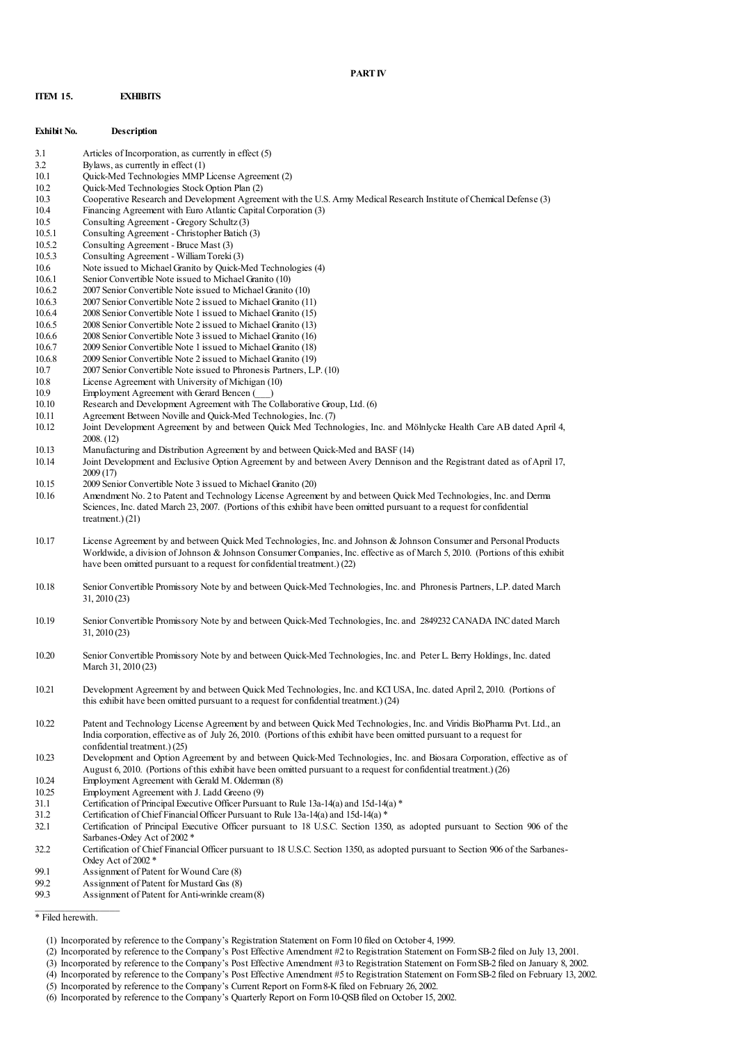# **PARTIV**

## **ITEM 15. EXHIBITS**

| <b>Exhibit No.</b> | Description                                                                                                                                                                                                                                                                                                                     |
|--------------------|---------------------------------------------------------------------------------------------------------------------------------------------------------------------------------------------------------------------------------------------------------------------------------------------------------------------------------|
| 3.1                | Articles of Incorporation, as currently in effect (5)                                                                                                                                                                                                                                                                           |
| 3.2                | Bylaws, as currently in effect (1)                                                                                                                                                                                                                                                                                              |
| 10.1               | Quick-Med Technologies MMP License Agreement (2)                                                                                                                                                                                                                                                                                |
| 10.2<br>10.3       | Quick-Med Technologies Stock Option Plan (2)<br>Cooperative Research and Development Agreement with the U.S. Army Medical Research Institute of Chemical Defense (3)                                                                                                                                                            |
| 10.4               | Financing Agreement with Euro Atlantic Capital Corporation (3)                                                                                                                                                                                                                                                                  |
| 10.5               | Consulting Agreement - Gregory Schultz (3)                                                                                                                                                                                                                                                                                      |
| 10.5.1             | Consulting Agreement - Christopher Batich (3)                                                                                                                                                                                                                                                                                   |
| 10.5.2<br>10.5.3   | Consulting Agreement - Bruce Mast (3)<br>Consulting Agreement - William Toreki (3)                                                                                                                                                                                                                                              |
| 10.6               | Note issued to Michael Granito by Quick-Med Technologies (4)                                                                                                                                                                                                                                                                    |
| 10.6.1             | Senior Convertible Note issued to Michael Granito (10)                                                                                                                                                                                                                                                                          |
| 10.6.2             | 2007 Senior Convertible Note issued to Michael Granito (10)                                                                                                                                                                                                                                                                     |
| 10.6.3             | 2007 Senior Convertible Note 2 issued to Michael Granito (11)                                                                                                                                                                                                                                                                   |
| 10.6.4<br>10.6.5   | 2008 Senior Convertible Note 1 issued to Michael Granito (15)<br>2008 Senior Convertible Note 2 issued to Michael Granito (13)                                                                                                                                                                                                  |
| 10.6.6             | 2008 Senior Convertible Note 3 issued to Michael Granito (16)                                                                                                                                                                                                                                                                   |
| 10.6.7             | 2009 Senior Convertible Note 1 issued to Michael Granito (18)                                                                                                                                                                                                                                                                   |
| 10.6.8             | 2009 Senior Convertible Note 2 issued to Michael Granito (19)                                                                                                                                                                                                                                                                   |
| 10.7               | 2007 Senior Convertible Note issued to Phronesis Partners, L.P. (10)<br>License Agreement with University of Michigan (10)                                                                                                                                                                                                      |
| 10.8<br>10.9       | Employment Agreement with Gerard Bencen ()                                                                                                                                                                                                                                                                                      |
| 10.10              | Research and Development Agreement with The Collaborative Group, Ltd. (6)                                                                                                                                                                                                                                                       |
| 10.11              | Agreement Between Noville and Quick-Med Technologies, Inc. (7)                                                                                                                                                                                                                                                                  |
| 10.12              | Joint Development Agreement by and between Quick Med Technologies, Inc. and Mölnlycke Health Care AB dated April 4,<br>2008. (12)                                                                                                                                                                                               |
| 10.13              | Manufacturing and Distribution Agreement by and between Quick-Med and BASF (14)                                                                                                                                                                                                                                                 |
| 10.14              | Joint Development and Exclusive Option Agreement by and between Avery Dennison and the Registrant dated as of April 17,<br>2009 (17)                                                                                                                                                                                            |
| 10.15              | 2009 Senior Convertible Note 3 issued to Michael Granito (20)                                                                                                                                                                                                                                                                   |
| 10.16              | Amendment No. 2 to Patent and Technology License Agreement by and between Quick Med Technologies, Inc. and Derma<br>Sciences, Inc. dated March 23, 2007. (Portions of this exhibit have been omitted pursuant to a request for confidential<br>treatment.) $(21)$                                                               |
| 10.17              | License Agreement by and between Quick Med Technologies, Inc. and Johnson & Johnson Consumer and Personal Products<br>Worldwide, a division of Johnson & Johnson Consumer Companies, Inc. effective as of March 5, 2010. (Portions of this exhibit<br>have been omitted pursuant to a request for confidential treatment.) (22) |
| 10.18              | Senior Convertible Promissory Note by and between Quick-Med Technologies, Inc. and Phronesis Partners, L.P. dated March<br>31, 2010 (23)                                                                                                                                                                                        |
| 10.19              | Senior Convertible Promissory Note by and between Quick-Med Technologies, Inc. and 2849232 CANADA INC dated March<br>31, 2010 (23)                                                                                                                                                                                              |
| 10.20              | Senior Convertible Promissory Note by and between Quick-Med Technologies, Inc. and Peter L. Berry Holdings, Inc. dated<br>March 31, 2010 (23)                                                                                                                                                                                   |
| 10.21              | Development Agreement by and between Quick Med Technologies, Inc. and KCI USA, Inc. dated April 2, 2010. (Portions of<br>this exhibit have been omitted pursuant to a request for confidential treatment.) (24)                                                                                                                 |
| 10.22              | Patent and Technology License Agreement by and between Quick Med Technologies, Inc. and Viridis BioPharma Pvt. Ltd., an<br>India corporation, effective as of July 26, 2010. (Portions of this exhibit have been omitted pursuant to a request for<br>confidential treatment.) (25)                                             |
| 10.23              | Development and Option Agreement by and between Quick-Med Technologies, Inc. and Biosara Corporation, effective as of<br>August 6, 2010. (Portions of this exhibit have been omitted pursuant to a request for confidential treatment.) (26)                                                                                    |
| 10.24              | Employment Agreement with Gerald M. Olderman (8)                                                                                                                                                                                                                                                                                |
| 10.25              | Employment Agreement with J. Ladd Greeno (9)                                                                                                                                                                                                                                                                                    |
| 31.1               | Certification of Principal Executive Officer Pursuant to Rule 13a-14(a) and 15d-14(a) *                                                                                                                                                                                                                                         |
| 31.2<br>32.1       | Certification of Chief Financial Officer Pursuant to Rule 13a-14(a) and 15d-14(a) *<br>Certification of Principal Executive Officer pursuant to 18 U.S.C. Section 1350, as adopted pursuant to Section 906 of the                                                                                                               |
| 32.2               | Sarbanes-Oxley Act of 2002 *<br>Certification of Chief Financial Officer pursuant to 18 U.S.C. Section 1350, as adopted pursuant to Section 906 of the Sarbanes-<br>Oxley Act of 2002 *                                                                                                                                         |
| 99.1               | Assignment of Patent for Wound Care (8)                                                                                                                                                                                                                                                                                         |
| 99.2<br>99.3       | Assignment of Patent for Mustard Gas (8)<br>Assignment of Patent for Anti-wrinkle cream (8)                                                                                                                                                                                                                                     |
| * Filed herewith.  |                                                                                                                                                                                                                                                                                                                                 |

- (1) Incorporated by reference to the Company's Registration Statement on Form10 filed on October 4, 1999.
- (2) Incorporated by reference to the Company's Post Effective Amendment #2 to Registration Statement on FormSB-2 filed on July 13, 2001.
- (3) Incorporated by reference to the Company's Post Effective Amendment #3 to Registration Statement on FormSB-2 filed on January 8, 2002.
- (4) Incorporated by reference to the Company's Post Effective Amendment #5 to Registration Statement on FormSB-2 filed on February 13, 2002.
- (5) Incorporated by reference to the Company's Current Report on Form8-Kfiled on February 26, 2002.
- (6) Incorporated by reference to the Company's Quarterly Report on Form10-QSBfiled on October 15, 2002.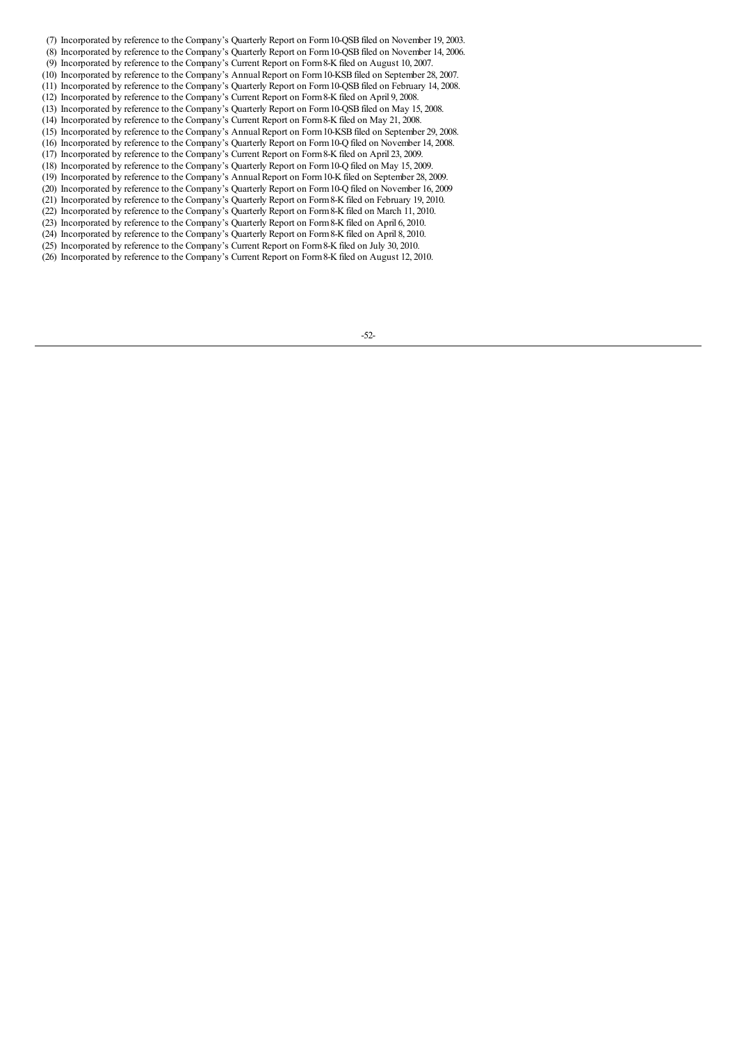(7) Incorporated by reference to the Company's Quarterly Report on Form10-QSBfiled on November 19, 2003. (8) Incorporated by reference to the Company's Quarterly Report on Form10-QSBfiled on November 14, 2006. (9) Incorporated by reference to the Company's Current Report on Form8-Kfiled on August 10, 2007. (10) Incorporated by reference to the Company's Annual Report on Form10-KSBfiled on September 28, 2007. (11) Incorporated by reference to the Company's Quarterly Report on Form10-QSBfiled on February 14, 2008. (12) Incorporated by reference to the Company's Current Report on Form8-Kfiled on April 9, 2008. (13) Incorporated by reference to the Company's Quarterly Report on Form10-QSBfiled on May 15, 2008. (14) Incorporated by reference to the Company's Current Report on Form8-Kfiled on May 21, 2008. (15) Incorporated by reference to the Company's Annual Report on Form10-KSBfiled on September 29, 2008. (16) Incorporated by reference to the Company's Quarterly Report on Form10-Qfiled on November 14, 2008. (17) Incorporated by reference to the Company's Current Report on Form8-Kfiled on April 23, 2009. (18) Incorporated by reference to the Company's Quarterly Report on Form10-Qfiled on May 15, 2009. (19) Incorporated by reference to the Company's Annual Report on Form10-Kfiled on September 28, 2009. (20) Incorporated by reference to the Company's Quarterly Report on Form10-Qfiled on November 16, 2009 (21) Incorporated by reference to the Company's Quarterly Report on Form8-Kfiled on February 19, 2010. (22) Incorporated by reference to the Company's Quarterly Report on Form8-Kfiled on March 11, 2010. (23) Incorporated by reference to the Company's Quarterly Report on Form8-Kfiled on April 6, 2010. (24) Incorporated by reference to the Company's Quarterly Report on Form8-Kfiled on April 8, 2010. (25) Incorporated by reference to the Company's Current Report on Form8-Kfiled on July 30, 2010. (26) Incorporated by reference to the Company's Current Report on Form8-Kfiled on August 12, 2010.

-52-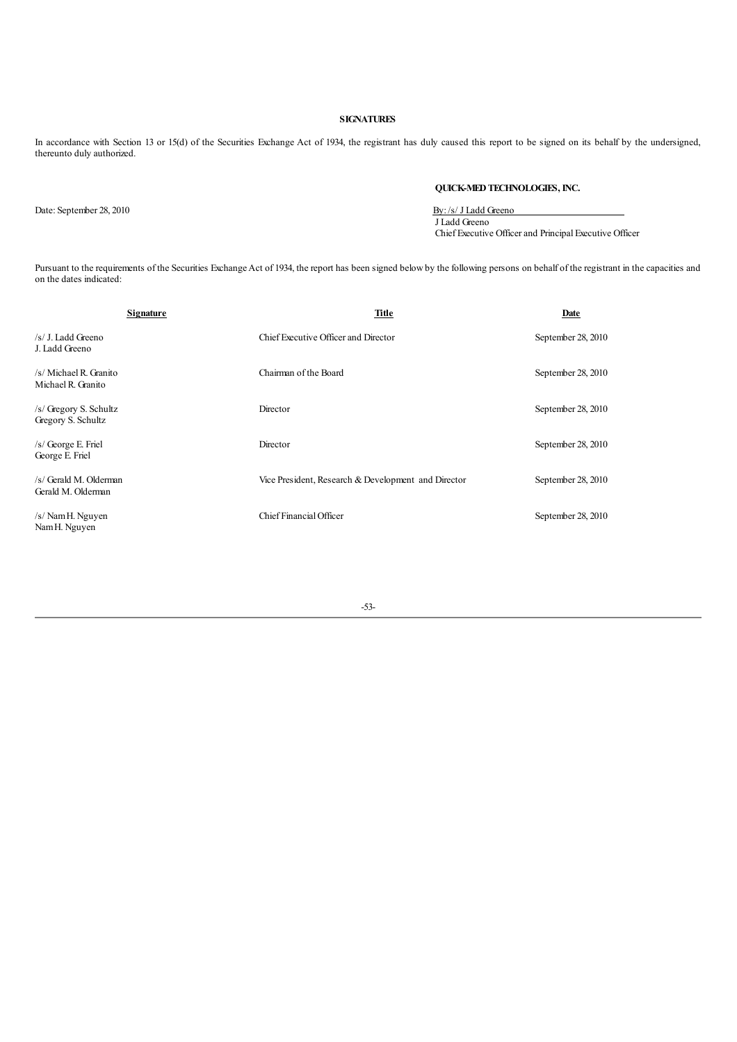# **SIGNATURES**

In accordance with Section 13 or 15(d) of the Securities Exchange Act of 1934, the registrant has duly caused this report to be signed on its behalf by the undersigned, thereunto duly authorized.

# **QUICK-MEDTECHNOLOGIES, INC.**

Date: September 28, 2010

By:/s/J Ladd Greeno\_<br>J Ladd Greeno Chief Executive Officerand Principal Executive Officer

Pursuant to the requirements of the Securities Exchange Act of 1934, the report has been signed below by the following persons on behalf of the registrant in the capacities and on the dates indicated:

| <b>Signature</b>                             | Title                                               | Date               |
|----------------------------------------------|-----------------------------------------------------|--------------------|
| /s/ J. Ladd Greeno<br>J. Ladd Greeno         | Chief Executive Officer and Director                | September 28, 2010 |
| /s/ Michael R. Granito<br>Michael R. Granito | Chairman of the Board                               | September 28, 2010 |
| /s/ Gregory S. Schultz<br>Gregory S. Schultz | Director                                            | September 28, 2010 |
| /s/ George E. Friel<br>George E. Friel       | Director                                            | September 28, 2010 |
| /s/ Gerald M. Olderman<br>Gerald M. Olderman | Vice President, Research & Development and Director | September 28, 2010 |
| /s/ Nam H. Nguyen<br>Nam H. Nguyen           | <b>Chief Financial Officer</b>                      | September 28, 2010 |

-53-